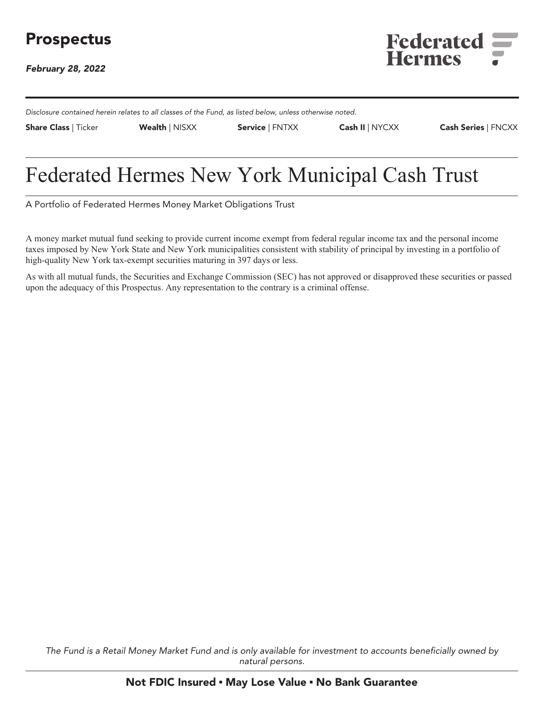**February 28, 2022**



**Disclosure contained herein relates to all classes of the Fund, as listed below, unless otherwise noted.**

**Share Class | Ticker Wealth | NISXX Service | FNTXX Cash II | NYCXX Cash Series | FNCXX**

# **Federated Hermes New York Municipal Cash Trust**

**A Portfolio of Federated Hermes Money Market Obligations Trust**

**A money market mutual fund seeking to provide current income exempt from federal regular income tax and the personal income taxes imposed by New York State and New York municipalities consistent with stability of principal by investing in a portfolio of high-quality New York tax-exempt securities maturing in 397 days or less.**

**As with all mutual funds, the Securities and Exchange Commission (SEC) has not approved or disapproved these securities or passed upon the adequacy of this Prospectus. Any representation to the contrary is a criminal offense.**

**The Fund is a Retail Money Market Fund and is only available for investment to accounts beneficially owned by natural persons.**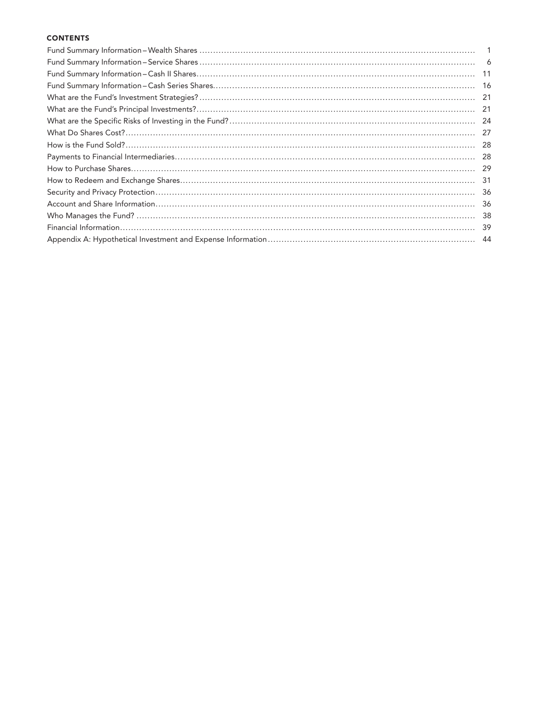# **CONTENTS**

| -21  |
|------|
| -21  |
|      |
|      |
|      |
| -28  |
| -29  |
| -31  |
| -36  |
| - 36 |
|      |
|      |
|      |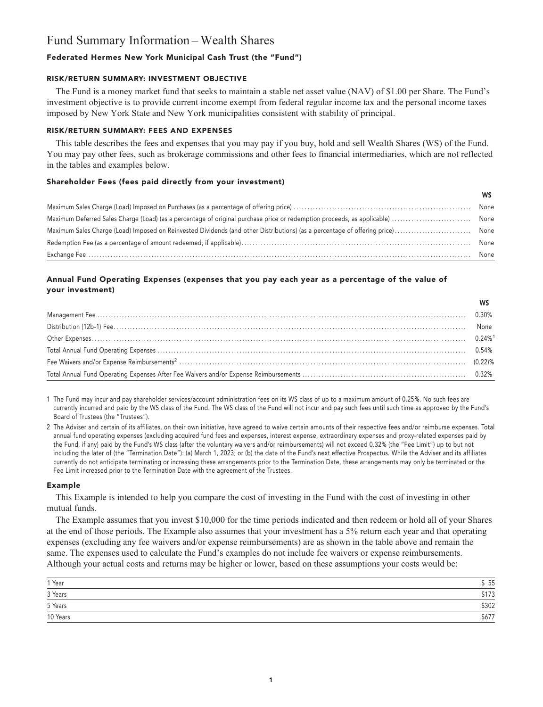# **Fund Summary Information – Wealth Shares**

# **Federated Hermes New York Municipal Cash Trust (the "Fund")**

#### **RISK/RETURN SUMMARY: INVESTMENT OBJECTIVE**

**The Fund is a money market fund that seeks to maintain a stable net asset value (NAV) of \$1.00 per Share. The Fund's investment objective is to provide current income exempt from federal regular income tax and the personal income taxes imposed by New York State and New York municipalities consistent with stability of principal.**

# **RISK/RETURN SUMMARY: FEES AND EXPENSES**

**This table describes the fees and expenses that you may pay if you buy, hold and sell Wealth Shares (WS) of the Fund. You may pay other fees, such as brokerage commissions and other fees to financial intermediaries, which are not reflected in the tables and examples below.**

### **Shareholder Fees (fees paid directly from your investment)**

| None |
|------|
| None |
| None |
| None |
| None |

## **Annual Fund Operating Expenses (expenses that you pay each year as a percentage of the value of your investment)**

| None |
|------|
|      |
|      |
|      |
|      |

**1 The Fund may incur and pay shareholder services/account administration fees on its WS class of up to a maximum amount of 0.25%. No such fees are currently incurred and paid by the WS class of the Fund. The WS class of the Fund will not incur and pay such fees until such time as approved by the Fund's Board of Trustees (the "Trustees").**

**2 The Adviser and certain of its affiliates, on their own initiative, have agreed to waive certain amounts of their respective fees and/or reimburse expenses. Total annual fund operating expenses (excluding acquired fund fees and expenses, interest expense, extraordinary expenses and proxy-related expenses paid by the Fund, if any) paid by the Fund's WS class (after the voluntary waivers and/or reimbursements) will not exceed 0.32% (the "Fee Limit") up to but not including the later of (the "Termination Date"): (a) March 1, 2023; or (b) the date of the Fund's next effective Prospectus. While the Adviser and its affiliates currently do not anticipate terminating or increasing these arrangements prior to the Termination Date, these arrangements may only be terminated or the Fee Limit increased prior to the Termination Date with the agreement of the Trustees.**

#### **Example**

**This Example is intended to help you compare the cost of investing in the Fund with the cost of investing in other mutual funds.**

**The Example assumes that you invest \$10,000 for the time periods indicated and then redeem or hold all of your Shares at the end of those periods. The Example also assumes that your investment has a 5% return each year and that operating expenses (excluding any fee waivers and/or expense reimbursements) are as shown in the table above and remain the same. The expenses used to calculate the Fund's examples do not include fee waivers or expense reimbursements. Although your actual costs and returns may be higher or lower, based on these assumptions your costs would be:**

| 1 Year              | 55    |
|---------------------|-------|
| 3 Years             | \$173 |
| 5 Years             | \$302 |
| 10 Years<br>_______ | \$677 |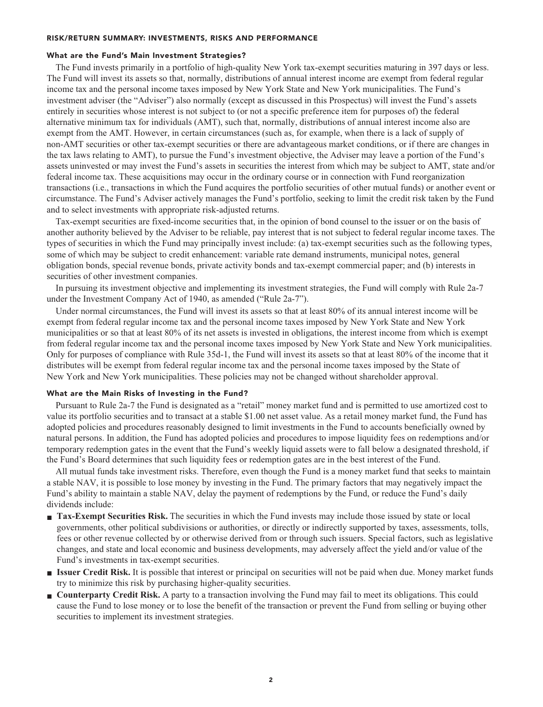#### **RISK/RETURN SUMMARY: INVESTMENTS, RISKS AND PERFORMANCE**

#### **What are the Fund's Main Investment Strategies?**

**The Fund invests primarily in a portfolio of high-quality New York tax-exempt securities maturing in 397 days or less. The Fund will invest its assets so that, normally, distributions of annual interest income are exempt from federal regular income tax and the personal income taxes imposed by New York State and New York municipalities. The Fund's investment adviser (the "Adviser") also normally (except as discussed in this Prospectus) will invest the Fund's assets entirely in securities whose interest is not subject to (or not a specific preference item for purposes of) the federal alternative minimum tax for individuals (AMT), such that, normally, distributions of annual interest income also are exempt from the AMT. However, in certain circumstances (such as, for example, when there is a lack of supply of non-AMT securities or other tax-exempt securities or there are advantageous market conditions, or if there are changes in the tax laws relating to AMT), to pursue the Fund's investment objective, the Adviser may leave a portion of the Fund's assets uninvested or may invest the Fund's assets in securities the interest from which may be subject to AMT, state and/or federal income tax. These acquisitions may occur in the ordinary course or in connection with Fund reorganization transactions (i.e., transactions in which the Fund acquires the portfolio securities of other mutual funds) or another event or circumstance. The Fund's Adviser actively manages the Fund's portfolio, seeking to limit the credit risk taken by the Fund and to select investments with appropriate risk-adjusted returns.**

**Tax-exempt securities are fixed-income securities that, in the opinion of bond counsel to the issuer or on the basis of another authority believed by the Adviser to be reliable, pay interest that is not subject to federal regular income taxes. The types of securities in which the Fund may principally invest include: (a) tax-exempt securities such as the following types, some of which may be subject to credit enhancement: variable rate demand instruments, municipal notes, general obligation bonds, special revenue bonds, private activity bonds and tax-exempt commercial paper; and (b) interests in securities of other investment companies.**

**In pursuing its investment objective and implementing its investment strategies, the Fund will comply with Rule 2a-7 under the Investment Company Act of 1940, as amended ("Rule 2a-7").**

**Under normal circumstances, the Fund will invest its assets so that at least 80% of its annual interest income will be exempt from federal regular income tax and the personal income taxes imposed by New York State and New York municipalities or so that at least 80% of its net assets is invested in obligations, the interest income from which is exempt from federal regular income tax and the personal income taxes imposed by New York State and New York municipalities. Only for purposes of compliance with Rule 35d-1, the Fund will invest its assets so that at least 80% of the income that it distributes will be exempt from federal regular income tax and the personal income taxes imposed by the State of New York and New York municipalities. These policies may not be changed without shareholder approval.**

#### **What are the Main Risks of Investing in the Fund?**

**Pursuant to Rule 2a-7 the Fund is designated as a "retail" money market fund and is permitted to use amortized cost to value its portfolio securities and to transact at a stable \$1.00 net asset value. As a retail money market fund, the Fund has adopted policies and procedures reasonably designed to limit investments in the Fund to accounts beneficially owned by natural persons. In addition, the Fund has adopted policies and procedures to impose liquidity fees on redemptions and/or temporary redemption gates in the event that the Fund's weekly liquid assets were to fall below a designated threshold, if the Fund's Board determines that such liquidity fees or redemption gates are in the best interest of the Fund.**

**All mutual funds take investment risks. Therefore, even though the Fund is a money market fund that seeks to maintain a stable NAV, it is possible to lose money by investing in the Fund. The primary factors that may negatively impact the Fund's ability to maintain a stable NAV, delay the payment of redemptions by the Fund, or reduce the Fund's daily dividends include:**

- **Tax-Exempt Securities Risk.** The securities in which the Fund invests may include those issued by state or local **governments, other political subdivisions or authorities, or directly or indirectly supported by taxes, assessments, tolls, fees or other revenue collected by or otherwise derived from or through such issuers. Special factors, such as legislative changes, and state and local economic and business developments, may adversely affect the yield and/or value of the Fund's investments in tax-exempt securities.**
- **■ Issuer Credit Risk. It is possible that interest or principal on securities will not be paid when due. Money market funds try to minimize this risk by purchasing higher-quality securities.**
- **Counterparty Credit Risk.** A party to a transaction involving the Fund may fail to meet its obligations. This could **cause the Fund to lose money or to lose the benefit of the transaction or prevent the Fund from selling or buying other securities to implement its investment strategies.**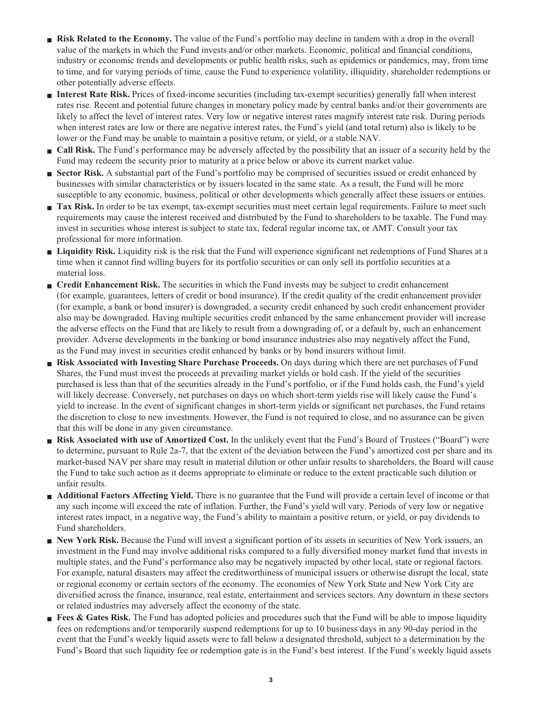- **Risk Related to the Economy.** The value of the Fund's portfolio may decline in tandem with a drop in the overall **value of the markets in which the Fund invests and/or other markets. Economic, political and financial conditions, industry or economic trends and developments or public health risks, such as epidemics or pandemics, may, from time to time, and for varying periods of time, cause the Fund to experience volatility, illiquidity, shareholder redemptions or other potentially adverse effects.**
- **■ Interest Rate Risk. Prices of fixed-income securities (including tax-exempt securities) generally fall when interest rates rise. Recent and potential future changes in monetary policy made by central banks and/or their governments are likely to affect the level of interest rates. Very low or negative interest rates magnify interest rate risk. During periods when interest rates are low or there are negative interest rates, the Fund's yield (and total return) also is likely to be lower or the Fund may be unable to maintain a positive return, or yield, or a stable NAV.**
- **Call Risk.** The Fund's performance may be adversely affected by the possibility that an issuer of a security held by the **Fund may redeem the security prior to maturity at a price below or above its current market value.**
- **Sector Risk.** A substantial part of the Fund's portfolio may be comprised of securities issued or credit enhanced by **businesses with similar characteristics or by issuers located in the same state. As a result, the Fund will be more susceptible to any economic, business, political or other developments which generally affect these issuers or entities.**
- **Tax Risk.** In order to be tax exempt, tax-exempt securities must meet certain legal requirements. Failure to meet such **requirements may cause the interest received and distributed by the Fund to shareholders to be taxable. The Fund may invest in securities whose interest is subject to state tax, federal regular income tax, or AMT. Consult your tax professional for more information.**
- **■ Liquidity Risk. Liquidity risk is the risk that the Fund will experience significant net redemptions of Fund Shares at a time when it cannot find willing buyers for its portfolio securities or can only sell its portfolio securities at a material loss.**
- **■ Credit Enhancement Risk.** The securities in which the Fund invests may be subject to credit enhancement **(for example, guarantees, letters of credit or bond insurance). If the credit quality of the credit enhancement provider (for example, a bank or bond insurer) is downgraded, a security credit enhanced by such credit enhancement provider also may be downgraded. Having multiple securities credit enhanced by the same enhancement provider will increase the adverse effects on the Fund that are likely to result from a downgrading of, or a default by, such an enhancement provider. Adverse developments in the banking or bond insurance industries also may negatively affect the Fund, as the Fund may invest in securities credit enhanced by banks or by bond insurers without limit.**
- **■ Risk Associated with Investing Share Purchase Proceeds. On days during which there are net purchases of Fund Shares, the Fund must invest the proceeds at prevailing market yields or hold cash. If the yield of the securities purchased is less than that of the securities already in the Fund's portfolio, or if the Fund holds cash, the Fund's yield will likely decrease. Conversely, net purchases on days on which short-term yields rise will likely cause the Fund's yield to increase. In the event of significant changes in short-term yields or significant net purchases, the Fund retains the discretion to close to new investments. However, the Fund is not required to close, and no assurance can be given that this will be done in any given circumstance.**
- **■ Risk Associated with use of Amortized Cost. In the unlikely event that the Fund's Board of Trustees ("Board") were to determine, pursuant to Rule 2a-7, that the extent of the deviation between the Fund's amortized cost per share and its market-based NAV per share may result in material dilution or other unfair results to shareholders, the Board will cause the Fund to take such action as it deems appropriate to eliminate or reduce to the extent practicable such dilution or unfair results.**
- **Additional Factors Affecting Yield.** There is no guarantee that the Fund will provide a certain level of income or that **any such income will exceed the rate of inflation. Further, the Fund's yield will vary. Periods of very low or negative interest rates impact, in a negative way, the Fund's ability to maintain a positive return, or yield, or pay dividends to Fund shareholders.**
- **New York Risk.** Because the Fund will invest a significant portion of its assets in securities of New York issuers, an **investment in the Fund may involve additional risks compared to a fully diversified money market fund that invests in multiple states, and the Fund's performance also may be negatively impacted by other local, state or regional factors. For example, natural disasters may affect the creditworthiness of municipal issuers or otherwise disrupt the local, state or regional economy or certain sectors of the economy. The economies of New York State and New York City are diversified across the finance, insurance, real estate, entertainment and services sectors. Any downturn in these sectors or related industries may adversely affect the economy of the state.**
- **Fees & Gates Risk.** The Fund has adopted policies and procedures such that the Fund will be able to impose liquidity **fees on redemptions and/or temporarily suspend redemptions for up to 10 business days in any 90-day period in the event that the Fund's weekly liquid assets were to fall below a designated threshold, subject to a determination by the Fund's Board that such liquidity fee or redemption gate is in the Fund's best interest. If the Fund's weekly liquid assets**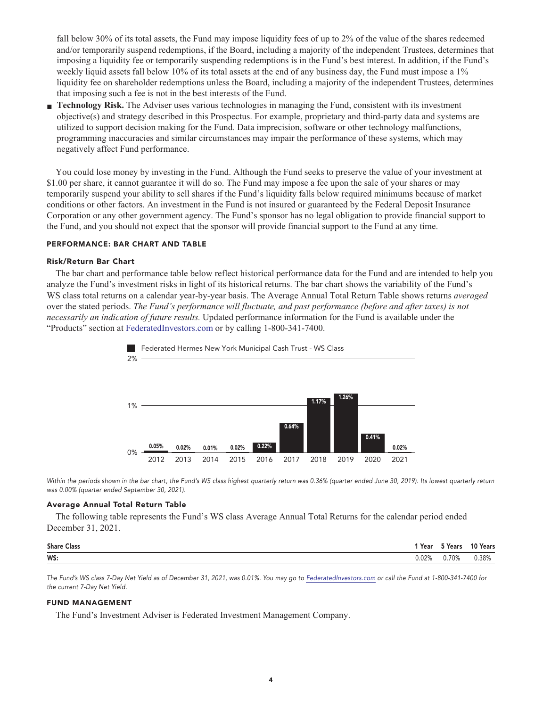**fall below 30% of its total assets, the Fund may impose liquidity fees of up to 2% of the value of the shares redeemed and/or temporarily suspend redemptions, if the Board, including a majority of the independent Trustees, determines that imposing a liquidity fee or temporarily suspending redemptions is in the Fund's best interest. In addition, if the Fund's weekly liquid assets fall below 10% of its total assets at the end of any business day, the Fund must impose a 1% liquidity fee on shareholder redemptions unless the Board, including a majority of the independent Trustees, determines that imposing such a fee is not in the best interests of the Fund.**

**■ Technology Risk. The Adviser uses various technologies in managing the Fund, consistent with its investment objective(s) and strategy described in this Prospectus. For example, proprietary and third-party data and systems are utilized to support decision making for the Fund. Data imprecision, software or other technology malfunctions, programming inaccuracies and similar circumstances may impair the performance of these systems, which may negatively affect Fund performance.**

**You could lose money by investing in the Fund. Although the Fund seeks to preserve the value of your investment at \$1.00 per share, it cannot guarantee it will do so. The Fund may impose a fee upon the sale of your shares or may temporarily suspend your ability to sell shares if the Fund's liquidity falls below required minimums because of market conditions or other factors. An investment in the Fund is not insured or guaranteed by the Federal Deposit Insurance Corporation or any other government agency. The Fund's sponsor has no legal obligation to provide financial support to the Fund, and you should not expect that the sponsor will provide financial support to the Fund at any time.**

#### **PERFORMANCE: BAR CHART AND TABLE**

#### **Risk/Return Bar Chart**

**The bar chart and performance table below reflect historical performance data for the Fund and are intended to help you analyze the Fund's investment risks in light of its historical returns. The bar chart shows the variability of the Fund's WS class total returns on a calendar year-by-year basis. The Average Annual Total Return Table shows returns** *averaged* **over the stated periods.** *The Fund's performance will fluctuate, and past performance (before and after taxes) is not necessarily an indication of future results.* **Updated performance information for the Fund is available under the "Products" section at [FederatedInvestors.com](https://www.federatedinvestors.com/home.do) or by calling 1-800-341-7400.**



**Within the periods shown in the bar chart, the Fund's WS class highest quarterly return was 0.36% (quarter ended June 30, 2019). Its lowest quarterly return was 0.00% (quarter ended September 30, 2021).**

#### **Average Annual Total Return Table**

**The following table represents the Fund's WS class Average Annual Total Returns for the calendar period ended December 31, 2021.**

| <b>Share Class</b> | 'Year | <sup>ក</sup> Years | 10 Years |
|--------------------|-------|--------------------|----------|
| WS:                | 02%.( | .70%               | 0.38%    |

**The Fund's WS class 7-Day Net Yield as of December 31, 2021, was 0.01%. You may go to [FederatedInvestors.com](https://www.federatedinvestors.com/home.do) or call the Fund at 1-800-341-7400 for the current 7-Day Net Yield.**

#### **FUND MANAGEMENT**

**The Fund's Investment Adviser is Federated Investment Management Company.**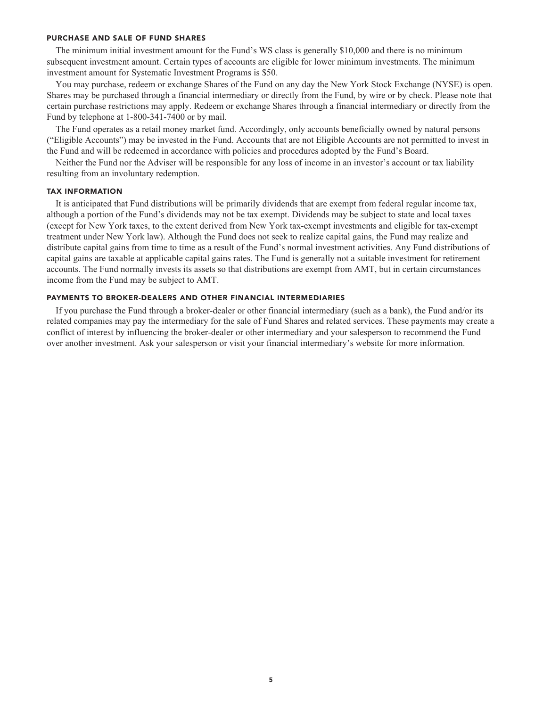#### **PURCHASE AND SALE OF FUND SHARES**

**The minimum initial investment amount for the Fund's WS class is generally \$10,000 and there is no minimum subsequent investment amount. Certain types of accounts are eligible for lower minimum investments. The minimum investment amount for Systematic Investment Programs is \$50.**

**You may purchase, redeem or exchange Shares of the Fund on any day the New York Stock Exchange (NYSE) is open. Shares may be purchased through a financial intermediary or directly from the Fund, by wire or by check. Please note that certain purchase restrictions may apply. Redeem or exchange Shares through a financial intermediary or directly from the Fund by telephone at 1-800-341-7400 or by mail.**

**The Fund operates as a retail money market fund. Accordingly, only accounts beneficially owned by natural persons ("Eligible Accounts") may be invested in the Fund. Accounts that are not Eligible Accounts are not permitted to invest in the Fund and will be redeemed in accordance with policies and procedures adopted by the Fund's Board.**

**Neither the Fund nor the Adviser will be responsible for any loss of income in an investor's account or tax liability resulting from an involuntary redemption.**

#### **TAX INFORMATION**

**It is anticipated that Fund distributions will be primarily dividends that are exempt from federal regular income tax, although a portion of the Fund's dividends may not be tax exempt. Dividends may be subject to state and local taxes (except for New York taxes, to the extent derived from New York tax-exempt investments and eligible for tax-exempt treatment under New York law). Although the Fund does not seek to realize capital gains, the Fund may realize and distribute capital gains from time to time as a result of the Fund's normal investment activities. Any Fund distributions of capital gains are taxable at applicable capital gains rates. The Fund is generally not a suitable investment for retirement accounts. The Fund normally invests its assets so that distributions are exempt from AMT, but in certain circumstances income from the Fund may be subject to AMT.**

### **PAYMENTS TO BROKER-DEALERS AND OTHER FINANCIAL INTERMEDIARIES**

**If you purchase the Fund through a broker-dealer or other financial intermediary (such as a bank), the Fund and/or its related companies may pay the intermediary for the sale of Fund Shares and related services. These payments may create a conflict of interest by influencing the broker-dealer or other intermediary and your salesperson to recommend the Fund over another investment. Ask your salesperson or visit your financial intermediary's website for more information.**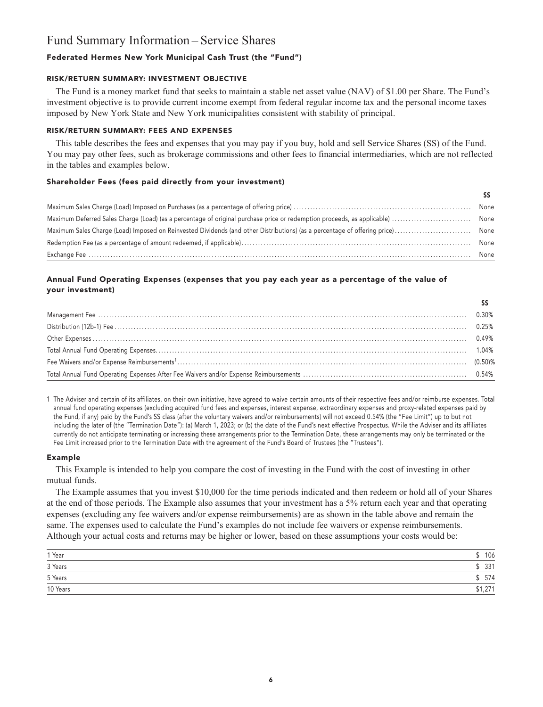# **Fund Summary Information – Service Shares**

# **Federated Hermes New York Municipal Cash Trust (the "Fund")**

### **RISK/RETURN SUMMARY: INVESTMENT OBJECTIVE**

**The Fund is a money market fund that seeks to maintain a stable net asset value (NAV) of \$1.00 per Share. The Fund's investment objective is to provide current income exempt from federal regular income tax and the personal income taxes imposed by New York State and New York municipalities consistent with stability of principal.**

# **RISK/RETURN SUMMARY: FEES AND EXPENSES**

**This table describes the fees and expenses that you may pay if you buy, hold and sell Service Shares (SS) of the Fund. You may pay other fees, such as brokerage commissions and other fees to financial intermediaries, which are not reflected in the tables and examples below.**

### **Shareholder Fees (fees paid directly from your investment)**

| $\textbf{Exchange } \textbf{Fee} \textit{ \textbf{}} \textit{ \textbf{}} \textit{ \textbf{}} \textit{ \textbf{}} \textit{ \textbf{}} \textit{ \textbf{}} \textit{ \textbf{}} \textit{ \textbf{}} \textit{ \textbf{}} \textit{ \textbf{}} \textit{ \textbf{}} \textit{ \textbf{}} \textit{ \textbf{}} \textit{ \textbf{}} \textit{ \textbf{}} \textit{ \textbf{}} \textit{ \textbf{}} \textit{ \textbf{}} \textit{ \textbf{}} \textit{ \textbf{}} \textit{ \textbf$ | None |
|--------------------------------------------------------------------------------------------------------------------------------------------------------------------------------------------------------------------------------------------------------------------------------------------------------------------------------------------------------------------------------------------------------------------------------------------------------------------|------|

# **Annual Fund Operating Expenses (expenses that you pay each year as a percentage of the value of your investment)**

**1 The Adviser and certain of its affiliates, on their own initiative, have agreed to waive certain amounts of their respective fees and/or reimburse expenses. Total annual fund operating expenses (excluding acquired fund fees and expenses, interest expense, extraordinary expenses and proxy-related expenses paid by the Fund, if any) paid by the Fund's SS class (after the voluntary waivers and/or reimbursements) will not exceed 0.54% (the "Fee Limit") up to but not including the later of (the "Termination Date"): (a) March 1, 2023; or (b) the date of the Fund's next effective Prospectus. While the Adviser and its affiliates currently do not anticipate terminating or increasing these arrangements prior to the Termination Date, these arrangements may only be terminated or the Fee Limit increased prior to the Termination Date with the agreement of the Fund's Board of Trustees (the "Trustees").**

#### **Example**

**This Example is intended to help you compare the cost of investing in the Fund with the cost of investing in other mutual funds.**

**The Example assumes that you invest \$10,000 for the time periods indicated and then redeem or hold all of your Shares at the end of those periods. The Example also assumes that your investment has a 5% return each year and that operating expenses (excluding any fee waivers and/or expense reimbursements) are as shown in the table above and remain the same. The expenses used to calculate the Fund's examples do not include fee waivers or expense reimbursements. Although your actual costs and returns may be higher or lower, based on these assumptions your costs would be:**

| 1 Year   | 106     |
|----------|---------|
| 3 Years  | 331     |
| 5 Years  | 574     |
| 10 Years | \$1,271 |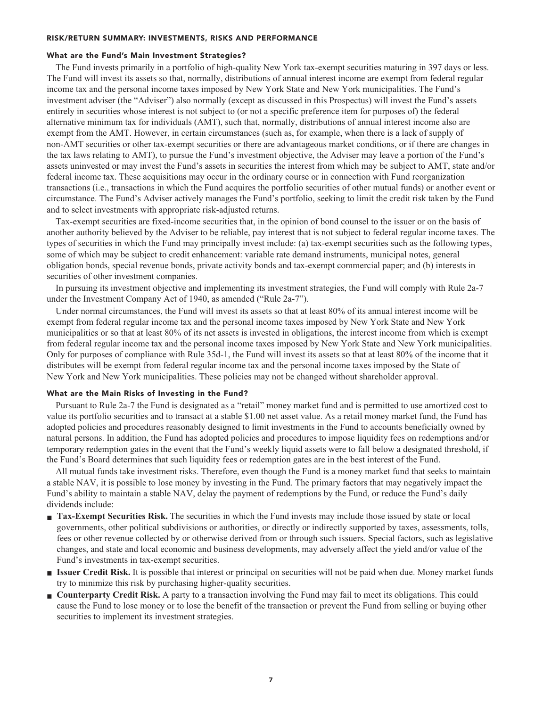#### **RISK/RETURN SUMMARY: INVESTMENTS, RISKS AND PERFORMANCE**

#### **What are the Fund's Main Investment Strategies?**

**The Fund invests primarily in a portfolio of high-quality New York tax-exempt securities maturing in 397 days or less. The Fund will invest its assets so that, normally, distributions of annual interest income are exempt from federal regular income tax and the personal income taxes imposed by New York State and New York municipalities. The Fund's investment adviser (the "Adviser") also normally (except as discussed in this Prospectus) will invest the Fund's assets entirely in securities whose interest is not subject to (or not a specific preference item for purposes of) the federal alternative minimum tax for individuals (AMT), such that, normally, distributions of annual interest income also are exempt from the AMT. However, in certain circumstances (such as, for example, when there is a lack of supply of non-AMT securities or other tax-exempt securities or there are advantageous market conditions, or if there are changes in the tax laws relating to AMT), to pursue the Fund's investment objective, the Adviser may leave a portion of the Fund's assets uninvested or may invest the Fund's assets in securities the interest from which may be subject to AMT, state and/or federal income tax. These acquisitions may occur in the ordinary course or in connection with Fund reorganization transactions (i.e., transactions in which the Fund acquires the portfolio securities of other mutual funds) or another event or circumstance. The Fund's Adviser actively manages the Fund's portfolio, seeking to limit the credit risk taken by the Fund and to select investments with appropriate risk-adjusted returns.**

**Tax-exempt securities are fixed-income securities that, in the opinion of bond counsel to the issuer or on the basis of another authority believed by the Adviser to be reliable, pay interest that is not subject to federal regular income taxes. The types of securities in which the Fund may principally invest include: (a) tax-exempt securities such as the following types, some of which may be subject to credit enhancement: variable rate demand instruments, municipal notes, general obligation bonds, special revenue bonds, private activity bonds and tax-exempt commercial paper; and (b) interests in securities of other investment companies.**

**In pursuing its investment objective and implementing its investment strategies, the Fund will comply with Rule 2a-7 under the Investment Company Act of 1940, as amended ("Rule 2a-7").**

**Under normal circumstances, the Fund will invest its assets so that at least 80% of its annual interest income will be exempt from federal regular income tax and the personal income taxes imposed by New York State and New York municipalities or so that at least 80% of its net assets is invested in obligations, the interest income from which is exempt from federal regular income tax and the personal income taxes imposed by New York State and New York municipalities. Only for purposes of compliance with Rule 35d-1, the Fund will invest its assets so that at least 80% of the income that it distributes will be exempt from federal regular income tax and the personal income taxes imposed by the State of New York and New York municipalities. These policies may not be changed without shareholder approval.**

#### **What are the Main Risks of Investing in the Fund?**

**Pursuant to Rule 2a-7 the Fund is designated as a "retail" money market fund and is permitted to use amortized cost to value its portfolio securities and to transact at a stable \$1.00 net asset value. As a retail money market fund, the Fund has adopted policies and procedures reasonably designed to limit investments in the Fund to accounts beneficially owned by natural persons. In addition, the Fund has adopted policies and procedures to impose liquidity fees on redemptions and/or temporary redemption gates in the event that the Fund's weekly liquid assets were to fall below a designated threshold, if the Fund's Board determines that such liquidity fees or redemption gates are in the best interest of the Fund.**

**All mutual funds take investment risks. Therefore, even though the Fund is a money market fund that seeks to maintain a stable NAV, it is possible to lose money by investing in the Fund. The primary factors that may negatively impact the Fund's ability to maintain a stable NAV, delay the payment of redemptions by the Fund, or reduce the Fund's daily dividends include:**

- **Tax-Exempt Securities Risk.** The securities in which the Fund invests may include those issued by state or local **governments, other political subdivisions or authorities, or directly or indirectly supported by taxes, assessments, tolls, fees or other revenue collected by or otherwise derived from or through such issuers. Special factors, such as legislative changes, and state and local economic and business developments, may adversely affect the yield and/or value of the Fund's investments in tax-exempt securities.**
- **■ Issuer Credit Risk. It is possible that interest or principal on securities will not be paid when due. Money market funds try to minimize this risk by purchasing higher-quality securities.**
- **Counterparty Credit Risk.** A party to a transaction involving the Fund may fail to meet its obligations. This could **cause the Fund to lose money or to lose the benefit of the transaction or prevent the Fund from selling or buying other securities to implement its investment strategies.**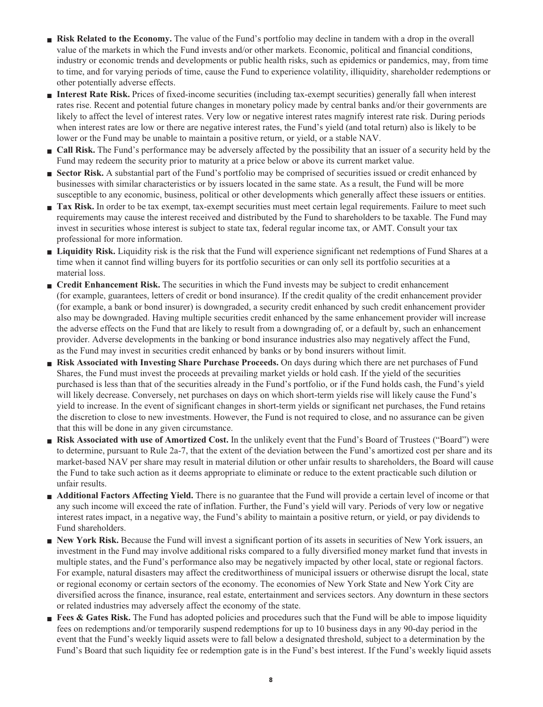- **Risk Related to the Economy.** The value of the Fund's portfolio may decline in tandem with a drop in the overall **value of the markets in which the Fund invests and/or other markets. Economic, political and financial conditions, industry or economic trends and developments or public health risks, such as epidemics or pandemics, may, from time to time, and for varying periods of time, cause the Fund to experience volatility, illiquidity, shareholder redemptions or other potentially adverse effects.**
- **■ Interest Rate Risk. Prices of fixed-income securities (including tax-exempt securities) generally fall when interest rates rise. Recent and potential future changes in monetary policy made by central banks and/or their governments are likely to affect the level of interest rates. Very low or negative interest rates magnify interest rate risk. During periods when interest rates are low or there are negative interest rates, the Fund's yield (and total return) also is likely to be lower or the Fund may be unable to maintain a positive return, or yield, or a stable NAV.**
- **Call Risk.** The Fund's performance may be adversely affected by the possibility that an issuer of a security held by the **Fund may redeem the security prior to maturity at a price below or above its current market value.**
- **Sector Risk.** A substantial part of the Fund's portfolio may be comprised of securities issued or credit enhanced by **businesses with similar characteristics or by issuers located in the same state. As a result, the Fund will be more susceptible to any economic, business, political or other developments which generally affect these issuers or entities.**
- **Tax Risk.** In order to be tax exempt, tax-exempt securities must meet certain legal requirements. Failure to meet such **requirements may cause the interest received and distributed by the Fund to shareholders to be taxable. The Fund may invest in securities whose interest is subject to state tax, federal regular income tax, or AMT. Consult your tax professional for more information.**
- **■ Liquidity Risk. Liquidity risk is the risk that the Fund will experience significant net redemptions of Fund Shares at a time when it cannot find willing buyers for its portfolio securities or can only sell its portfolio securities at a material loss.**
- **■ Credit Enhancement Risk.** The securities in which the Fund invests may be subject to credit enhancement **(for example, guarantees, letters of credit or bond insurance). If the credit quality of the credit enhancement provider (for example, a bank or bond insurer) is downgraded, a security credit enhanced by such credit enhancement provider also may be downgraded. Having multiple securities credit enhanced by the same enhancement provider will increase the adverse effects on the Fund that are likely to result from a downgrading of, or a default by, such an enhancement provider. Adverse developments in the banking or bond insurance industries also may negatively affect the Fund, as the Fund may invest in securities credit enhanced by banks or by bond insurers without limit.**
- **■ Risk Associated with Investing Share Purchase Proceeds. On days during which there are net purchases of Fund Shares, the Fund must invest the proceeds at prevailing market yields or hold cash. If the yield of the securities purchased is less than that of the securities already in the Fund's portfolio, or if the Fund holds cash, the Fund's yield will likely decrease. Conversely, net purchases on days on which short-term yields rise will likely cause the Fund's yield to increase. In the event of significant changes in short-term yields or significant net purchases, the Fund retains the discretion to close to new investments. However, the Fund is not required to close, and no assurance can be given that this will be done in any given circumstance.**
- **■ Risk Associated with use of Amortized Cost. In the unlikely event that the Fund's Board of Trustees ("Board") were to determine, pursuant to Rule 2a-7, that the extent of the deviation between the Fund's amortized cost per share and its market-based NAV per share may result in material dilution or other unfair results to shareholders, the Board will cause the Fund to take such action as it deems appropriate to eliminate or reduce to the extent practicable such dilution or unfair results.**
- **Additional Factors Affecting Yield.** There is no guarantee that the Fund will provide a certain level of income or that **any such income will exceed the rate of inflation. Further, the Fund's yield will vary. Periods of very low or negative interest rates impact, in a negative way, the Fund's ability to maintain a positive return, or yield, or pay dividends to Fund shareholders.**
- **New York Risk.** Because the Fund will invest a significant portion of its assets in securities of New York issuers, an **investment in the Fund may involve additional risks compared to a fully diversified money market fund that invests in multiple states, and the Fund's performance also may be negatively impacted by other local, state or regional factors. For example, natural disasters may affect the creditworthiness of municipal issuers or otherwise disrupt the local, state or regional economy or certain sectors of the economy. The economies of New York State and New York City are diversified across the finance, insurance, real estate, entertainment and services sectors. Any downturn in these sectors or related industries may adversely affect the economy of the state.**
- **Fees & Gates Risk.** The Fund has adopted policies and procedures such that the Fund will be able to impose liquidity **fees on redemptions and/or temporarily suspend redemptions for up to 10 business days in any 90-day period in the event that the Fund's weekly liquid assets were to fall below a designated threshold, subject to a determination by the Fund's Board that such liquidity fee or redemption gate is in the Fund's best interest. If the Fund's weekly liquid assets**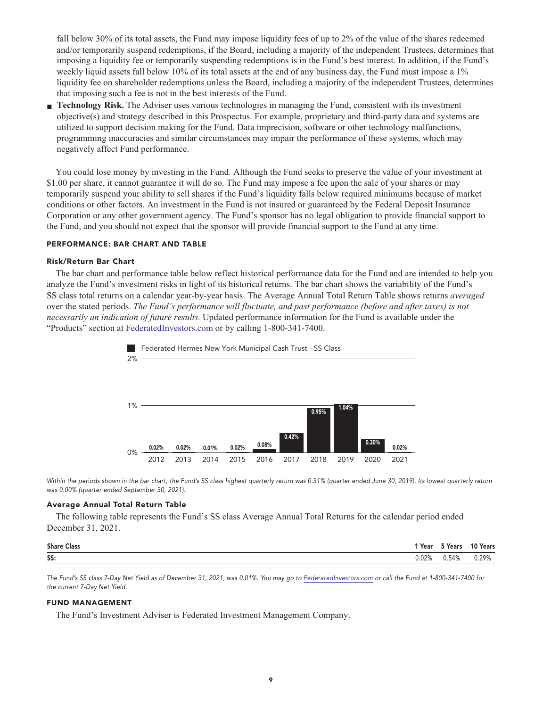**fall below 30% of its total assets, the Fund may impose liquidity fees of up to 2% of the value of the shares redeemed and/or temporarily suspend redemptions, if the Board, including a majority of the independent Trustees, determines that imposing a liquidity fee or temporarily suspending redemptions is in the Fund's best interest. In addition, if the Fund's weekly liquid assets fall below 10% of its total assets at the end of any business day, the Fund must impose a 1% liquidity fee on shareholder redemptions unless the Board, including a majority of the independent Trustees, determines that imposing such a fee is not in the best interests of the Fund.**

**■ Technology Risk. The Adviser uses various technologies in managing the Fund, consistent with its investment objective(s) and strategy described in this Prospectus. For example, proprietary and third-party data and systems are utilized to support decision making for the Fund. Data imprecision, software or other technology malfunctions, programming inaccuracies and similar circumstances may impair the performance of these systems, which may negatively affect Fund performance.**

**You could lose money by investing in the Fund. Although the Fund seeks to preserve the value of your investment at \$1.00 per share, it cannot guarantee it will do so. The Fund may impose a fee upon the sale of your shares or may temporarily suspend your ability to sell shares if the Fund's liquidity falls below required minimums because of market conditions or other factors. An investment in the Fund is not insured or guaranteed by the Federal Deposit Insurance Corporation or any other government agency. The Fund's sponsor has no legal obligation to provide financial support to the Fund, and you should not expect that the sponsor will provide financial support to the Fund at any time.**

#### **PERFORMANCE: BAR CHART AND TABLE**

#### **Risk/Return Bar Chart**

**The bar chart and performance table below reflect historical performance data for the Fund and are intended to help you analyze the Fund's investment risks in light of its historical returns. The bar chart shows the variability of the Fund's SS class total returns on a calendar year-by-year basis. The Average Annual Total Return Table shows returns** *averaged* **over the stated periods.** *The Fund's performance will fluctuate, and past performance (before and after taxes) is not necessarily an indication of future results.* **Updated performance information for the Fund is available under the "Products" section at [FederatedInvestors.com](https://www.federatedinvestors.com/home.do) or by calling 1-800-341-7400.**



Within the periods shown in the bar chart, the Fund's SS class highest quarterly return was 0.31% (quarter ended June 30, 2019). Its lowest quarterly return **was 0.00% (quarter ended September 30, 2021).**

#### **Average Annual Total Return Table**

**The following table represents the Fund's SS class Average Annual Total Returns for the calendar period ended December 31, 2021.**

| <b>Share Class</b> | 'Year | T Years | 10 Years |
|--------------------|-------|---------|----------|
| SS:                | J.02% | 0.54%   | 0.29%    |

**The Fund's SS class 7-Day Net Yield as of December 31, 2021, was 0.01%. You may go to [FederatedInvestors.com](https://www.federatedinvestors.com/home.do) or call the Fund at 1-800-341-7400 for the current 7-Day Net Yield.**

#### **FUND MANAGEMENT**

**The Fund's Investment Adviser is Federated Investment Management Company.**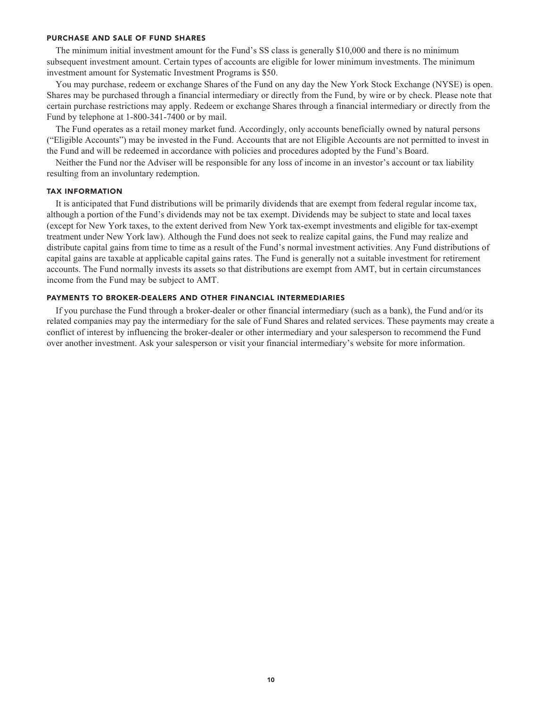#### **PURCHASE AND SALE OF FUND SHARES**

**The minimum initial investment amount for the Fund's SS class is generally \$10,000 and there is no minimum subsequent investment amount. Certain types of accounts are eligible for lower minimum investments. The minimum investment amount for Systematic Investment Programs is \$50.**

**You may purchase, redeem or exchange Shares of the Fund on any day the New York Stock Exchange (NYSE) is open. Shares may be purchased through a financial intermediary or directly from the Fund, by wire or by check. Please note that certain purchase restrictions may apply. Redeem or exchange Shares through a financial intermediary or directly from the Fund by telephone at 1-800-341-7400 or by mail.**

**The Fund operates as a retail money market fund. Accordingly, only accounts beneficially owned by natural persons ("Eligible Accounts") may be invested in the Fund. Accounts that are not Eligible Accounts are not permitted to invest in the Fund and will be redeemed in accordance with policies and procedures adopted by the Fund's Board.**

**Neither the Fund nor the Adviser will be responsible for any loss of income in an investor's account or tax liability resulting from an involuntary redemption.**

#### **TAX INFORMATION**

**It is anticipated that Fund distributions will be primarily dividends that are exempt from federal regular income tax, although a portion of the Fund's dividends may not be tax exempt. Dividends may be subject to state and local taxes (except for New York taxes, to the extent derived from New York tax-exempt investments and eligible for tax-exempt treatment under New York law). Although the Fund does not seek to realize capital gains, the Fund may realize and distribute capital gains from time to time as a result of the Fund's normal investment activities. Any Fund distributions of capital gains are taxable at applicable capital gains rates. The Fund is generally not a suitable investment for retirement accounts. The Fund normally invests its assets so that distributions are exempt from AMT, but in certain circumstances income from the Fund may be subject to AMT.**

#### **PAYMENTS TO BROKER-DEALERS AND OTHER FINANCIAL INTERMEDIARIES**

**If you purchase the Fund through a broker-dealer or other financial intermediary (such as a bank), the Fund and/or its related companies may pay the intermediary for the sale of Fund Shares and related services. These payments may create a conflict of interest by influencing the broker-dealer or other intermediary and your salesperson to recommend the Fund over another investment. Ask your salesperson or visit your financial intermediary's website for more information.**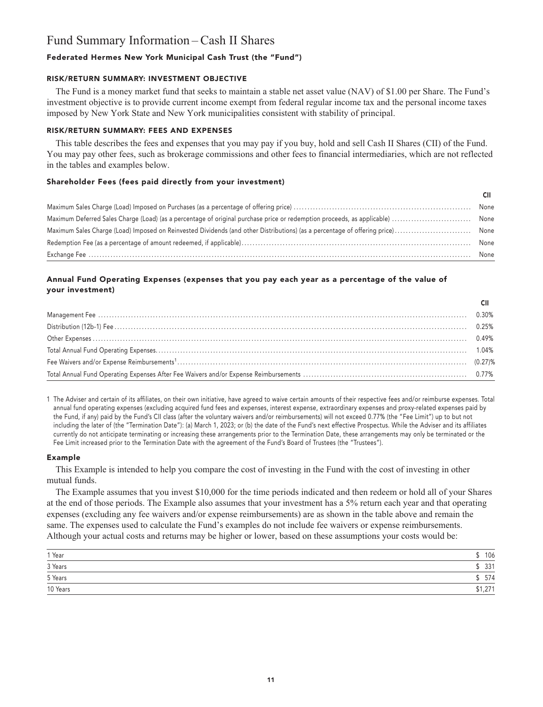# **Fund Summary Information – Cash II Shares**

# **Federated Hermes New York Municipal Cash Trust (the "Fund")**

### **RISK/RETURN SUMMARY: INVESTMENT OBJECTIVE**

**The Fund is a money market fund that seeks to maintain a stable net asset value (NAV) of \$1.00 per Share. The Fund's investment objective is to provide current income exempt from federal regular income tax and the personal income taxes imposed by New York State and New York municipalities consistent with stability of principal.**

# **RISK/RETURN SUMMARY: FEES AND EXPENSES**

**This table describes the fees and expenses that you may pay if you buy, hold and sell Cash II Shares (CII) of the Fund. You may pay other fees, such as brokerage commissions and other fees to financial intermediaries, which are not reflected in the tables and examples below.**

### **Shareholder Fees (fees paid directly from your investment)**

| None |
|------|
| None |
| None |
| None |
| None |

# **Annual Fund Operating Expenses (expenses that you pay each year as a percentage of the value of your investment)**

**1 The Adviser and certain of its affiliates, on their own initiative, have agreed to waive certain amounts of their respective fees and/or reimburse expenses. Total annual fund operating expenses (excluding acquired fund fees and expenses, interest expense, extraordinary expenses and proxy-related expenses paid by the Fund, if any) paid by the Fund's CII class (after the voluntary waivers and/or reimbursements) will not exceed 0.77% (the "Fee Limit") up to but not including the later of (the "Termination Date"): (a) March 1, 2023; or (b) the date of the Fund's next effective Prospectus. While the Adviser and its affiliates currently do not anticipate terminating or increasing these arrangements prior to the Termination Date, these arrangements may only be terminated or the Fee Limit increased prior to the Termination Date with the agreement of the Fund's Board of Trustees (the "Trustees").**

#### **Example**

**This Example is intended to help you compare the cost of investing in the Fund with the cost of investing in other mutual funds.**

**The Example assumes that you invest \$10,000 for the time periods indicated and then redeem or hold all of your Shares at the end of those periods. The Example also assumes that your investment has a 5% return each year and that operating expenses (excluding any fee waivers and/or expense reimbursements) are as shown in the table above and remain the same. The expenses used to calculate the Fund's examples do not include fee waivers or expense reimbursements. Although your actual costs and returns may be higher or lower, based on these assumptions your costs would be:**

| 1 Year   | 106     |
|----------|---------|
| 3 Years  | 331     |
| 5 Years  | 574     |
| 10 Years | \$1,271 |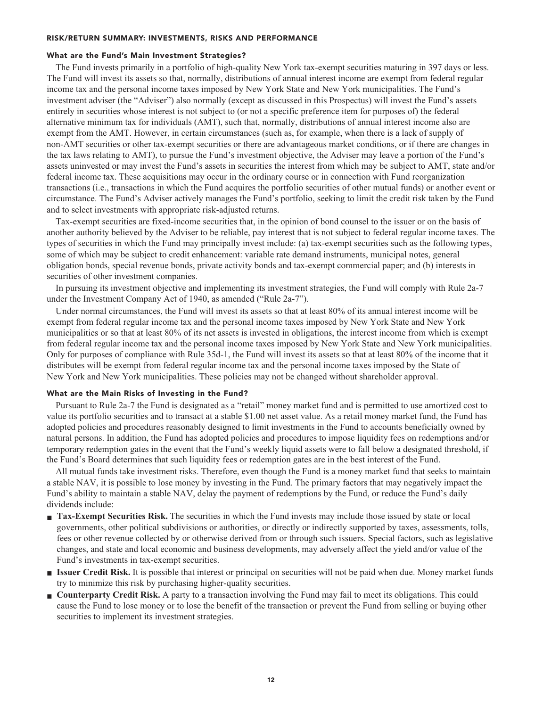#### **RISK/RETURN SUMMARY: INVESTMENTS, RISKS AND PERFORMANCE**

#### **What are the Fund's Main Investment Strategies?**

**The Fund invests primarily in a portfolio of high-quality New York tax-exempt securities maturing in 397 days or less. The Fund will invest its assets so that, normally, distributions of annual interest income are exempt from federal regular income tax and the personal income taxes imposed by New York State and New York municipalities. The Fund's investment adviser (the "Adviser") also normally (except as discussed in this Prospectus) will invest the Fund's assets entirely in securities whose interest is not subject to (or not a specific preference item for purposes of) the federal alternative minimum tax for individuals (AMT), such that, normally, distributions of annual interest income also are exempt from the AMT. However, in certain circumstances (such as, for example, when there is a lack of supply of non-AMT securities or other tax-exempt securities or there are advantageous market conditions, or if there are changes in the tax laws relating to AMT), to pursue the Fund's investment objective, the Adviser may leave a portion of the Fund's assets uninvested or may invest the Fund's assets in securities the interest from which may be subject to AMT, state and/or federal income tax. These acquisitions may occur in the ordinary course or in connection with Fund reorganization transactions (i.e., transactions in which the Fund acquires the portfolio securities of other mutual funds) or another event or circumstance. The Fund's Adviser actively manages the Fund's portfolio, seeking to limit the credit risk taken by the Fund and to select investments with appropriate risk-adjusted returns.**

**Tax-exempt securities are fixed-income securities that, in the opinion of bond counsel to the issuer or on the basis of another authority believed by the Adviser to be reliable, pay interest that is not subject to federal regular income taxes. The types of securities in which the Fund may principally invest include: (a) tax-exempt securities such as the following types, some of which may be subject to credit enhancement: variable rate demand instruments, municipal notes, general obligation bonds, special revenue bonds, private activity bonds and tax-exempt commercial paper; and (b) interests in securities of other investment companies.**

**In pursuing its investment objective and implementing its investment strategies, the Fund will comply with Rule 2a-7 under the Investment Company Act of 1940, as amended ("Rule 2a-7").**

**Under normal circumstances, the Fund will invest its assets so that at least 80% of its annual interest income will be exempt from federal regular income tax and the personal income taxes imposed by New York State and New York municipalities or so that at least 80% of its net assets is invested in obligations, the interest income from which is exempt from federal regular income tax and the personal income taxes imposed by New York State and New York municipalities. Only for purposes of compliance with Rule 35d-1, the Fund will invest its assets so that at least 80% of the income that it distributes will be exempt from federal regular income tax and the personal income taxes imposed by the State of New York and New York municipalities. These policies may not be changed without shareholder approval.**

#### **What are the Main Risks of Investing in the Fund?**

**Pursuant to Rule 2a-7 the Fund is designated as a "retail" money market fund and is permitted to use amortized cost to value its portfolio securities and to transact at a stable \$1.00 net asset value. As a retail money market fund, the Fund has adopted policies and procedures reasonably designed to limit investments in the Fund to accounts beneficially owned by natural persons. In addition, the Fund has adopted policies and procedures to impose liquidity fees on redemptions and/or temporary redemption gates in the event that the Fund's weekly liquid assets were to fall below a designated threshold, if the Fund's Board determines that such liquidity fees or redemption gates are in the best interest of the Fund.**

**All mutual funds take investment risks. Therefore, even though the Fund is a money market fund that seeks to maintain a stable NAV, it is possible to lose money by investing in the Fund. The primary factors that may negatively impact the Fund's ability to maintain a stable NAV, delay the payment of redemptions by the Fund, or reduce the Fund's daily dividends include:**

- **Tax-Exempt Securities Risk.** The securities in which the Fund invests may include those issued by state or local **governments, other political subdivisions or authorities, or directly or indirectly supported by taxes, assessments, tolls, fees or other revenue collected by or otherwise derived from or through such issuers. Special factors, such as legislative changes, and state and local economic and business developments, may adversely affect the yield and/or value of the Fund's investments in tax-exempt securities.**
- **■ Issuer Credit Risk. It is possible that interest or principal on securities will not be paid when due. Money market funds try to minimize this risk by purchasing higher-quality securities.**
- **Counterparty Credit Risk.** A party to a transaction involving the Fund may fail to meet its obligations. This could **cause the Fund to lose money or to lose the benefit of the transaction or prevent the Fund from selling or buying other securities to implement its investment strategies.**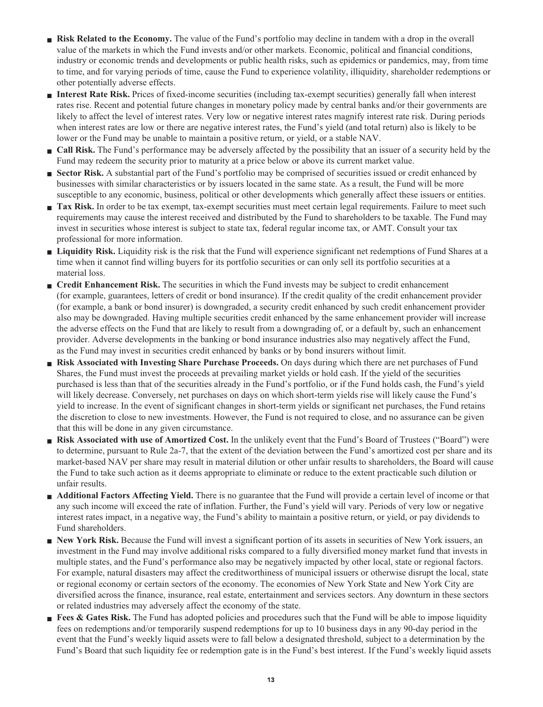- **Risk Related to the Economy.** The value of the Fund's portfolio may decline in tandem with a drop in the overall **value of the markets in which the Fund invests and/or other markets. Economic, political and financial conditions, industry or economic trends and developments or public health risks, such as epidemics or pandemics, may, from time to time, and for varying periods of time, cause the Fund to experience volatility, illiquidity, shareholder redemptions or other potentially adverse effects.**
- **■ Interest Rate Risk. Prices of fixed-income securities (including tax-exempt securities) generally fall when interest rates rise. Recent and potential future changes in monetary policy made by central banks and/or their governments are likely to affect the level of interest rates. Very low or negative interest rates magnify interest rate risk. During periods when interest rates are low or there are negative interest rates, the Fund's yield (and total return) also is likely to be lower or the Fund may be unable to maintain a positive return, or yield, or a stable NAV.**
- **Call Risk.** The Fund's performance may be adversely affected by the possibility that an issuer of a security held by the **Fund may redeem the security prior to maturity at a price below or above its current market value.**
- **Sector Risk.** A substantial part of the Fund's portfolio may be comprised of securities issued or credit enhanced by **businesses with similar characteristics or by issuers located in the same state. As a result, the Fund will be more susceptible to any economic, business, political or other developments which generally affect these issuers or entities.**
- **Tax Risk.** In order to be tax exempt, tax-exempt securities must meet certain legal requirements. Failure to meet such **requirements may cause the interest received and distributed by the Fund to shareholders to be taxable. The Fund may invest in securities whose interest is subject to state tax, federal regular income tax, or AMT. Consult your tax professional for more information.**
- **■ Liquidity Risk. Liquidity risk is the risk that the Fund will experience significant net redemptions of Fund Shares at a time when it cannot find willing buyers for its portfolio securities or can only sell its portfolio securities at a material loss.**
- **Credit Enhancement Risk.** The securities in which the Fund invests may be subject to credit enhancement **(for example, guarantees, letters of credit or bond insurance). If the credit quality of the credit enhancement provider (for example, a bank or bond insurer) is downgraded, a security credit enhanced by such credit enhancement provider also may be downgraded. Having multiple securities credit enhanced by the same enhancement provider will increase the adverse effects on the Fund that are likely to result from a downgrading of, or a default by, such an enhancement provider. Adverse developments in the banking or bond insurance industries also may negatively affect the Fund, as the Fund may invest in securities credit enhanced by banks or by bond insurers without limit.**
- **■ Risk Associated with Investing Share Purchase Proceeds. On days during which there are net purchases of Fund Shares, the Fund must invest the proceeds at prevailing market yields or hold cash. If the yield of the securities purchased is less than that of the securities already in the Fund's portfolio, or if the Fund holds cash, the Fund's yield will likely decrease. Conversely, net purchases on days on which short-term yields rise will likely cause the Fund's yield to increase. In the event of significant changes in short-term yields or significant net purchases, the Fund retains the discretion to close to new investments. However, the Fund is not required to close, and no assurance can be given that this will be done in any given circumstance.**
- **■ Risk Associated with use of Amortized Cost. In the unlikely event that the Fund's Board of Trustees ("Board") were to determine, pursuant to Rule 2a-7, that the extent of the deviation between the Fund's amortized cost per share and its market-based NAV per share may result in material dilution or other unfair results to shareholders, the Board will cause the Fund to take such action as it deems appropriate to eliminate or reduce to the extent practicable such dilution or unfair results.**
- **Additional Factors Affecting Yield.** There is no guarantee that the Fund will provide a certain level of income or that **any such income will exceed the rate of inflation. Further, the Fund's yield will vary. Periods of very low or negative interest rates impact, in a negative way, the Fund's ability to maintain a positive return, or yield, or pay dividends to Fund shareholders.**
- **New York Risk.** Because the Fund will invest a significant portion of its assets in securities of New York issuers, an **investment in the Fund may involve additional risks compared to a fully diversified money market fund that invests in multiple states, and the Fund's performance also may be negatively impacted by other local, state or regional factors. For example, natural disasters may affect the creditworthiness of municipal issuers or otherwise disrupt the local, state or regional economy or certain sectors of the economy. The economies of New York State and New York City are diversified across the finance, insurance, real estate, entertainment and services sectors. Any downturn in these sectors or related industries may adversely affect the economy of the state.**
- **Fees & Gates Risk.** The Fund has adopted policies and procedures such that the Fund will be able to impose liquidity **fees on redemptions and/or temporarily suspend redemptions for up to 10 business days in any 90-day period in the event that the Fund's weekly liquid assets were to fall below a designated threshold, subject to a determination by the Fund's Board that such liquidity fee or redemption gate is in the Fund's best interest. If the Fund's weekly liquid assets**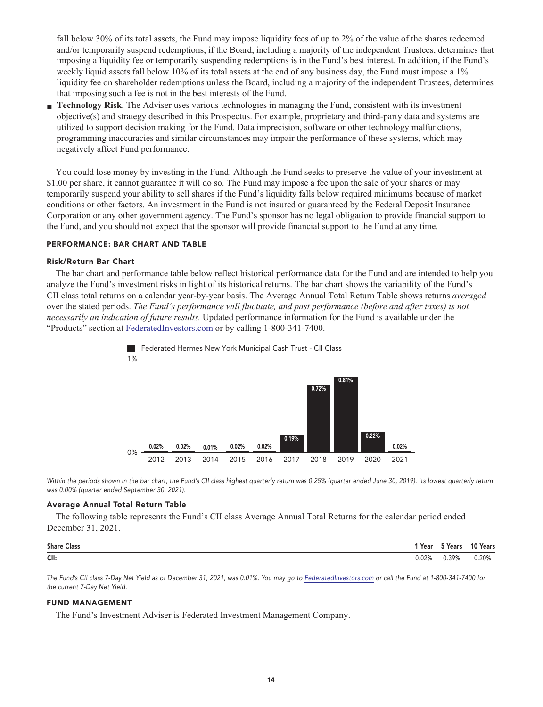**fall below 30% of its total assets, the Fund may impose liquidity fees of up to 2% of the value of the shares redeemed and/or temporarily suspend redemptions, if the Board, including a majority of the independent Trustees, determines that imposing a liquidity fee or temporarily suspending redemptions is in the Fund's best interest. In addition, if the Fund's weekly liquid assets fall below 10% of its total assets at the end of any business day, the Fund must impose a 1% liquidity fee on shareholder redemptions unless the Board, including a majority of the independent Trustees, determines that imposing such a fee is not in the best interests of the Fund.**

**■ Technology Risk. The Adviser uses various technologies in managing the Fund, consistent with its investment objective(s) and strategy described in this Prospectus. For example, proprietary and third-party data and systems are utilized to support decision making for the Fund. Data imprecision, software or other technology malfunctions, programming inaccuracies and similar circumstances may impair the performance of these systems, which may negatively affect Fund performance.**

**You could lose money by investing in the Fund. Although the Fund seeks to preserve the value of your investment at \$1.00 per share, it cannot guarantee it will do so. The Fund may impose a fee upon the sale of your shares or may temporarily suspend your ability to sell shares if the Fund's liquidity falls below required minimums because of market conditions or other factors. An investment in the Fund is not insured or guaranteed by the Federal Deposit Insurance Corporation or any other government agency. The Fund's sponsor has no legal obligation to provide financial support to the Fund, and you should not expect that the sponsor will provide financial support to the Fund at any time.**

#### **PERFORMANCE: BAR CHART AND TABLE**

#### **Risk/Return Bar Chart**

**The bar chart and performance table below reflect historical performance data for the Fund and are intended to help you analyze the Fund's investment risks in light of its historical returns. The bar chart shows the variability of the Fund's CII class total returns on a calendar year-by-year basis. The Average Annual Total Return Table shows returns** *averaged* **over the stated periods.** *The Fund's performance will fluctuate, and past performance (before and after taxes) is not necessarily an indication of future results.* **Updated performance information for the Fund is available under the "Products" section at [FederatedInvestors.com](https://www.federatedinvestors.com/home.do) or by calling 1-800-341-7400.**



Within the periods shown in the bar chart, the Fund's CII class highest quarterly return was 0.25% (quarter ended June 30, 2019). Its lowest quarterly return **was 0.00% (quarter ended September 30, 2021).**

#### **Average Annual Total Return Table**

**The following table represents the Fund's CII class Average Annual Total Returns for the calendar period ended December 31, 2021.**

| <b>Share Class</b> | `Year | <b>S</b> Years | 10 Years |
|--------------------|-------|----------------|----------|
| CII:               | J.02% | 0.39%          | 0.20%    |

**The Fund's CII class 7-Day Net Yield as of December 31, 2021, was 0.01%. You may go to [FederatedInvestors.com](https://www.federatedinvestors.com/home.do) or call the Fund at 1-800-341-7400 for the current 7-Day Net Yield.**

#### **FUND MANAGEMENT**

**The Fund's Investment Adviser is Federated Investment Management Company.**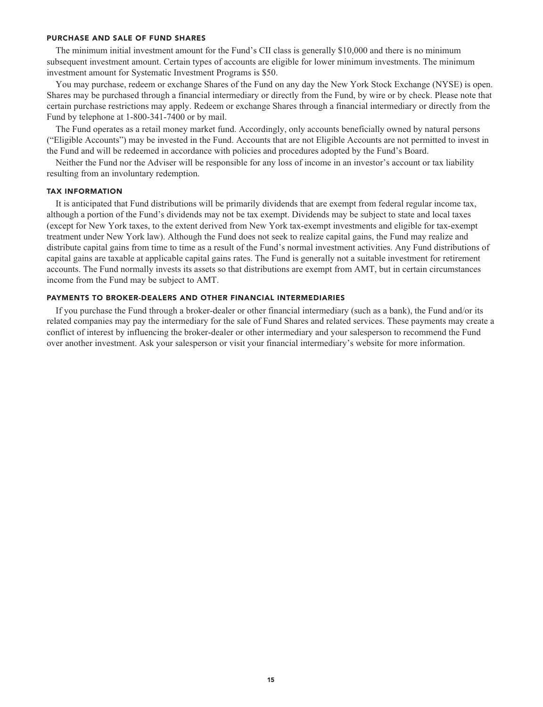#### **PURCHASE AND SALE OF FUND SHARES**

**The minimum initial investment amount for the Fund's CII class is generally \$10,000 and there is no minimum subsequent investment amount. Certain types of accounts are eligible for lower minimum investments. The minimum investment amount for Systematic Investment Programs is \$50.**

**You may purchase, redeem or exchange Shares of the Fund on any day the New York Stock Exchange (NYSE) is open. Shares may be purchased through a financial intermediary or directly from the Fund, by wire or by check. Please note that certain purchase restrictions may apply. Redeem or exchange Shares through a financial intermediary or directly from the Fund by telephone at 1-800-341-7400 or by mail.**

**The Fund operates as a retail money market fund. Accordingly, only accounts beneficially owned by natural persons ("Eligible Accounts") may be invested in the Fund. Accounts that are not Eligible Accounts are not permitted to invest in the Fund and will be redeemed in accordance with policies and procedures adopted by the Fund's Board.**

**Neither the Fund nor the Adviser will be responsible for any loss of income in an investor's account or tax liability resulting from an involuntary redemption.**

#### **TAX INFORMATION**

**It is anticipated that Fund distributions will be primarily dividends that are exempt from federal regular income tax, although a portion of the Fund's dividends may not be tax exempt. Dividends may be subject to state and local taxes (except for New York taxes, to the extent derived from New York tax-exempt investments and eligible for tax-exempt treatment under New York law). Although the Fund does not seek to realize capital gains, the Fund may realize and distribute capital gains from time to time as a result of the Fund's normal investment activities. Any Fund distributions of capital gains are taxable at applicable capital gains rates. The Fund is generally not a suitable investment for retirement accounts. The Fund normally invests its assets so that distributions are exempt from AMT, but in certain circumstances income from the Fund may be subject to AMT.**

#### **PAYMENTS TO BROKER-DEALERS AND OTHER FINANCIAL INTERMEDIARIES**

**If you purchase the Fund through a broker-dealer or other financial intermediary (such as a bank), the Fund and/or its related companies may pay the intermediary for the sale of Fund Shares and related services. These payments may create a conflict of interest by influencing the broker-dealer or other intermediary and your salesperson to recommend the Fund over another investment. Ask your salesperson or visit your financial intermediary's website for more information.**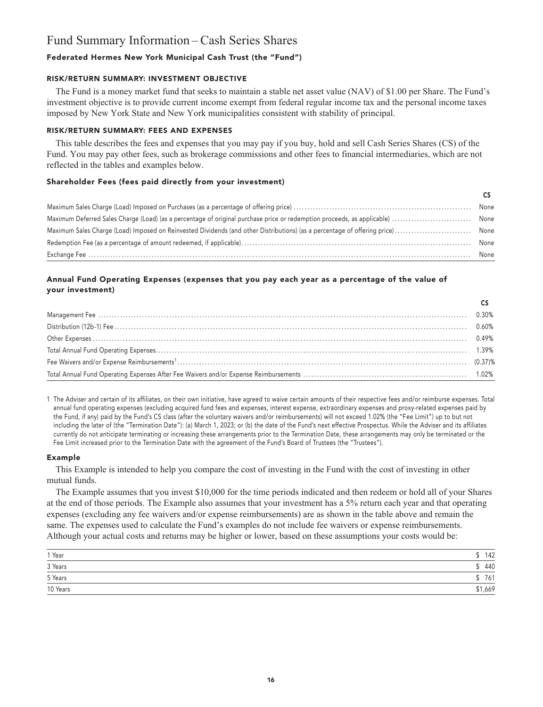# **Fund Summary Information – Cash Series Shares**

# **Federated Hermes New York Municipal Cash Trust (the "Fund")**

### **RISK/RETURN SUMMARY: INVESTMENT OBJECTIVE**

**The Fund is a money market fund that seeks to maintain a stable net asset value (NAV) of \$1.00 per Share. The Fund's investment objective is to provide current income exempt from federal regular income tax and the personal income taxes imposed by New York State and New York municipalities consistent with stability of principal.**

# **RISK/RETURN SUMMARY: FEES AND EXPENSES**

**This table describes the fees and expenses that you may pay if you buy, hold and sell Cash Series Shares (CS) of the Fund. You may pay other fees, such as brokerage commissions and other fees to financial intermediaries, which are not reflected in the tables and examples below.**

### **Shareholder Fees (fees paid directly from your investment)**

|                                                                                                                                                                                                                                                                                                                                                                                                                                                                    | None |
|--------------------------------------------------------------------------------------------------------------------------------------------------------------------------------------------------------------------------------------------------------------------------------------------------------------------------------------------------------------------------------------------------------------------------------------------------------------------|------|
| $\textbf{Exchange } \textbf{Fee} \textit{ \textbf{}} \textit{ \textbf{}} \textit{ \textbf{}} \textit{ \textbf{}} \textit{ \textbf{}} \textit{ \textbf{}} \textit{ \textbf{}} \textit{ \textbf{}} \textit{ \textbf{}} \textit{ \textbf{}} \textit{ \textbf{}} \textit{ \textbf{}} \textit{ \textbf{}} \textit{ \textbf{}} \textit{ \textbf{}} \textit{ \textbf{}} \textit{ \textbf{}} \textit{ \textbf{}} \textit{ \textbf{}} \textit{ \textbf{}} \textit{ \textbf$ | None |

# **Annual Fund Operating Expenses (expenses that you pay each year as a percentage of the value of your investment)**

**1 The Adviser and certain of its affiliates, on their own initiative, have agreed to waive certain amounts of their respective fees and/or reimburse expenses. Total annual fund operating expenses (excluding acquired fund fees and expenses, interest expense, extraordinary expenses and proxy-related expenses paid by the Fund, if any) paid by the Fund's CS class (after the voluntary waivers and/or reimbursements) will not exceed 1.02% (the "Fee Limit") up to but not including the later of (the "Termination Date"): (a) March 1, 2023; or (b) the date of the Fund's next effective Prospectus. While the Adviser and its affiliates currently do not anticipate terminating or increasing these arrangements prior to the Termination Date, these arrangements may only be terminated or the Fee Limit increased prior to the Termination Date with the agreement of the Fund's Board of Trustees (the "Trustees").**

#### **Example**

**This Example is intended to help you compare the cost of investing in the Fund with the cost of investing in other mutual funds.**

**The Example assumes that you invest \$10,000 for the time periods indicated and then redeem or hold all of your Shares at the end of those periods. The Example also assumes that your investment has a 5% return each year and that operating expenses (excluding any fee waivers and/or expense reimbursements) are as shown in the table above and remain the same. The expenses used to calculate the Fund's examples do not include fee waivers or expense reimbursements. Although your actual costs and returns may be higher or lower, based on these assumptions your costs would be:**

| 1 Year   | 142     |
|----------|---------|
| 3 Years  | 440     |
| 5 Years  | 761     |
| 10 Years | \$1,669 |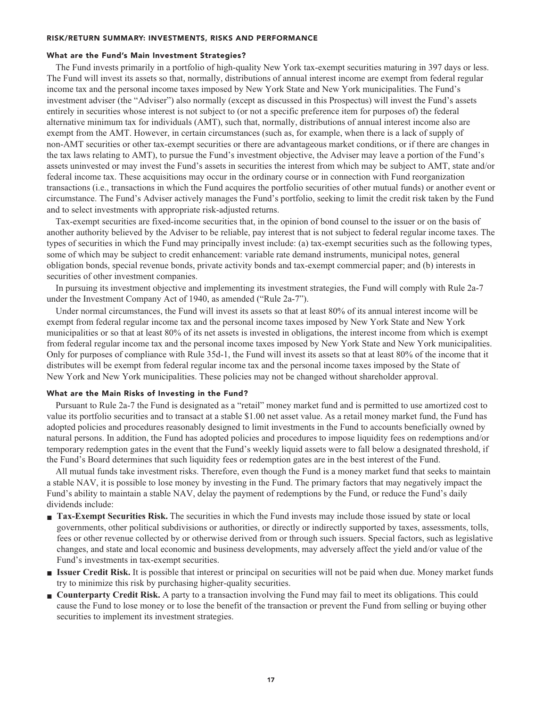#### **RISK/RETURN SUMMARY: INVESTMENTS, RISKS AND PERFORMANCE**

#### **What are the Fund's Main Investment Strategies?**

**The Fund invests primarily in a portfolio of high-quality New York tax-exempt securities maturing in 397 days or less. The Fund will invest its assets so that, normally, distributions of annual interest income are exempt from federal regular income tax and the personal income taxes imposed by New York State and New York municipalities. The Fund's investment adviser (the "Adviser") also normally (except as discussed in this Prospectus) will invest the Fund's assets entirely in securities whose interest is not subject to (or not a specific preference item for purposes of) the federal alternative minimum tax for individuals (AMT), such that, normally, distributions of annual interest income also are exempt from the AMT. However, in certain circumstances (such as, for example, when there is a lack of supply of non-AMT securities or other tax-exempt securities or there are advantageous market conditions, or if there are changes in the tax laws relating to AMT), to pursue the Fund's investment objective, the Adviser may leave a portion of the Fund's assets uninvested or may invest the Fund's assets in securities the interest from which may be subject to AMT, state and/or federal income tax. These acquisitions may occur in the ordinary course or in connection with Fund reorganization transactions (i.e., transactions in which the Fund acquires the portfolio securities of other mutual funds) or another event or circumstance. The Fund's Adviser actively manages the Fund's portfolio, seeking to limit the credit risk taken by the Fund and to select investments with appropriate risk-adjusted returns.**

**Tax-exempt securities are fixed-income securities that, in the opinion of bond counsel to the issuer or on the basis of another authority believed by the Adviser to be reliable, pay interest that is not subject to federal regular income taxes. The types of securities in which the Fund may principally invest include: (a) tax-exempt securities such as the following types, some of which may be subject to credit enhancement: variable rate demand instruments, municipal notes, general obligation bonds, special revenue bonds, private activity bonds and tax-exempt commercial paper; and (b) interests in securities of other investment companies.**

**In pursuing its investment objective and implementing its investment strategies, the Fund will comply with Rule 2a-7 under the Investment Company Act of 1940, as amended ("Rule 2a-7").**

**Under normal circumstances, the Fund will invest its assets so that at least 80% of its annual interest income will be exempt from federal regular income tax and the personal income taxes imposed by New York State and New York municipalities or so that at least 80% of its net assets is invested in obligations, the interest income from which is exempt from federal regular income tax and the personal income taxes imposed by New York State and New York municipalities. Only for purposes of compliance with Rule 35d-1, the Fund will invest its assets so that at least 80% of the income that it distributes will be exempt from federal regular income tax and the personal income taxes imposed by the State of New York and New York municipalities. These policies may not be changed without shareholder approval.**

#### **What are the Main Risks of Investing in the Fund?**

**Pursuant to Rule 2a-7 the Fund is designated as a "retail" money market fund and is permitted to use amortized cost to value its portfolio securities and to transact at a stable \$1.00 net asset value. As a retail money market fund, the Fund has adopted policies and procedures reasonably designed to limit investments in the Fund to accounts beneficially owned by natural persons. In addition, the Fund has adopted policies and procedures to impose liquidity fees on redemptions and/or temporary redemption gates in the event that the Fund's weekly liquid assets were to fall below a designated threshold, if the Fund's Board determines that such liquidity fees or redemption gates are in the best interest of the Fund.**

**All mutual funds take investment risks. Therefore, even though the Fund is a money market fund that seeks to maintain a stable NAV, it is possible to lose money by investing in the Fund. The primary factors that may negatively impact the Fund's ability to maintain a stable NAV, delay the payment of redemptions by the Fund, or reduce the Fund's daily dividends include:**

- **Tax-Exempt Securities Risk.** The securities in which the Fund invests may include those issued by state or local **governments, other political subdivisions or authorities, or directly or indirectly supported by taxes, assessments, tolls, fees or other revenue collected by or otherwise derived from or through such issuers. Special factors, such as legislative changes, and state and local economic and business developments, may adversely affect the yield and/or value of the Fund's investments in tax-exempt securities.**
- **■ Issuer Credit Risk. It is possible that interest or principal on securities will not be paid when due. Money market funds try to minimize this risk by purchasing higher-quality securities.**
- **Counterparty Credit Risk.** A party to a transaction involving the Fund may fail to meet its obligations. This could **cause the Fund to lose money or to lose the benefit of the transaction or prevent the Fund from selling or buying other securities to implement its investment strategies.**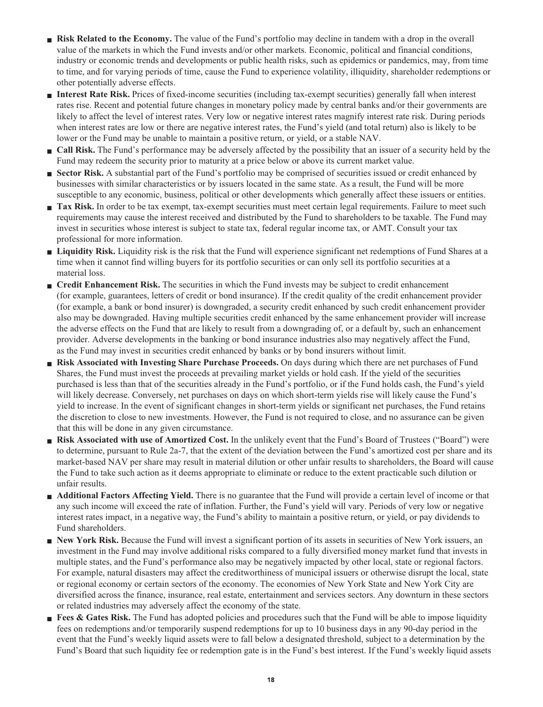- **Risk Related to the Economy.** The value of the Fund's portfolio may decline in tandem with a drop in the overall **value of the markets in which the Fund invests and/or other markets. Economic, political and financial conditions, industry or economic trends and developments or public health risks, such as epidemics or pandemics, may, from time to time, and for varying periods of time, cause the Fund to experience volatility, illiquidity, shareholder redemptions or other potentially adverse effects.**
- **■ Interest Rate Risk. Prices of fixed-income securities (including tax-exempt securities) generally fall when interest rates rise. Recent and potential future changes in monetary policy made by central banks and/or their governments are likely to affect the level of interest rates. Very low or negative interest rates magnify interest rate risk. During periods when interest rates are low or there are negative interest rates, the Fund's yield (and total return) also is likely to be lower or the Fund may be unable to maintain a positive return, or yield, or a stable NAV.**
- **Call Risk.** The Fund's performance may be adversely affected by the possibility that an issuer of a security held by the **Fund may redeem the security prior to maturity at a price below or above its current market value.**
- **Sector Risk.** A substantial part of the Fund's portfolio may be comprised of securities issued or credit enhanced by **businesses with similar characteristics or by issuers located in the same state. As a result, the Fund will be more susceptible to any economic, business, political or other developments which generally affect these issuers or entities.**
- **Tax Risk.** In order to be tax exempt, tax-exempt securities must meet certain legal requirements. Failure to meet such **requirements may cause the interest received and distributed by the Fund to shareholders to be taxable. The Fund may invest in securities whose interest is subject to state tax, federal regular income tax, or AMT. Consult your tax professional for more information.**
- **■ Liquidity Risk. Liquidity risk is the risk that the Fund will experience significant net redemptions of Fund Shares at a time when it cannot find willing buyers for its portfolio securities or can only sell its portfolio securities at a material loss.**
- **■ Credit Enhancement Risk.** The securities in which the Fund invests may be subject to credit enhancement **(for example, guarantees, letters of credit or bond insurance). If the credit quality of the credit enhancement provider (for example, a bank or bond insurer) is downgraded, a security credit enhanced by such credit enhancement provider also may be downgraded. Having multiple securities credit enhanced by the same enhancement provider will increase the adverse effects on the Fund that are likely to result from a downgrading of, or a default by, such an enhancement provider. Adverse developments in the banking or bond insurance industries also may negatively affect the Fund, as the Fund may invest in securities credit enhanced by banks or by bond insurers without limit.**
- **■ Risk Associated with Investing Share Purchase Proceeds. On days during which there are net purchases of Fund Shares, the Fund must invest the proceeds at prevailing market yields or hold cash. If the yield of the securities purchased is less than that of the securities already in the Fund's portfolio, or if the Fund holds cash, the Fund's yield will likely decrease. Conversely, net purchases on days on which short-term yields rise will likely cause the Fund's yield to increase. In the event of significant changes in short-term yields or significant net purchases, the Fund retains the discretion to close to new investments. However, the Fund is not required to close, and no assurance can be given that this will be done in any given circumstance.**
- **■ Risk Associated with use of Amortized Cost. In the unlikely event that the Fund's Board of Trustees ("Board") were to determine, pursuant to Rule 2a-7, that the extent of the deviation between the Fund's amortized cost per share and its market-based NAV per share may result in material dilution or other unfair results to shareholders, the Board will cause the Fund to take such action as it deems appropriate to eliminate or reduce to the extent practicable such dilution or unfair results.**
- **Additional Factors Affecting Yield.** There is no guarantee that the Fund will provide a certain level of income or that **any such income will exceed the rate of inflation. Further, the Fund's yield will vary. Periods of very low or negative interest rates impact, in a negative way, the Fund's ability to maintain a positive return, or yield, or pay dividends to Fund shareholders.**
- **New York Risk.** Because the Fund will invest a significant portion of its assets in securities of New York issuers, an **investment in the Fund may involve additional risks compared to a fully diversified money market fund that invests in multiple states, and the Fund's performance also may be negatively impacted by other local, state or regional factors. For example, natural disasters may affect the creditworthiness of municipal issuers or otherwise disrupt the local, state or regional economy or certain sectors of the economy. The economies of New York State and New York City are diversified across the finance, insurance, real estate, entertainment and services sectors. Any downturn in these sectors or related industries may adversely affect the economy of the state.**
- **Fees & Gates Risk.** The Fund has adopted policies and procedures such that the Fund will be able to impose liquidity **fees on redemptions and/or temporarily suspend redemptions for up to 10 business days in any 90-day period in the event that the Fund's weekly liquid assets were to fall below a designated threshold, subject to a determination by the Fund's Board that such liquidity fee or redemption gate is in the Fund's best interest. If the Fund's weekly liquid assets**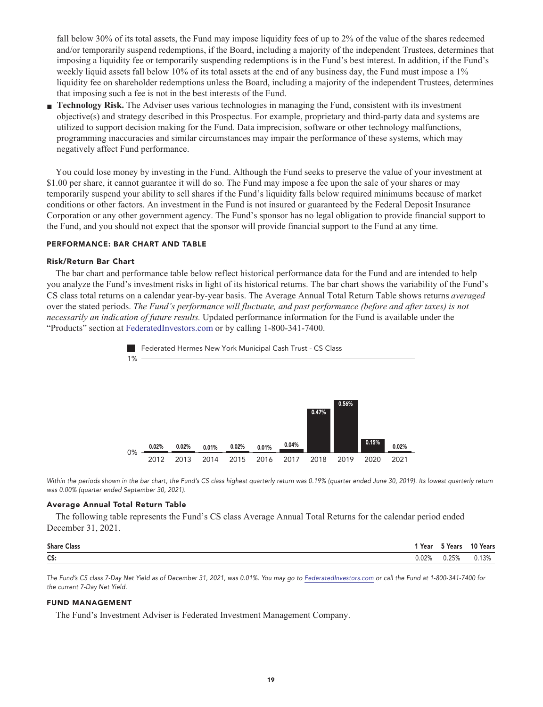**fall below 30% of its total assets, the Fund may impose liquidity fees of up to 2% of the value of the shares redeemed and/or temporarily suspend redemptions, if the Board, including a majority of the independent Trustees, determines that imposing a liquidity fee or temporarily suspending redemptions is in the Fund's best interest. In addition, if the Fund's weekly liquid assets fall below 10% of its total assets at the end of any business day, the Fund must impose a 1% liquidity fee on shareholder redemptions unless the Board, including a majority of the independent Trustees, determines that imposing such a fee is not in the best interests of the Fund.**

**■ Technology Risk. The Adviser uses various technologies in managing the Fund, consistent with its investment objective(s) and strategy described in this Prospectus. For example, proprietary and third-party data and systems are utilized to support decision making for the Fund. Data imprecision, software or other technology malfunctions, programming inaccuracies and similar circumstances may impair the performance of these systems, which may negatively affect Fund performance.**

**You could lose money by investing in the Fund. Although the Fund seeks to preserve the value of your investment at \$1.00 per share, it cannot guarantee it will do so. The Fund may impose a fee upon the sale of your shares or may temporarily suspend your ability to sell shares if the Fund's liquidity falls below required minimums because of market conditions or other factors. An investment in the Fund is not insured or guaranteed by the Federal Deposit Insurance Corporation or any other government agency. The Fund's sponsor has no legal obligation to provide financial support to the Fund, and you should not expect that the sponsor will provide financial support to the Fund at any time.**

#### **PERFORMANCE: BAR CHART AND TABLE**

#### **Risk/Return Bar Chart**

**The bar chart and performance table below reflect historical performance data for the Fund and are intended to help you analyze the Fund's investment risks in light of its historical returns. The bar chart shows the variability of the Fund's CS class total returns on a calendar year-by-year basis. The Average Annual Total Return Table shows returns** *averaged* **over the stated periods.** *The Fund's performance will fluctuate, and past performance (before and after taxes) is not necessarily an indication of future results.* **Updated performance information for the Fund is available under the "Products" section at [FederatedInvestors.com](https://www.federatedinvestors.com/home.do) or by calling 1-800-341-7400.**



Within the periods shown in the bar chart, the Fund's CS class highest quarterly return was 0.19% (quarter ended June 30, 2019). Its lowest quarterly return **was 0.00% (quarter ended September 30, 2021).**

#### **Average Annual Total Return Table**

**The following table represents the Fund's CS class Average Annual Total Returns for the calendar period ended December 31, 2021.**

| <b>Share Class</b> | 'Year | <sup>ក</sup> Years | 10 Years |
|--------------------|-------|--------------------|----------|
| CS:                | J.02% | 0.25%              | 0.13%    |

**The Fund's CS class 7-Day Net Yield as of December 31, 2021, was 0.01%. You may go to [FederatedInvestors.com](https://www.federatedinvestors.com/home.do) or call the Fund at 1-800-341-7400 for the current 7-Day Net Yield.**

#### **FUND MANAGEMENT**

**The Fund's Investment Adviser is Federated Investment Management Company.**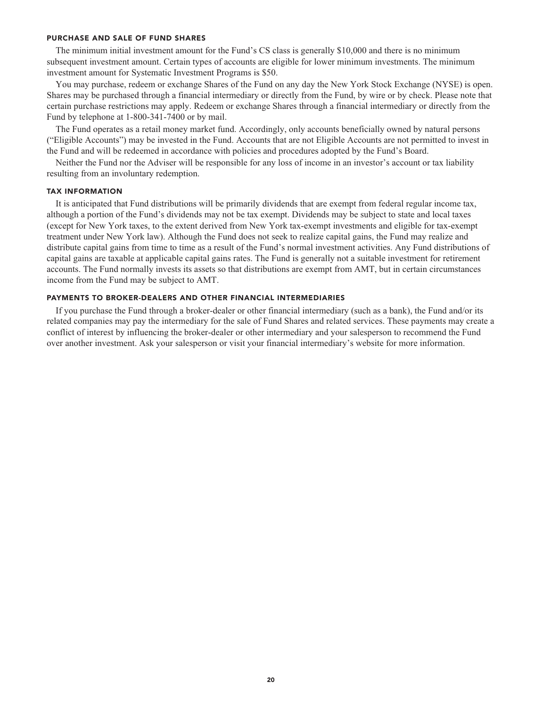#### **PURCHASE AND SALE OF FUND SHARES**

**The minimum initial investment amount for the Fund's CS class is generally \$10,000 and there is no minimum subsequent investment amount. Certain types of accounts are eligible for lower minimum investments. The minimum investment amount for Systematic Investment Programs is \$50.**

**You may purchase, redeem or exchange Shares of the Fund on any day the New York Stock Exchange (NYSE) is open. Shares may be purchased through a financial intermediary or directly from the Fund, by wire or by check. Please note that certain purchase restrictions may apply. Redeem or exchange Shares through a financial intermediary or directly from the Fund by telephone at 1-800-341-7400 or by mail.**

**The Fund operates as a retail money market fund. Accordingly, only accounts beneficially owned by natural persons ("Eligible Accounts") may be invested in the Fund. Accounts that are not Eligible Accounts are not permitted to invest in the Fund and will be redeemed in accordance with policies and procedures adopted by the Fund's Board.**

**Neither the Fund nor the Adviser will be responsible for any loss of income in an investor's account or tax liability resulting from an involuntary redemption.**

#### **TAX INFORMATION**

**It is anticipated that Fund distributions will be primarily dividends that are exempt from federal regular income tax, although a portion of the Fund's dividends may not be tax exempt. Dividends may be subject to state and local taxes (except for New York taxes, to the extent derived from New York tax-exempt investments and eligible for tax-exempt treatment under New York law). Although the Fund does not seek to realize capital gains, the Fund may realize and distribute capital gains from time to time as a result of the Fund's normal investment activities. Any Fund distributions of capital gains are taxable at applicable capital gains rates. The Fund is generally not a suitable investment for retirement accounts. The Fund normally invests its assets so that distributions are exempt from AMT, but in certain circumstances income from the Fund may be subject to AMT.**

#### **PAYMENTS TO BROKER-DEALERS AND OTHER FINANCIAL INTERMEDIARIES**

**If you purchase the Fund through a broker-dealer or other financial intermediary (such as a bank), the Fund and/or its related companies may pay the intermediary for the sale of Fund Shares and related services. These payments may create a conflict of interest by influencing the broker-dealer or other intermediary and your salesperson to recommend the Fund over another investment. Ask your salesperson or visit your financial intermediary's website for more information.**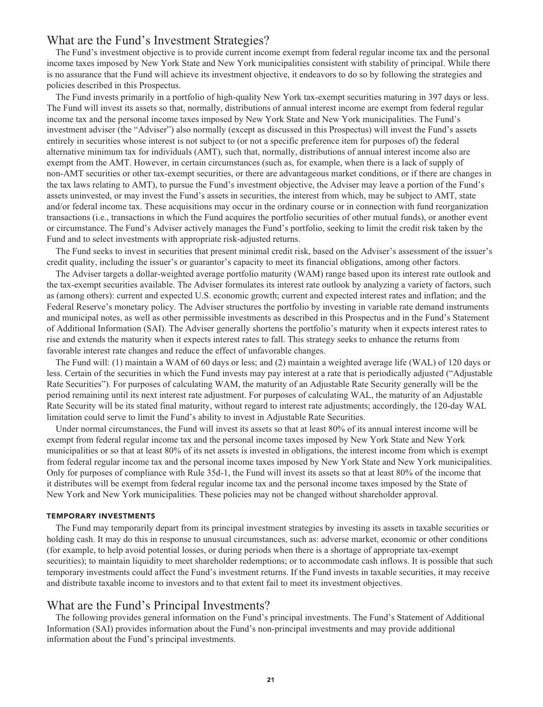# **What are the Fund's Investment Strategies?**

**The Fund's investment objective is to provide current income exempt from federal regular income tax and the personal income taxes imposed by New York State and New York municipalities consistent with stability of principal. While there is no assurance that the Fund will achieve its investment objective, it endeavors to do so by following the strategies and policies described in this Prospectus.**

**The Fund invests primarily in a portfolio of high-quality New York tax-exempt securities maturing in 397 days or less. The Fund will invest its assets so that, normally, distributions of annual interest income are exempt from federal regular income tax and the personal income taxes imposed by New York State and New York municipalities. The Fund's investment adviser (the "Adviser") also normally (except as discussed in this Prospectus) will invest the Fund's assets entirely in securities whose interest is not subject to (or not a specific preference item for purposes of) the federal alternative minimum tax for individuals (AMT), such that, normally, distributions of annual interest income also are exempt from the AMT. However, in certain circumstances (such as, for example, when there is a lack of supply of non-AMT securities or other tax-exempt securities, or there are advantageous market conditions, or if there are changes in the tax laws relating to AMT), to pursue the Fund's investment objective, the Adviser may leave a portion of the Fund's assets uninvested, or may invest the Fund's assets in securities, the interest from which, may be subject to AMT, state and/or federal income tax. These acquisitions may occur in the ordinary course or in connection with fund reorganization transactions (i.e., transactions in which the Fund acquires the portfolio securities of other mutual funds), or another event or circumstance. The Fund's Adviser actively manages the Fund's portfolio, seeking to limit the credit risk taken by the Fund and to select investments with appropriate risk-adjusted returns.**

**The Fund seeks to invest in securities that present minimal credit risk, based on the Adviser's assessment of the issuer's credit quality, including the issuer's or guarantor's capacity to meet its financial obligations, among other factors.**

**The Adviser targets a dollar-weighted average portfolio maturity (WAM) range based upon its interest rate outlook and the tax-exempt securities available. The Adviser formulates its interest rate outlook by analyzing a variety of factors, such as (among others): current and expected U.S. economic growth; current and expected interest rates and inflation; and the Federal Reserve's monetary policy. The Adviser structures the portfolio by investing in variable rate demand instruments and municipal notes, as well as other permissible investments as described in this Prospectus and in the Fund's Statement of Additional Information (SAI). The Adviser generally shortens the portfolio's maturity when it expects interest rates to rise and extends the maturity when it expects interest rates to fall. This strategy seeks to enhance the returns from favorable interest rate changes and reduce the effect of unfavorable changes.**

**The Fund will: (1) maintain a WAM of 60 days or less; and (2) maintain a weighted average life (WAL) of 120 days or less. Certain of the securities in which the Fund invests may pay interest at a rate that is periodically adjusted ("Adjustable Rate Securities"). For purposes of calculating WAM, the maturity of an Adjustable Rate Security generally will be the period remaining until its next interest rate adjustment. For purposes of calculating WAL, the maturity of an Adjustable Rate Security will be its stated final maturity, without regard to interest rate adjustments; accordingly, the 120-day WAL limitation could serve to limit the Fund's ability to invest in Adjustable Rate Securities.**

**Under normal circumstances, the Fund will invest its assets so that at least 80% of its annual interest income will be exempt from federal regular income tax and the personal income taxes imposed by New York State and New York municipalities or so that at least 80% of its net assets is invested in obligations, the interest income from which is exempt from federal regular income tax and the personal income taxes imposed by New York State and New York municipalities. Only for purposes of compliance with Rule 35d-1, the Fund will invest its assets so that at least 80% of the income that it distributes will be exempt from federal regular income tax and the personal income taxes imposed by the State of New York and New York municipalities. These policies may not be changed without shareholder approval.**

#### **TEMPORARY INVESTMENTS**

**The Fund may temporarily depart from its principal investment strategies by investing its assets in taxable securities or holding cash. It may do this in response to unusual circumstances, such as: adverse market, economic or other conditions (for example, to help avoid potential losses, or during periods when there is a shortage of appropriate tax-exempt securities); to maintain liquidity to meet shareholder redemptions; or to accommodate cash inflows. It is possible that such temporary investments could affect the Fund's investment returns. If the Fund invests in taxable securities, it may receive and distribute taxable income to investors and to that extent fail to meet its investment objectives.**

# **What are the Fund's Principal Investments?**

**The following provides general information on the Fund's principal investments. The Fund's Statement of Additional Information (SAI) provides information about the Fund's non-principal investments and may provide additional information about the Fund's principal investments.**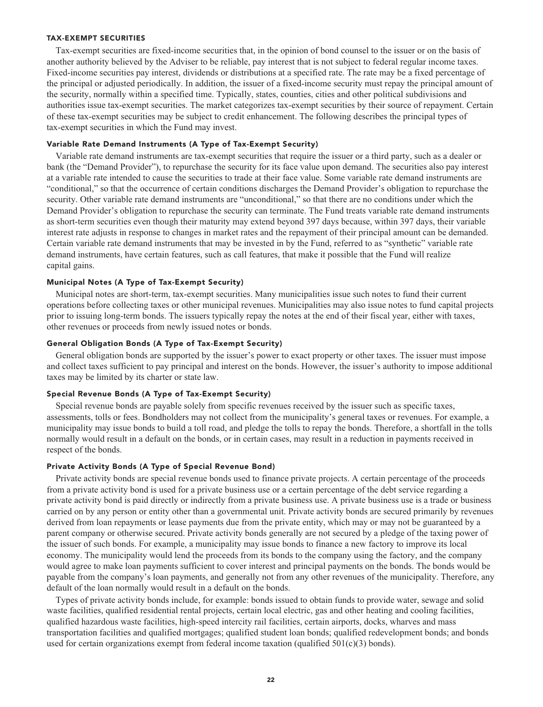#### **TAX-EXEMPT SECURITIES**

**Tax-exempt securities are fixed-income securities that, in the opinion of bond counsel to the issuer or on the basis of another authority believed by the Adviser to be reliable, pay interest that is not subject to federal regular income taxes. Fixed-income securities pay interest, dividends or distributions at a specified rate. The rate may be a fixed percentage of the principal or adjusted periodically. In addition, the issuer of a fixed-income security must repay the principal amount of the security, normally within a specified time. Typically, states, counties, cities and other political subdivisions and authorities issue tax-exempt securities. The market categorizes tax-exempt securities by their source of repayment. Certain of these tax-exempt securities may be subject to credit enhancement. The following describes the principal types of tax-exempt securities in which the Fund may invest.**

#### **Variable Rate Demand Instruments (A Type of Tax-Exempt Security)**

**Variable rate demand instruments are tax-exempt securities that require the issuer or a third party, such as a dealer or bank (the "Demand Provider"), to repurchase the security for its face value upon demand. The securities also pay interest at a variable rate intended to cause the securities to trade at their face value. Some variable rate demand instruments are "conditional," so that the occurrence of certain conditions discharges the Demand Provider's obligation to repurchase the security. Other variable rate demand instruments are "unconditional," so that there are no conditions under which the Demand Provider's obligation to repurchase the security can terminate. The Fund treats variable rate demand instruments as short-term securities even though their maturity may extend beyond 397 days because, within 397 days, their variable interest rate adjusts in response to changes in market rates and the repayment of their principal amount can be demanded. Certain variable rate demand instruments that may be invested in by the Fund, referred to as "synthetic" variable rate demand instruments, have certain features, such as call features, that make it possible that the Fund will realize capital gains.**

#### **Municipal Notes (A Type of Tax-Exempt Security)**

**Municipal notes are short-term, tax-exempt securities. Many municipalities issue such notes to fund their current operations before collecting taxes or other municipal revenues. Municipalities may also issue notes to fund capital projects prior to issuing long-term bonds. The issuers typically repay the notes at the end of their fiscal year, either with taxes, other revenues or proceeds from newly issued notes or bonds.**

#### **General Obligation Bonds (A Type of Tax-Exempt Security)**

**General obligation bonds are supported by the issuer's power to exact property or other taxes. The issuer must impose and collect taxes sufficient to pay principal and interest on the bonds. However, the issuer's authority to impose additional taxes may be limited by its charter or state law.**

#### **Special Revenue Bonds (A Type of Tax-Exempt Security)**

**Special revenue bonds are payable solely from specific revenues received by the issuer such as specific taxes, assessments, tolls or fees. Bondholders may not collect from the municipality's general taxes or revenues. For example, a municipality may issue bonds to build a toll road, and pledge the tolls to repay the bonds. Therefore, a shortfall in the tolls normally would result in a default on the bonds, or in certain cases, may result in a reduction in payments received in respect of the bonds.**

#### **Private Activity Bonds (A Type of Special Revenue Bond)**

**Private activity bonds are special revenue bonds used to finance private projects. A certain percentage of the proceeds from a private activity bond is used for a private business use or a certain percentage of the debt service regarding a private activity bond is paid directly or indirectly from a private business use. A private business use is a trade or business carried on by any person or entity other than a governmental unit. Private activity bonds are secured primarily by revenues derived from loan repayments or lease payments due from the private entity, which may or may not be guaranteed by a parent company or otherwise secured. Private activity bonds generally are not secured by a pledge of the taxing power of the issuer of such bonds. For example, a municipality may issue bonds to finance a new factory to improve its local economy. The municipality would lend the proceeds from its bonds to the company using the factory, and the company would agree to make loan payments sufficient to cover interest and principal payments on the bonds. The bonds would be payable from the company's loan payments, and generally not from any other revenues of the municipality. Therefore, any default of the loan normally would result in a default on the bonds.**

**Types of private activity bonds include, for example: bonds issued to obtain funds to provide water, sewage and solid waste facilities, qualified residential rental projects, certain local electric, gas and other heating and cooling facilities, qualified hazardous waste facilities, high-speed intercity rail facilities, certain airports, docks, wharves and mass transportation facilities and qualified mortgages; qualified student loan bonds; qualified redevelopment bonds; and bonds used for certain organizations exempt from federal income taxation (qualified 501(c)(3) bonds).**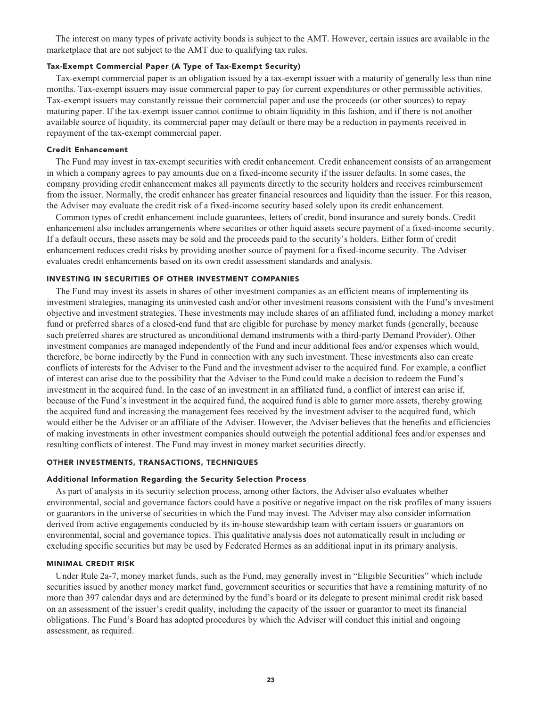**The interest on many types of private activity bonds is subject to the AMT. However, certain issues are available in the marketplace that are not subject to the AMT due to qualifying tax rules.**

### **Tax-Exempt Commercial Paper (A Type of Tax-Exempt Security)**

**Tax-exempt commercial paper is an obligation issued by a tax-exempt issuer with a maturity of generally less than nine months. Tax-exempt issuers may issue commercial paper to pay for current expenditures or other permissible activities. Tax-exempt issuers may constantly reissue their commercial paper and use the proceeds (or other sources) to repay maturing paper. If the tax-exempt issuer cannot continue to obtain liquidity in this fashion, and if there is not another available source of liquidity, its commercial paper may default or there may be a reduction in payments received in repayment of the tax-exempt commercial paper.**

#### **Credit Enhancement**

**The Fund may invest in tax-exempt securities with credit enhancement. Credit enhancement consists of an arrangement in which a company agrees to pay amounts due on a fixed-income security if the issuer defaults. In some cases, the company providing credit enhancement makes all payments directly to the security holders and receives reimbursement from the issuer. Normally, the credit enhancer has greater financial resources and liquidity than the issuer. For this reason, the Adviser may evaluate the credit risk of a fixed-income security based solely upon its credit enhancement.**

**Common types of credit enhancement include guarantees, letters of credit, bond insurance and surety bonds. Credit enhancement also includes arrangements where securities or other liquid assets secure payment of a fixed-income security. If a default occurs, these assets may be sold and the proceeds paid to the security's holders. Either form of credit enhancement reduces credit risks by providing another source of payment for a fixed-income security. The Adviser evaluates credit enhancements based on its own credit assessment standards and analysis.**

#### **INVESTING IN SECURITIES OF OTHER INVESTMENT COMPANIES**

**The Fund may invest its assets in shares of other investment companies as an efficient means of implementing its investment strategies, managing its uninvested cash and/or other investment reasons consistent with the Fund's investment objective and investment strategies. These investments may include shares of an affiliated fund, including a money market fund or preferred shares of a closed-end fund that are eligible for purchase by money market funds (generally, because such preferred shares are structured as unconditional demand instruments with a third-party Demand Provider). Other investment companies are managed independently of the Fund and incur additional fees and/or expenses which would, therefore, be borne indirectly by the Fund in connection with any such investment. These investments also can create conflicts of interests for the Adviser to the Fund and the investment adviser to the acquired fund. For example, a conflict of interest can arise due to the possibility that the Adviser to the Fund could make a decision to redeem the Fund's investment in the acquired fund. In the case of an investment in an affiliated fund, a conflict of interest can arise if, because of the Fund's investment in the acquired fund, the acquired fund is able to garner more assets, thereby growing the acquired fund and increasing the management fees received by the investment adviser to the acquired fund, which would either be the Adviser or an affiliate of the Adviser. However, the Adviser believes that the benefits and efficiencies of making investments in other investment companies should outweigh the potential additional fees and/or expenses and resulting conflicts of interest. The Fund may invest in money market securities directly.**

#### **OTHER INVESTMENTS, TRANSACTIONS, TECHNIQUES**

#### **Additional Information Regarding the Security Selection Process**

**As part of analysis in its security selection process, among other factors, the Adviser also evaluates whether environmental, social and governance factors could have a positive or negative impact on the risk profiles of many issuers or guarantors in the universe of securities in which the Fund may invest. The Adviser may also consider information derived from active engagements conducted by its in-house stewardship team with certain issuers or guarantors on environmental, social and governance topics. This qualitative analysis does not automatically result in including or excluding specific securities but may be used by Federated Hermes as an additional input in its primary analysis.**

#### **MINIMAL CREDIT RISK**

**Under Rule 2a-7, money market funds, such as the Fund, may generally invest in "Eligible Securities" which include securities issued by another money market fund, government securities or securities that have a remaining maturity of no more than 397 calendar days and are determined by the fund's board or its delegate to present minimal credit risk based on an assessment of the issuer's credit quality, including the capacity of the issuer or guarantor to meet its financial obligations. The Fund's Board has adopted procedures by which the Adviser will conduct this initial and ongoing assessment, as required.**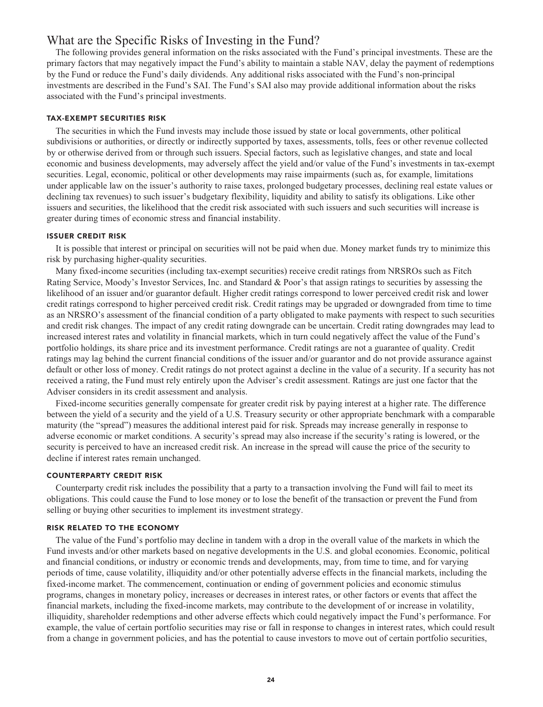# **What are the Specific Risks of Investing in the Fund?**

**The following provides general information on the risks associated with the Fund's principal investments. These are the primary factors that may negatively impact the Fund's ability to maintain a stable NAV, delay the payment of redemptions by the Fund or reduce the Fund's daily dividends. Any additional risks associated with the Fund's non-principal investments are described in the Fund's SAI. The Fund's SAI also may provide additional information about the risks associated with the Fund's principal investments.**

#### **TAX-EXEMPT SECURITIES RISK**

**The securities in which the Fund invests may include those issued by state or local governments, other political subdivisions or authorities, or directly or indirectly supported by taxes, assessments, tolls, fees or other revenue collected by or otherwise derived from or through such issuers. Special factors, such as legislative changes, and state and local economic and business developments, may adversely affect the yield and/or value of the Fund's investments in tax-exempt securities. Legal, economic, political or other developments may raise impairments (such as, for example, limitations under applicable law on the issuer's authority to raise taxes, prolonged budgetary processes, declining real estate values or declining tax revenues) to such issuer's budgetary flexibility, liquidity and ability to satisfy its obligations. Like other issuers and securities, the likelihood that the credit risk associated with such issuers and such securities will increase is greater during times of economic stress and financial instability.**

#### **ISSUER CREDIT RISK**

**It is possible that interest or principal on securities will not be paid when due. Money market funds try to minimize this risk by purchasing higher-quality securities.**

**Many fixed-income securities (including tax-exempt securities) receive credit ratings from NRSROs such as Fitch Rating Service, Moody's Investor Services, Inc. and Standard & Poor's that assign ratings to securities by assessing the likelihood of an issuer and/or guarantor default. Higher credit ratings correspond to lower perceived credit risk and lower credit ratings correspond to higher perceived credit risk. Credit ratings may be upgraded or downgraded from time to time as an NRSRO's assessment of the financial condition of a party obligated to make payments with respect to such securities and credit risk changes. The impact of any credit rating downgrade can be uncertain. Credit rating downgrades may lead to increased interest rates and volatility in financial markets, which in turn could negatively affect the value of the Fund's portfolio holdings, its share price and its investment performance. Credit ratings are not a guarantee of quality. Credit ratings may lag behind the current financial conditions of the issuer and/or guarantor and do not provide assurance against default or other loss of money. Credit ratings do not protect against a decline in the value of a security. If a security has not received a rating, the Fund must rely entirely upon the Adviser's credit assessment. Ratings are just one factor that the Adviser considers in its credit assessment and analysis.**

**Fixed-income securities generally compensate for greater credit risk by paying interest at a higher rate. The difference between the yield of a security and the yield of a U.S. Treasury security or other appropriate benchmark with a comparable maturity (the "spread") measures the additional interest paid for risk. Spreads may increase generally in response to adverse economic or market conditions. A security's spread may also increase if the security's rating is lowered, or the security is perceived to have an increased credit risk. An increase in the spread will cause the price of the security to decline if interest rates remain unchanged.**

#### **COUNTERPARTY CREDIT RISK**

**Counterparty credit risk includes the possibility that a party to a transaction involving the Fund will fail to meet its obligations. This could cause the Fund to lose money or to lose the benefit of the transaction or prevent the Fund from selling or buying other securities to implement its investment strategy.**

#### **RISK RELATED TO THE ECONOMY**

**The value of the Fund's portfolio may decline in tandem with a drop in the overall value of the markets in which the Fund invests and/or other markets based on negative developments in the U.S. and global economies. Economic, political and financial conditions, or industry or economic trends and developments, may, from time to time, and for varying periods of time, cause volatility, illiquidity and/or other potentially adverse effects in the financial markets, including the fixed-income market. The commencement, continuation or ending of government policies and economic stimulus programs, changes in monetary policy, increases or decreases in interest rates, or other factors or events that affect the financial markets, including the fixed-income markets, may contribute to the development of or increase in volatility, illiquidity, shareholder redemptions and other adverse effects which could negatively impact the Fund's performance. For example, the value of certain portfolio securities may rise or fall in response to changes in interest rates, which could result from a change in government policies, and has the potential to cause investors to move out of certain portfolio securities,**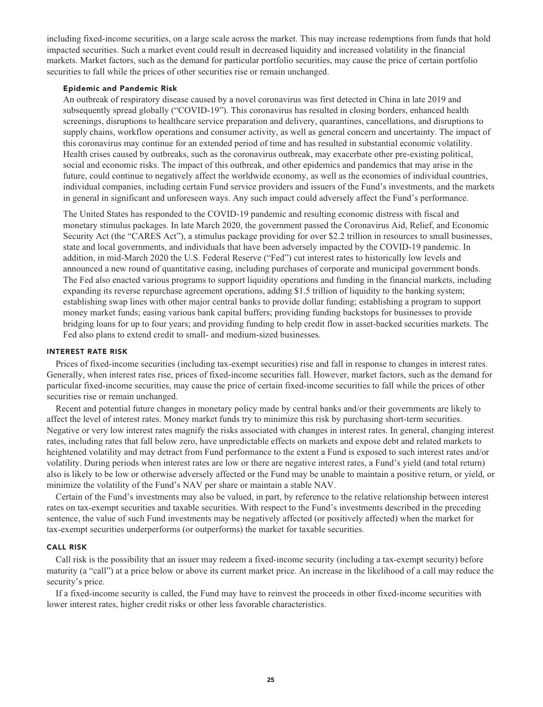**including fixed-income securities, on a large scale across the market. This may increase redemptions from funds that hold impacted securities. Such a market event could result in decreased liquidity and increased volatility in the financial markets. Market factors, such as the demand for particular portfolio securities, may cause the price of certain portfolio securities to fall while the prices of other securities rise or remain unchanged.**

#### **Epidemic and Pandemic Risk**

**An outbreak of respiratory disease caused by a novel coronavirus was first detected in China in late 2019 and subsequently spread globally ("COVID-19"). This coronavirus has resulted in closing borders, enhanced health screenings, disruptions to healthcare service preparation and delivery, quarantines, cancellations, and disruptions to supply chains, workflow operations and consumer activity, as well as general concern and uncertainty. The impact of this coronavirus may continue for an extended period of time and has resulted in substantial economic volatility. Health crises caused by outbreaks, such as the coronavirus outbreak, may exacerbate other pre-existing political, social and economic risks. The impact of this outbreak, and other epidemics and pandemics that may arise in the future, could continue to negatively affect the worldwide economy, as well as the economies of individual countries, individual companies, including certain Fund service providers and issuers of the Fund's investments, and the markets in general in significant and unforeseen ways. Any such impact could adversely affect the Fund's performance.**

**The United States has responded to the COVID-19 pandemic and resulting economic distress with fiscal and monetary stimulus packages. In late March 2020, the government passed the Coronavirus Aid, Relief, and Economic Security Act (the "CARES Act"), a stimulus package providing for over \$2.2 trillion in resources to small businesses, state and local governments, and individuals that have been adversely impacted by the COVID-19 pandemic. In addition, in mid-March 2020 the U.S. Federal Reserve ("Fed") cut interest rates to historically low levels and announced a new round of quantitative easing, including purchases of corporate and municipal government bonds. The Fed also enacted various programs to support liquidity operations and funding in the financial markets, including expanding its reverse repurchase agreement operations, adding \$1.5 trillion of liquidity to the banking system; establishing swap lines with other major central banks to provide dollar funding; establishing a program to support money market funds; easing various bank capital buffers; providing funding backstops for businesses to provide bridging loans for up to four years; and providing funding to help credit flow in asset-backed securities markets. The Fed also plans to extend credit to small- and medium-sized businesses.**

#### **INTEREST RATE RISK**

**Prices of fixed-income securities (including tax-exempt securities) rise and fall in response to changes in interest rates. Generally, when interest rates rise, prices of fixed-income securities fall. However, market factors, such as the demand for particular fixed-income securities, may cause the price of certain fixed-income securities to fall while the prices of other securities rise or remain unchanged.**

**Recent and potential future changes in monetary policy made by central banks and/or their governments are likely to affect the level of interest rates. Money market funds try to minimize this risk by purchasing short-term securities. Negative or very low interest rates magnify the risks associated with changes in interest rates. In general, changing interest rates, including rates that fall below zero, have unpredictable effects on markets and expose debt and related markets to heightened volatility and may detract from Fund performance to the extent a Fund is exposed to such interest rates and/or volatility. During periods when interest rates are low or there are negative interest rates, a Fund's yield (and total return) also is likely to be low or otherwise adversely affected or the Fund may be unable to maintain a positive return, or yield, or minimize the volatility of the Fund's NAV per share or maintain a stable NAV.**

**Certain of the Fund's investments may also be valued, in part, by reference to the relative relationship between interest rates on tax-exempt securities and taxable securities. With respect to the Fund's investments described in the preceding sentence, the value of such Fund investments may be negatively affected (or positively affected) when the market for tax-exempt securities underperforms (or outperforms) the market for taxable securities.**

#### **CALL RISK**

**Call risk is the possibility that an issuer may redeem a fixed-income security (including a tax-exempt security) before maturity (a "call") at a price below or above its current market price. An increase in the likelihood of a call may reduce the security's price.**

**If a fixed-income security is called, the Fund may have to reinvest the proceeds in other fixed-income securities with lower interest rates, higher credit risks or other less favorable characteristics.**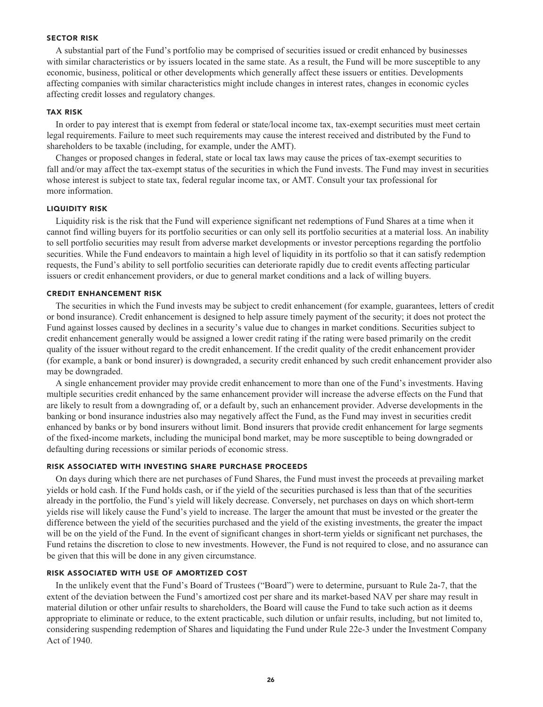#### **SECTOR RISK**

**A substantial part of the Fund's portfolio may be comprised of securities issued or credit enhanced by businesses with similar characteristics or by issuers located in the same state. As a result, the Fund will be more susceptible to any economic, business, political or other developments which generally affect these issuers or entities. Developments affecting companies with similar characteristics might include changes in interest rates, changes in economic cycles affecting credit losses and regulatory changes.**

#### **TAX RISK**

**In order to pay interest that is exempt from federal or state/local income tax, tax-exempt securities must meet certain legal requirements. Failure to meet such requirements may cause the interest received and distributed by the Fund to shareholders to be taxable (including, for example, under the AMT).**

**Changes or proposed changes in federal, state or local tax laws may cause the prices of tax-exempt securities to fall and/or may affect the tax-exempt status of the securities in which the Fund invests. The Fund may invest in securities whose interest is subject to state tax, federal regular income tax, or AMT. Consult your tax professional for more information.**

#### **LIQUIDITY RISK**

**Liquidity risk is the risk that the Fund will experience significant net redemptions of Fund Shares at a time when it cannot find willing buyers for its portfolio securities or can only sell its portfolio securities at a material loss. An inability to sell portfolio securities may result from adverse market developments or investor perceptions regarding the portfolio securities. While the Fund endeavors to maintain a high level of liquidity in its portfolio so that it can satisfy redemption requests, the Fund's ability to sell portfolio securities can deteriorate rapidly due to credit events affecting particular issuers or credit enhancement providers, or due to general market conditions and a lack of willing buyers.**

### **CREDIT ENHANCEMENT RISK**

**The securities in which the Fund invests may be subject to credit enhancement (for example, guarantees, letters of credit or bond insurance). Credit enhancement is designed to help assure timely payment of the security; it does not protect the Fund against losses caused by declines in a security's value due to changes in market conditions. Securities subject to credit enhancement generally would be assigned a lower credit rating if the rating were based primarily on the credit quality of the issuer without regard to the credit enhancement. If the credit quality of the credit enhancement provider (for example, a bank or bond insurer) is downgraded, a security credit enhanced by such credit enhancement provider also may be downgraded.**

**A single enhancement provider may provide credit enhancement to more than one of the Fund's investments. Having multiple securities credit enhanced by the same enhancement provider will increase the adverse effects on the Fund that are likely to result from a downgrading of, or a default by, such an enhancement provider. Adverse developments in the banking or bond insurance industries also may negatively affect the Fund, as the Fund may invest in securities credit enhanced by banks or by bond insurers without limit. Bond insurers that provide credit enhancement for large segments of the fixed-income markets, including the municipal bond market, may be more susceptible to being downgraded or defaulting during recessions or similar periods of economic stress.**

#### **RISK ASSOCIATED WITH INVESTING SHARE PURCHASE PROCEEDS**

**On days during which there are net purchases of Fund Shares, the Fund must invest the proceeds at prevailing market yields or hold cash. If the Fund holds cash, or if the yield of the securities purchased is less than that of the securities already in the portfolio, the Fund's yield will likely decrease. Conversely, net purchases on days on which short-term yields rise will likely cause the Fund's yield to increase. The larger the amount that must be invested or the greater the difference between the yield of the securities purchased and the yield of the existing investments, the greater the impact will be on the yield of the Fund. In the event of significant changes in short-term yields or significant net purchases, the Fund retains the discretion to close to new investments. However, the Fund is not required to close, and no assurance can be given that this will be done in any given circumstance.**

### **RISK ASSOCIATED WITH USE OF AMORTIZED COST**

**In the unlikely event that the Fund's Board of Trustees ("Board") were to determine, pursuant to Rule 2a-7, that the extent of the deviation between the Fund's amortized cost per share and its market-based NAV per share may result in material dilution or other unfair results to shareholders, the Board will cause the Fund to take such action as it deems appropriate to eliminate or reduce, to the extent practicable, such dilution or unfair results, including, but not limited to, considering suspending redemption of Shares and liquidating the Fund under Rule 22e-3 under the Investment Company Act of 1940.**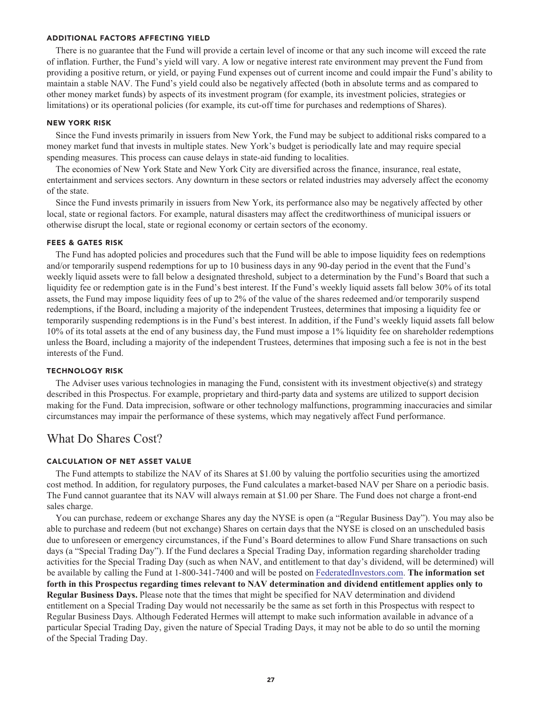#### **ADDITIONAL FACTORS AFFECTING YIELD**

**There is no guarantee that the Fund will provide a certain level of income or that any such income will exceed the rate of inflation. Further, the Fund's yield will vary. A low or negative interest rate environment may prevent the Fund from providing a positive return, or yield, or paying Fund expenses out of current income and could impair the Fund's ability to maintain a stable NAV. The Fund's yield could also be negatively affected (both in absolute terms and as compared to other money market funds) by aspects of its investment program (for example, its investment policies, strategies or limitations) or its operational policies (for example, its cut-off time for purchases and redemptions of Shares).**

#### **NEW YORK RISK**

**Since the Fund invests primarily in issuers from New York, the Fund may be subject to additional risks compared to a money market fund that invests in multiple states. New York's budget is periodically late and may require special spending measures. This process can cause delays in state-aid funding to localities.**

**The economies of New York State and New York City are diversified across the finance, insurance, real estate, entertainment and services sectors. Any downturn in these sectors or related industries may adversely affect the economy of the state.**

**Since the Fund invests primarily in issuers from New York, its performance also may be negatively affected by other local, state or regional factors. For example, natural disasters may affect the creditworthiness of municipal issuers or otherwise disrupt the local, state or regional economy or certain sectors of the economy.**

#### **FEES & GATES RISK**

**The Fund has adopted policies and procedures such that the Fund will be able to impose liquidity fees on redemptions and/or temporarily suspend redemptions for up to 10 business days in any 90-day period in the event that the Fund's weekly liquid assets were to fall below a designated threshold, subject to a determination by the Fund's Board that such a liquidity fee or redemption gate is in the Fund's best interest. If the Fund's weekly liquid assets fall below 30% of its total assets, the Fund may impose liquidity fees of up to 2% of the value of the shares redeemed and/or temporarily suspend redemptions, if the Board, including a majority of the independent Trustees, determines that imposing a liquidity fee or temporarily suspending redemptions is in the Fund's best interest. In addition, if the Fund's weekly liquid assets fall below 10% of its total assets at the end of any business day, the Fund must impose a 1% liquidity fee on shareholder redemptions unless the Board, including a majority of the independent Trustees, determines that imposing such a fee is not in the best interests of the Fund.**

#### **TECHNOLOGY RISK**

**The Adviser uses various technologies in managing the Fund, consistent with its investment objective(s) and strategy described in this Prospectus. For example, proprietary and third-party data and systems are utilized to support decision making for the Fund. Data imprecision, software or other technology malfunctions, programming inaccuracies and similar circumstances may impair the performance of these systems, which may negatively affect Fund performance.**

# **What Do Shares Cost?**

## **CALCULATION OF NET ASSET VALUE**

**The Fund attempts to stabilize the NAV of its Shares at \$1.00 by valuing the portfolio securities using the amortized cost method. In addition, for regulatory purposes, the Fund calculates a market-based NAV per Share on a periodic basis. The Fund cannot guarantee that its NAV will always remain at \$1.00 per Share. The Fund does not charge a front-end sales charge.**

**You can purchase, redeem or exchange Shares any day the NYSE is open (a "Regular Business Day"). You may also be able to purchase and redeem (but not exchange) Shares on certain days that the NYSE is closed on an unscheduled basis due to unforeseen or emergency circumstances, if the Fund's Board determines to allow Fund Share transactions on such days (a "Special Trading Day"). If the Fund declares a Special Trading Day, information regarding shareholder trading activities for the Special Trading Day (such as when NAV, and entitlement to that day's dividend, will be determined) will be available by calling the Fund at 1-800-341-7400 and will be posted on [FederatedInvestors.com.](https://www.federatedinvestors.com/home.do) The information set forth in this Prospectus regarding times relevant to NAV determination and dividend entitlement applies only to Regular Business Days. Please note that the times that might be specified for NAV determination and dividend entitlement on a Special Trading Day would not necessarily be the same as set forth in this Prospectus with respect to Regular Business Days. Although Federated Hermes will attempt to make such information available in advance of a particular Special Trading Day, given the nature of Special Trading Days, it may not be able to do so until the morning of the Special Trading Day.**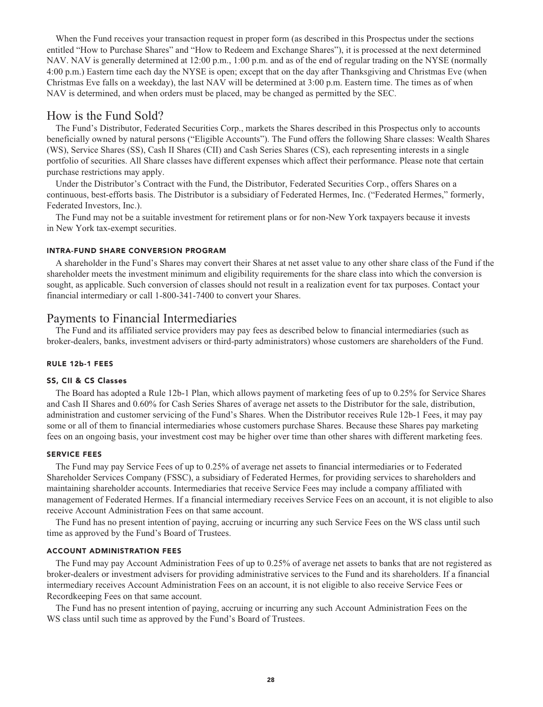**When the Fund receives your transaction request in proper form (as described in this Prospectus under the sections entitled "How to Purchase Shares" and "How to Redeem and Exchange Shares"), it is processed at the next determined NAV. NAV is generally determined at 12:00 p.m., 1:00 p.m. and as of the end of regular trading on the NYSE (normally 4:00 p.m.) Eastern time each day the NYSE is open; except that on the day after Thanksgiving and Christmas Eve (when Christmas Eve falls on a weekday), the last NAV will be determined at 3:00 p.m. Eastern time. The times as of when NAV is determined, and when orders must be placed, may be changed as permitted by the SEC.**

# **How is the Fund Sold?**

**The Fund's Distributor, Federated Securities Corp., markets the Shares described in this Prospectus only to accounts beneficially owned by natural persons ("Eligible Accounts"). The Fund offers the following Share classes: Wealth Shares (WS), Service Shares (SS), Cash II Shares (CII) and Cash Series Shares (CS), each representing interests in a single portfolio of securities. All Share classes have different expenses which affect their performance. Please note that certain purchase restrictions may apply.**

**Under the Distributor's Contract with the Fund, the Distributor, Federated Securities Corp., offers Shares on a continuous, best-efforts basis. The Distributor is a subsidiary of Federated Hermes, Inc. ("Federated Hermes," formerly, Federated Investors, Inc.).**

**The Fund may not be a suitable investment for retirement plans or for non-New York taxpayers because it invests in New York tax-exempt securities.**

#### **INTRA-FUND SHARE CONVERSION PROGRAM**

**A shareholder in the Fund's Shares may convert their Shares at net asset value to any other share class of the Fund if the shareholder meets the investment minimum and eligibility requirements for the share class into which the conversion is sought, as applicable. Such conversion of classes should not result in a realization event for tax purposes. Contact your financial intermediary or call 1-800-341-7400 to convert your Shares.**

# **Payments to Financial Intermediaries**

**The Fund and its affiliated service providers may pay fees as described below to financial intermediaries (such as broker-dealers, banks, investment advisers or third-party administrators) whose customers are shareholders of the Fund.**

#### **RULE 12b-1 FEES**

#### **SS, CII & CS Classes**

**The Board has adopted a Rule 12b-1 Plan, which allows payment of marketing fees of up to 0.25% for Service Shares and Cash II Shares and 0.60% for Cash Series Shares of average net assets to the Distributor for the sale, distribution, administration and customer servicing of the Fund's Shares. When the Distributor receives Rule 12b-1 Fees, it may pay some or all of them to financial intermediaries whose customers purchase Shares. Because these Shares pay marketing fees on an ongoing basis, your investment cost may be higher over time than other shares with different marketing fees.**

#### **SERVICE FEES**

**The Fund may pay Service Fees of up to 0.25% of average net assets to financial intermediaries or to Federated Shareholder Services Company (FSSC), a subsidiary of Federated Hermes, for providing services to shareholders and maintaining shareholder accounts. Intermediaries that receive Service Fees may include a company affiliated with management of Federated Hermes. If a financial intermediary receives Service Fees on an account, it is not eligible to also receive Account Administration Fees on that same account.**

**The Fund has no present intention of paying, accruing or incurring any such Service Fees on the WS class until such time as approved by the Fund's Board of Trustees.**

#### **ACCOUNT ADMINISTRATION FEES**

**The Fund may pay Account Administration Fees of up to 0.25% of average net assets to banks that are not registered as broker-dealers or investment advisers for providing administrative services to the Fund and its shareholders. If a financial intermediary receives Account Administration Fees on an account, it is not eligible to also receive Service Fees or Recordkeeping Fees on that same account.**

**The Fund has no present intention of paying, accruing or incurring any such Account Administration Fees on the WS class until such time as approved by the Fund's Board of Trustees.**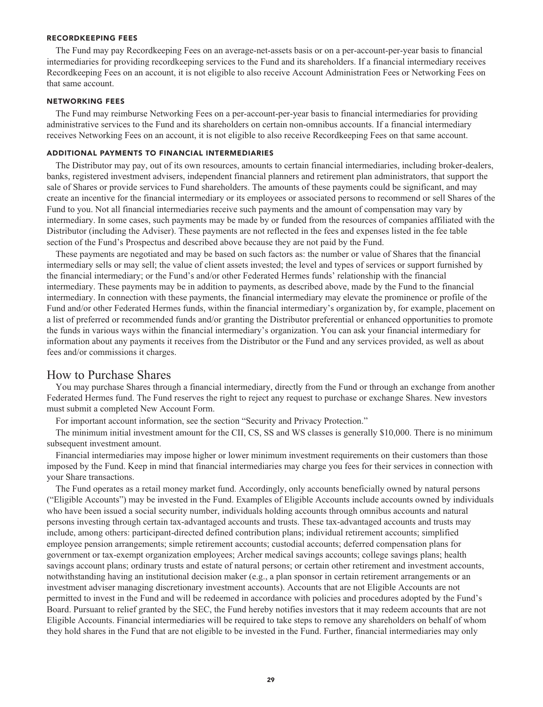#### **RECORDKEEPING FEES**

**The Fund may pay Recordkeeping Fees on an average-net-assets basis or on a per-account-per-year basis to financial intermediaries for providing recordkeeping services to the Fund and its shareholders. If a financial intermediary receives Recordkeeping Fees on an account, it is not eligible to also receive Account Administration Fees or Networking Fees on that same account.**

#### **NETWORKING FEES**

**The Fund may reimburse Networking Fees on a per-account-per-year basis to financial intermediaries for providing administrative services to the Fund and its shareholders on certain non-omnibus accounts. If a financial intermediary receives Networking Fees on an account, it is not eligible to also receive Recordkeeping Fees on that same account.**

#### **ADDITIONAL PAYMENTS TO FINANCIAL INTERMEDIARIES**

**The Distributor may pay, out of its own resources, amounts to certain financial intermediaries, including broker-dealers, banks, registered investment advisers, independent financial planners and retirement plan administrators, that support the sale of Shares or provide services to Fund shareholders. The amounts of these payments could be significant, and may create an incentive for the financial intermediary or its employees or associated persons to recommend or sell Shares of the Fund to you. Not all financial intermediaries receive such payments and the amount of compensation may vary by intermediary. In some cases, such payments may be made by or funded from the resources of companies affiliated with the Distributor (including the Adviser). These payments are not reflected in the fees and expenses listed in the fee table section of the Fund's Prospectus and described above because they are not paid by the Fund.**

**These payments are negotiated and may be based on such factors as: the number or value of Shares that the financial intermediary sells or may sell; the value of client assets invested; the level and types of services or support furnished by the financial intermediary; or the Fund's and/or other Federated Hermes funds' relationship with the financial intermediary. These payments may be in addition to payments, as described above, made by the Fund to the financial intermediary. In connection with these payments, the financial intermediary may elevate the prominence or profile of the Fund and/or other Federated Hermes funds, within the financial intermediary's organization by, for example, placement on a list of preferred or recommended funds and/or granting the Distributor preferential or enhanced opportunities to promote the funds in various ways within the financial intermediary's organization. You can ask your financial intermediary for information about any payments it receives from the Distributor or the Fund and any services provided, as well as about fees and/or commissions it charges.**

# **How to Purchase Shares**

**You may purchase Shares through a financial intermediary, directly from the Fund or through an exchange from another Federated Hermes fund. The Fund reserves the right to reject any request to purchase or exchange Shares. New investors must submit a completed New Account Form.**

**For important account information, see the section "Security and Privacy Protection."**

**The minimum initial investment amount for the CII, CS, SS and WS classes is generally \$10,000. There is no minimum subsequent investment amount.**

**Financial intermediaries may impose higher or lower minimum investment requirements on their customers than those imposed by the Fund. Keep in mind that financial intermediaries may charge you fees for their services in connection with your Share transactions.**

**The Fund operates as a retail money market fund. Accordingly, only accounts beneficially owned by natural persons ("Eligible Accounts") may be invested in the Fund. Examples of Eligible Accounts include accounts owned by individuals who have been issued a social security number, individuals holding accounts through omnibus accounts and natural persons investing through certain tax-advantaged accounts and trusts. These tax-advantaged accounts and trusts may include, among others: participant-directed defined contribution plans; individual retirement accounts; simplified employee pension arrangements; simple retirement accounts; custodial accounts; deferred compensation plans for government or tax-exempt organization employees; Archer medical savings accounts; college savings plans; health savings account plans; ordinary trusts and estate of natural persons; or certain other retirement and investment accounts, notwithstanding having an institutional decision maker (e.g., a plan sponsor in certain retirement arrangements or an investment adviser managing discretionary investment accounts). Accounts that are not Eligible Accounts are not permitted to invest in the Fund and will be redeemed in accordance with policies and procedures adopted by the Fund's Board. Pursuant to relief granted by the SEC, the Fund hereby notifies investors that it may redeem accounts that are not Eligible Accounts. Financial intermediaries will be required to take steps to remove any shareholders on behalf of whom they hold shares in the Fund that are not eligible to be invested in the Fund. Further, financial intermediaries may only**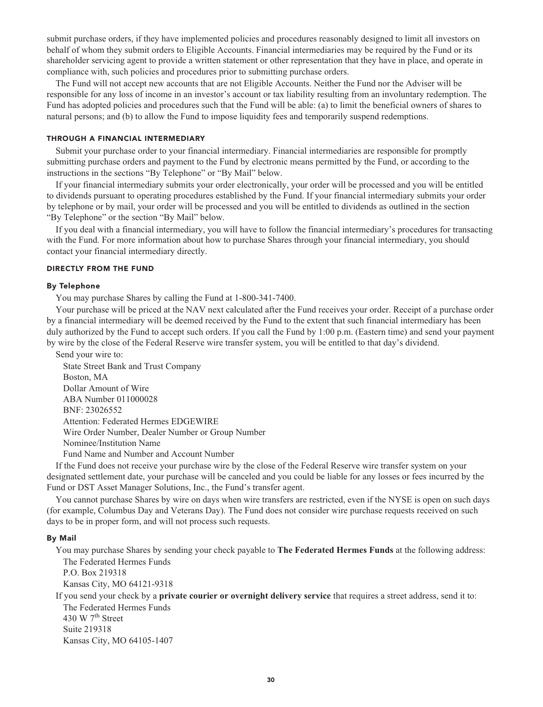**submit purchase orders, if they have implemented policies and procedures reasonably designed to limit all investors on behalf of whom they submit orders to Eligible Accounts. Financial intermediaries may be required by the Fund or its shareholder servicing agent to provide a written statement or other representation that they have in place, and operate in compliance with, such policies and procedures prior to submitting purchase orders.**

**The Fund will not accept new accounts that are not Eligible Accounts. Neither the Fund nor the Adviser will be responsible for any loss of income in an investor's account or tax liability resulting from an involuntary redemption. The Fund has adopted policies and procedures such that the Fund will be able: (a) to limit the beneficial owners of shares to natural persons; and (b) to allow the Fund to impose liquidity fees and temporarily suspend redemptions.**

#### **THROUGH A FINANCIAL INTERMEDIARY**

**Submit your purchase order to your financial intermediary. Financial intermediaries are responsible for promptly submitting purchase orders and payment to the Fund by electronic means permitted by the Fund, or according to the instructions in the sections "By Telephone" or "By Mail" below.**

**If your financial intermediary submits your order electronically, your order will be processed and you will be entitled to dividends pursuant to operating procedures established by the Fund. If your financial intermediary submits your order by telephone or by mail, your order will be processed and you will be entitled to dividends as outlined in the section "By Telephone" or the section "By Mail" below.**

**If you deal with a financial intermediary, you will have to follow the financial intermediary's procedures for transacting with the Fund. For more information about how to purchase Shares through your financial intermediary, you should contact your financial intermediary directly.**

#### **DIRECTLY FROM THE FUND**

#### **By Telephone**

**You may purchase Shares by calling the Fund at 1-800-341-7400.**

**Your purchase will be priced at the NAV next calculated after the Fund receives your order. Receipt of a purchase order by a financial intermediary will be deemed received by the Fund to the extent that such financial intermediary has been duly authorized by the Fund to accept such orders. If you call the Fund by 1:00 p.m. (Eastern time) and send your payment by wire by the close of the Federal Reserve wire transfer system, you will be entitled to that day's dividend.**

**Send your wire to:**

**State Street Bank and Trust Company Boston, MA Dollar Amount of Wire ABA Number 011000028 BNF: 23026552 Attention: Federated Hermes EDGEWIRE Wire Order Number, Dealer Number or Group Number Nominee/Institution Name Fund Name and Number and Account Number**

**If the Fund does not receive your purchase wire by the close of the Federal Reserve wire transfer system on your designated settlement date, your purchase will be canceled and you could be liable for any losses or fees incurred by the Fund or DST Asset Manager Solutions, Inc., the Fund's transfer agent.**

**You cannot purchase Shares by wire on days when wire transfers are restricted, even if the NYSE is open on such days (for example, Columbus Day and Veterans Day). The Fund does not consider wire purchase requests received on such days to be in proper form, and will not process such requests.**

#### **By Mail**

**You may purchase Shares by sending your check payable to The Federated Hermes Funds at the following address: The Federated Hermes Funds**

**P.O. Box 219318**

**Kansas City, MO 64121-9318**

**If you send your check by a private courier or overnight delivery service that requires a street address, send it to: The Federated Hermes Funds th 430 W 7 Street Suite 219318 Kansas City, MO 64105-1407**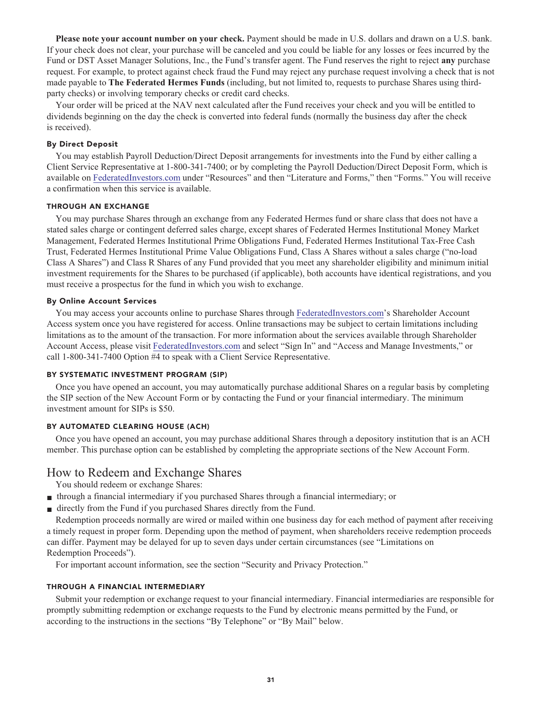**Please note your account number on your check. Payment should be made in U.S. dollars and drawn on a U.S. bank. If your check does not clear, your purchase will be canceled and you could be liable for any losses or fees incurred by the Fund or DST Asset Manager Solutions, Inc., the Fund's transfer agent. The Fund reserves the right to reject any purchase request. For example, to protect against check fraud the Fund may reject any purchase request involving a check that is not made payable to The Federated Hermes Funds (including, but not limited to, requests to purchase Shares using thirdparty checks) or involving temporary checks or credit card checks.**

**Your order will be priced at the NAV next calculated after the Fund receives your check and you will be entitled to dividends beginning on the day the check is converted into federal funds (normally the business day after the check is received).**

#### **By Direct Deposit**

**You may establish Payroll Deduction/Direct Deposit arrangements for investments into the Fund by either calling a Client Service Representative at 1-800-341-7400; or by completing the Payroll Deduction/Direct Deposit Form, which is available on [FederatedInvestors.com](https://www.federatedinvestors.com/home.do) under "Resources" and then "Literature and Forms," then "Forms." You will receive a confirmation when this service is available.**

# **THROUGH AN EXCHANGE**

**You may purchase Shares through an exchange from any Federated Hermes fund or share class that does not have a stated sales charge or contingent deferred sales charge, except shares of Federated Hermes Institutional Money Market Management, Federated Hermes Institutional Prime Obligations Fund, Federated Hermes Institutional Tax-Free Cash Trust, Federated Hermes Institutional Prime Value Obligations Fund, Class A Shares without a sales charge ("no-load Class A Shares") and Class R Shares of any Fund provided that you meet any shareholder eligibility and minimum initial investment requirements for the Shares to be purchased (if applicable), both accounts have identical registrations, and you must receive a prospectus for the fund in which you wish to exchange.**

#### **By Online Account Services**

**You may access your accounts online to purchase Shares through [FederatedInvestors.com'](https://www.federatedinvestors.com/home.do)s Shareholder Account Access system once you have registered for access. Online transactions may be subject to certain limitations including limitations as to the amount of the transaction. For more information about the services available through Shareholder Account Access, please visit [FederatedInvestors.com](https://www.federatedinvestors.com/home.do) and select "Sign In" and "Access and Manage Investments," or call 1-800-341-7400 Option #4 to speak with a Client Service Representative.**

#### **BY SYSTEMATIC INVESTMENT PROGRAM (SIP)**

**Once you have opened an account, you may automatically purchase additional Shares on a regular basis by completing the SIP section of the New Account Form or by contacting the Fund or your financial intermediary. The minimum investment amount for SIPs is \$50.**

# **BY AUTOMATED CLEARING HOUSE (ACH)**

**Once you have opened an account, you may purchase additional Shares through a depository institution that is an ACH member. This purchase option can be established by completing the appropriate sections of the New Account Form.**

# **How to Redeem and Exchange Shares**

**You should redeem or exchange Shares:**

- **■ through a financial intermediary if you purchased Shares through a financial intermediary; or**
- **■ directly from the Fund if you purchased Shares directly from the Fund.**

**Redemption proceeds normally are wired or mailed within one business day for each method of payment after receiving a timely request in proper form. Depending upon the method of payment, when shareholders receive redemption proceeds can differ. Payment may be delayed for up to seven days under certain circumstances (see "Limitations on Redemption Proceeds").**

**For important account information, see the section "Security and Privacy Protection."**

#### **THROUGH A FINANCIAL INTERMEDIARY**

**Submit your redemption or exchange request to your financial intermediary. Financial intermediaries are responsible for promptly submitting redemption or exchange requests to the Fund by electronic means permitted by the Fund, or according to the instructions in the sections "By Telephone" or "By Mail" below.**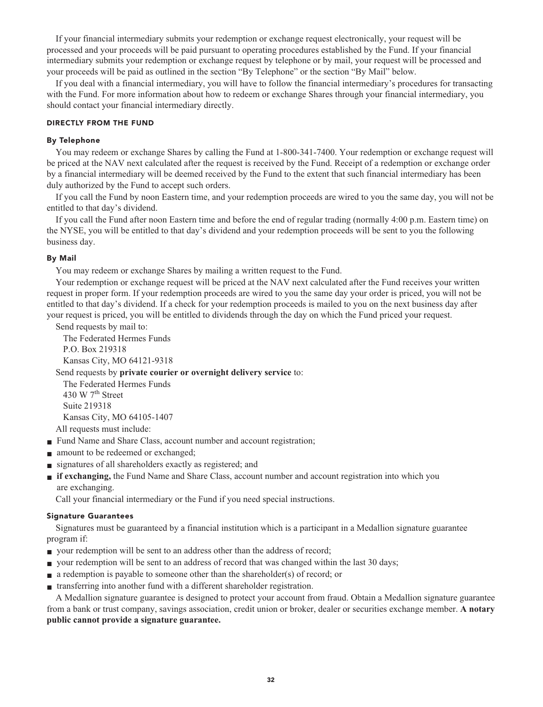**If your financial intermediary submits your redemption or exchange request electronically, your request will be processed and your proceeds will be paid pursuant to operating procedures established by the Fund. If your financial intermediary submits your redemption or exchange request by telephone or by mail, your request will be processed and your proceeds will be paid as outlined in the section "By Telephone" or the section "By Mail" below.**

**If you deal with a financial intermediary, you will have to follow the financial intermediary's procedures for transacting with the Fund. For more information about how to redeem or exchange Shares through your financial intermediary, you should contact your financial intermediary directly.**

#### **DIRECTLY FROM THE FUND**

#### **By Telephone**

**You may redeem or exchange Shares by calling the Fund at 1-800-341-7400. Your redemption or exchange request will be priced at the NAV next calculated after the request is received by the Fund. Receipt of a redemption or exchange order by a financial intermediary will be deemed received by the Fund to the extent that such financial intermediary has been duly authorized by the Fund to accept such orders.**

**If you call the Fund by noon Eastern time, and your redemption proceeds are wired to you the same day, you will not be entitled to that day's dividend.**

**If you call the Fund after noon Eastern time and before the end of regular trading (normally 4:00 p.m. Eastern time) on the NYSE, you will be entitled to that day's dividend and your redemption proceeds will be sent to you the following business day.**

#### **By Mail**

**You may redeem or exchange Shares by mailing a written request to the Fund.**

**Your redemption or exchange request will be priced at the NAV next calculated after the Fund receives your written request in proper form. If your redemption proceeds are wired to you the same day your order is priced, you will not be entitled to that day's dividend. If a check for your redemption proceeds is mailed to you on the next business day after your request is priced, you will be entitled to dividends through the day on which the Fund priced your request.**

**Send requests by mail to:**

**The Federated Hermes Funds P.O. Box 219318 Kansas City, MO 64121-9318**

**Send requests by private courier or overnight delivery service to:**

**The Federated Hermes Funds th 430 W 7 Street Suite 219318 Kansas City, MO 64105-1407**

**All requests must include:**

- **Fund Name and Share Class, account number and account registration;**
- **amount** to be redeemed or exchanged;
- **■ signatures of all shareholders exactly as registered; and**
- **■ if exchanging, the Fund Name and Share Class, account number and account registration into which you are exchanging.**

**Call your financial intermediary or the Fund if you need special instructions.**

#### **Signature Guarantees**

**Signatures must be guaranteed by a financial institution which is a participant in a Medallion signature guarantee program if:**

- **your redemption will be sent to an address other than the address of record;**
- **your redemption will be sent to an address of record that was changed within the last 30 days;**
- **■ a redemption is payable to someone other than the shareholder(s) of record; or**
- **■ transferring into another fund with a different shareholder registration.**

**A Medallion signature guarantee is designed to protect your account from fraud. Obtain a Medallion signature guarantee from a bank or trust company, savings association, credit union or broker, dealer or securities exchange member. A notary public cannot provide a signature guarantee.**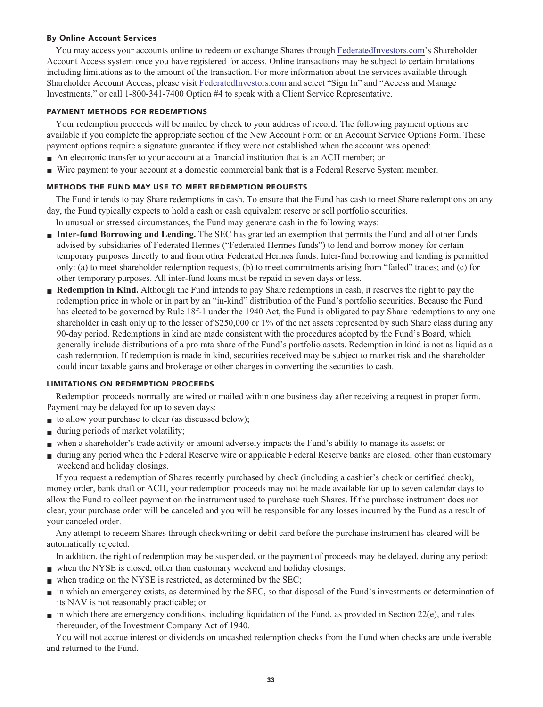#### **By Online Account Services**

**You may access your accounts online to redeem or exchange Shares through [FederatedInvestors.com'](https://www.federatedinvestors.com/home.do)s Shareholder Account Access system once you have registered for access. Online transactions may be subject to certain limitations including limitations as to the amount of the transaction. For more information about the services available through Shareholder Account Access, please visit [FederatedInvestors.com](https://www.federatedinvestors.com/home.do) and select "Sign In" and "Access and Manage Investments," or call 1-800-341-7400 Option #4 to speak with a Client Service Representative.**

#### **PAYMENT METHODS FOR REDEMPTIONS**

**Your redemption proceeds will be mailed by check to your address of record. The following payment options are available if you complete the appropriate section of the New Account Form or an Account Service Options Form. These payment options require a signature guarantee if they were not established when the account was opened:**

- **■ An electronic transfer to your account at a financial institution that is an ACH member; or**
- **■ Wire payment to your account at a domestic commercial bank that is a Federal Reserve System member.**

# **METHODS THE FUND MAY USE TO MEET REDEMPTION REQUESTS**

**The Fund intends to pay Share redemptions in cash. To ensure that the Fund has cash to meet Share redemptions on any day, the Fund typically expects to hold a cash or cash equivalent reserve or sell portfolio securities.**

**In unusual or stressed circumstances, the Fund may generate cash in the following ways:**

- **■ Inter-fund Borrowing and Lending. The SEC has granted an exemption that permits the Fund and all other funds advised by subsidiaries of Federated Hermes ("Federated Hermes funds") to lend and borrow money for certain temporary purposes directly to and from other Federated Hermes funds. Inter-fund borrowing and lending is permitted only: (a) to meet shareholder redemption requests; (b) to meet commitments arising from "failed" trades; and (c) for other temporary purposes. All inter-fund loans must be repaid in seven days or less.**
- **Redemption in Kind.** Although the Fund intends to pay Share redemptions in cash, it reserves the right to pay the **redemption price in whole or in part by an "in-kind" distribution of the Fund's portfolio securities. Because the Fund has elected to be governed by Rule 18f-1 under the 1940 Act, the Fund is obligated to pay Share redemptions to any one shareholder in cash only up to the lesser of \$250,000 or 1% of the net assets represented by such Share class during any 90-day period. Redemptions in kind are made consistent with the procedures adopted by the Fund's Board, which generally include distributions of a pro rata share of the Fund's portfolio assets. Redemption in kind is not as liquid as a cash redemption. If redemption is made in kind, securities received may be subject to market risk and the shareholder could incur taxable gains and brokerage or other charges in converting the securities to cash.**

# **LIMITATIONS ON REDEMPTION PROCEEDS**

**Redemption proceeds normally are wired or mailed within one business day after receiving a request in proper form. Payment may be delayed for up to seven days:**

- **to allow your purchase to clear (as discussed below);**
- **■ during periods of market volatility;**
- **■ when a shareholder's trade activity or amount adversely impacts the Fund's ability to manage its assets; or**
- **■ during any period when the Federal Reserve wire or applicable Federal Reserve banks are closed, other than customary weekend and holiday closings.**

**If you request a redemption of Shares recently purchased by check (including a cashier's check or certified check), money order, bank draft or ACH, your redemption proceeds may not be made available for up to seven calendar days to allow the Fund to collect payment on the instrument used to purchase such Shares. If the purchase instrument does not clear, your purchase order will be canceled and you will be responsible for any losses incurred by the Fund as a result of your canceled order.**

**Any attempt to redeem Shares through checkwriting or debit card before the purchase instrument has cleared will be automatically rejected.**

**In addition, the right of redemption may be suspended, or the payment of proceeds may be delayed, during any period:**

- when the NYSE is closed, other than customary weekend and holiday closings;
- when trading on the NYSE is restricted, as determined by the SEC;
- **■ in which an emergency exists, as determined by the SEC, so that disposal of the Fund's investments or determination of its NAV is not reasonably practicable; or**
- **■ in which there are emergency conditions, including liquidation of the Fund, as provided in Section 22(e), and rules thereunder, of the Investment Company Act of 1940.**

**You will not accrue interest or dividends on uncashed redemption checks from the Fund when checks are undeliverable and returned to the Fund.**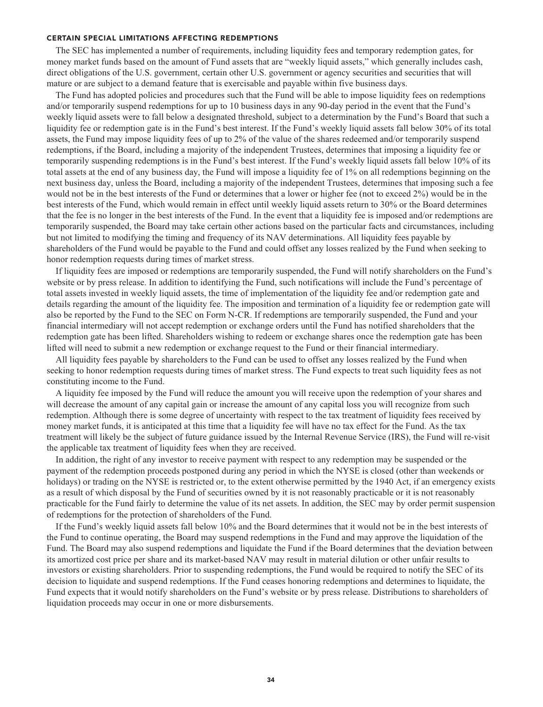#### **CERTAIN SPECIAL LIMITATIONS AFFECTING REDEMPTIONS**

**The SEC has implemented a number of requirements, including liquidity fees and temporary redemption gates, for money market funds based on the amount of Fund assets that are "weekly liquid assets," which generally includes cash, direct obligations of the U.S. government, certain other U.S. government or agency securities and securities that will mature or are subject to a demand feature that is exercisable and payable within five business days.**

**The Fund has adopted policies and procedures such that the Fund will be able to impose liquidity fees on redemptions and/or temporarily suspend redemptions for up to 10 business days in any 90-day period in the event that the Fund's weekly liquid assets were to fall below a designated threshold, subject to a determination by the Fund's Board that such a liquidity fee or redemption gate is in the Fund's best interest. If the Fund's weekly liquid assets fall below 30% of its total assets, the Fund may impose liquidity fees of up to 2% of the value of the shares redeemed and/or temporarily suspend redemptions, if the Board, including a majority of the independent Trustees, determines that imposing a liquidity fee or temporarily suspending redemptions is in the Fund's best interest. If the Fund's weekly liquid assets fall below 10% of its total assets at the end of any business day, the Fund will impose a liquidity fee of 1% on all redemptions beginning on the next business day, unless the Board, including a majority of the independent Trustees, determines that imposing such a fee would not be in the best interests of the Fund or determines that a lower or higher fee (not to exceed 2%) would be in the best interests of the Fund, which would remain in effect until weekly liquid assets return to 30% or the Board determines that the fee is no longer in the best interests of the Fund. In the event that a liquidity fee is imposed and/or redemptions are temporarily suspended, the Board may take certain other actions based on the particular facts and circumstances, including but not limited to modifying the timing and frequency of its NAV determinations. All liquidity fees payable by shareholders of the Fund would be payable to the Fund and could offset any losses realized by the Fund when seeking to honor redemption requests during times of market stress.**

**If liquidity fees are imposed or redemptions are temporarily suspended, the Fund will notify shareholders on the Fund's website or by press release. In addition to identifying the Fund, such notifications will include the Fund's percentage of total assets invested in weekly liquid assets, the time of implementation of the liquidity fee and/or redemption gate and details regarding the amount of the liquidity fee. The imposition and termination of a liquidity fee or redemption gate will also be reported by the Fund to the SEC on Form N-CR. If redemptions are temporarily suspended, the Fund and your financial intermediary will not accept redemption or exchange orders until the Fund has notified shareholders that the redemption gate has been lifted. Shareholders wishing to redeem or exchange shares once the redemption gate has been lifted will need to submit a new redemption or exchange request to the Fund or their financial intermediary.**

**All liquidity fees payable by shareholders to the Fund can be used to offset any losses realized by the Fund when seeking to honor redemption requests during times of market stress. The Fund expects to treat such liquidity fees as not constituting income to the Fund.**

**A liquidity fee imposed by the Fund will reduce the amount you will receive upon the redemption of your shares and will decrease the amount of any capital gain or increase the amount of any capital loss you will recognize from such redemption. Although there is some degree of uncertainty with respect to the tax treatment of liquidity fees received by money market funds, it is anticipated at this time that a liquidity fee will have no tax effect for the Fund. As the tax treatment will likely be the subject of future guidance issued by the Internal Revenue Service (IRS), the Fund will re-visit the applicable tax treatment of liquidity fees when they are received.**

**In addition, the right of any investor to receive payment with respect to any redemption may be suspended or the payment of the redemption proceeds postponed during any period in which the NYSE is closed (other than weekends or holidays) or trading on the NYSE is restricted or, to the extent otherwise permitted by the 1940 Act, if an emergency exists as a result of which disposal by the Fund of securities owned by it is not reasonably practicable or it is not reasonably practicable for the Fund fairly to determine the value of its net assets. In addition, the SEC may by order permit suspension of redemptions for the protection of shareholders of the Fund.**

**If the Fund's weekly liquid assets fall below 10% and the Board determines that it would not be in the best interests of the Fund to continue operating, the Board may suspend redemptions in the Fund and may approve the liquidation of the Fund. The Board may also suspend redemptions and liquidate the Fund if the Board determines that the deviation between its amortized cost price per share and its market-based NAV may result in material dilution or other unfair results to investors or existing shareholders. Prior to suspending redemptions, the Fund would be required to notify the SEC of its decision to liquidate and suspend redemptions. If the Fund ceases honoring redemptions and determines to liquidate, the Fund expects that it would notify shareholders on the Fund's website or by press release. Distributions to shareholders of liquidation proceeds may occur in one or more disbursements.**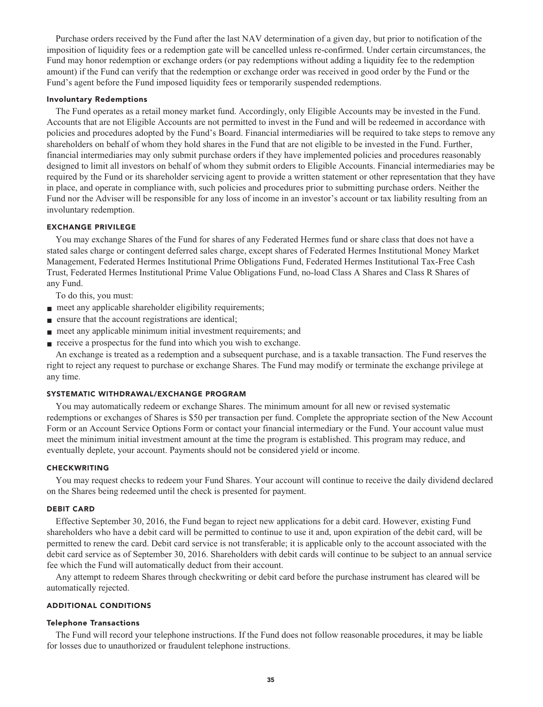**Purchase orders received by the Fund after the last NAV determination of a given day, but prior to notification of the imposition of liquidity fees or a redemption gate will be cancelled unless re-confirmed. Under certain circumstances, the Fund may honor redemption or exchange orders (or pay redemptions without adding a liquidity fee to the redemption amount) if the Fund can verify that the redemption or exchange order was received in good order by the Fund or the Fund's agent before the Fund imposed liquidity fees or temporarily suspended redemptions.**

#### **Involuntary Redemptions**

**The Fund operates as a retail money market fund. Accordingly, only Eligible Accounts may be invested in the Fund. Accounts that are not Eligible Accounts are not permitted to invest in the Fund and will be redeemed in accordance with policies and procedures adopted by the Fund's Board. Financial intermediaries will be required to take steps to remove any shareholders on behalf of whom they hold shares in the Fund that are not eligible to be invested in the Fund. Further, financial intermediaries may only submit purchase orders if they have implemented policies and procedures reasonably designed to limit all investors on behalf of whom they submit orders to Eligible Accounts. Financial intermediaries may be required by the Fund or its shareholder servicing agent to provide a written statement or other representation that they have in place, and operate in compliance with, such policies and procedures prior to submitting purchase orders. Neither the Fund nor the Adviser will be responsible for any loss of income in an investor's account or tax liability resulting from an involuntary redemption.**

#### **EXCHANGE PRIVILEGE**

**You may exchange Shares of the Fund for shares of any Federated Hermes fund or share class that does not have a stated sales charge or contingent deferred sales charge, except shares of Federated Hermes Institutional Money Market Management, Federated Hermes Institutional Prime Obligations Fund, Federated Hermes Institutional Tax-Free Cash Trust, Federated Hermes Institutional Prime Value Obligations Fund, no-load Class A Shares and Class R Shares of any Fund.**

**To do this, you must:**

- **meet any applicable shareholder eligibility requirements;**
- **■ ensure that the account registrations are identical;**
- **meet any applicable minimum initial investment requirements; and**
- **receive a prospectus for the fund into which you wish to exchange.**

**An exchange is treated as a redemption and a subsequent purchase, and is a taxable transaction. The Fund reserves the right to reject any request to purchase or exchange Shares. The Fund may modify or terminate the exchange privilege at any time.**

#### **SYSTEMATIC WITHDRAWAL/EXCHANGE PROGRAM**

**You may automatically redeem or exchange Shares. The minimum amount for all new or revised systematic redemptions or exchanges of Shares is \$50 per transaction per fund. Complete the appropriate section of the New Account Form or an Account Service Options Form or contact your financial intermediary or the Fund. Your account value must meet the minimum initial investment amount at the time the program is established. This program may reduce, and eventually deplete, your account. Payments should not be considered yield or income.**

#### **CHECKWRITING**

**You may request checks to redeem your Fund Shares. Your account will continue to receive the daily dividend declared on the Shares being redeemed until the check is presented for payment.**

#### **DEBIT CARD**

**Effective September 30, 2016, the Fund began to reject new applications for a debit card. However, existing Fund shareholders who have a debit card will be permitted to continue to use it and, upon expiration of the debit card, will be permitted to renew the card. Debit card service is not transferable; it is applicable only to the account associated with the debit card service as of September 30, 2016. Shareholders with debit cards will continue to be subject to an annual service fee which the Fund will automatically deduct from their account.**

**Any attempt to redeem Shares through checkwriting or debit card before the purchase instrument has cleared will be automatically rejected.**

#### **ADDITIONAL CONDITIONS**

#### **Telephone Transactions**

**The Fund will record your telephone instructions. If the Fund does not follow reasonable procedures, it may be liable for losses due to unauthorized or fraudulent telephone instructions.**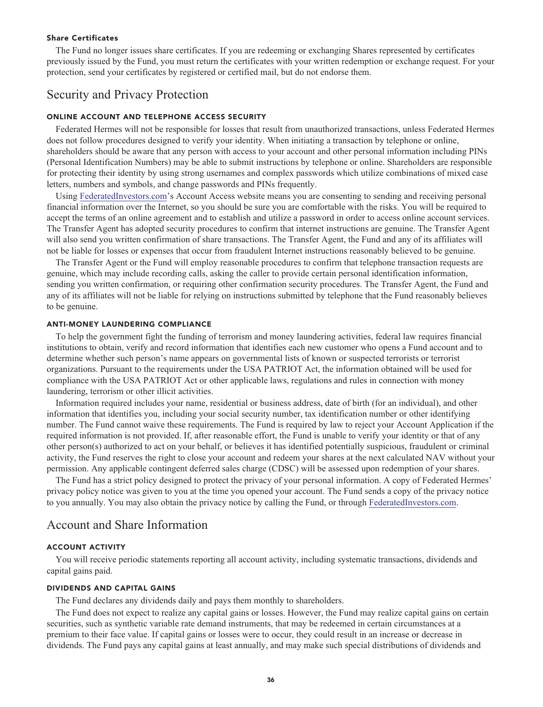#### **Share Certificates**

**The Fund no longer issues share certificates. If you are redeeming or exchanging Shares represented by certificates previously issued by the Fund, you must return the certificates with your written redemption or exchange request. For your protection, send your certificates by registered or certified mail, but do not endorse them.**

# **Security and Privacy Protection**

#### **ONLINE ACCOUNT AND TELEPHONE ACCESS SECURITY**

**Federated Hermes will not be responsible for losses that result from unauthorized transactions, unless Federated Hermes does not follow procedures designed to verify your identity. When initiating a transaction by telephone or online, shareholders should be aware that any person with access to your account and other personal information including PINs (Personal Identification Numbers) may be able to submit instructions by telephone or online. Shareholders are responsible for protecting their identity by using strong usernames and complex passwords which utilize combinations of mixed case letters, numbers and symbols, and change passwords and PINs frequently.**

**Using [FederatedInvestors.com'](https://www.federatedinvestors.com/home.do)s Account Access website means you are consenting to sending and receiving personal financial information over the Internet, so you should be sure you are comfortable with the risks. You will be required to accept the terms of an online agreement and to establish and utilize a password in order to access online account services. The Transfer Agent has adopted security procedures to confirm that internet instructions are genuine. The Transfer Agent will also send you written confirmation of share transactions. The Transfer Agent, the Fund and any of its affiliates will not be liable for losses or expenses that occur from fraudulent Internet instructions reasonably believed to be genuine.**

**The Transfer Agent or the Fund will employ reasonable procedures to confirm that telephone transaction requests are genuine, which may include recording calls, asking the caller to provide certain personal identification information, sending you written confirmation, or requiring other confirmation security procedures. The Transfer Agent, the Fund and any of its affiliates will not be liable for relying on instructions submitted by telephone that the Fund reasonably believes to be genuine.**

#### **ANTI-MONEY LAUNDERING COMPLIANCE**

**To help the government fight the funding of terrorism and money laundering activities, federal law requires financial institutions to obtain, verify and record information that identifies each new customer who opens a Fund account and to determine whether such person's name appears on governmental lists of known or suspected terrorists or terrorist organizations. Pursuant to the requirements under the USA PATRIOT Act, the information obtained will be used for compliance with the USA PATRIOT Act or other applicable laws, regulations and rules in connection with money laundering, terrorism or other illicit activities.**

**Information required includes your name, residential or business address, date of birth (for an individual), and other information that identifies you, including your social security number, tax identification number or other identifying number. The Fund cannot waive these requirements. The Fund is required by law to reject your Account Application if the required information is not provided. If, after reasonable effort, the Fund is unable to verify your identity or that of any other person(s) authorized to act on your behalf, or believes it has identified potentially suspicious, fraudulent or criminal activity, the Fund reserves the right to close your account and redeem your shares at the next calculated NAV without your permission. Any applicable contingent deferred sales charge (CDSC) will be assessed upon redemption of your shares.**

**The Fund has a strict policy designed to protect the privacy of your personal information. A copy of Federated Hermes' privacy policy notice was given to you at the time you opened your account. The Fund sends a copy of the privacy notice to you annually. You may also obtain the privacy notice by calling the Fund, or through [FederatedInvestors.com.](https://www.federatedinvestors.com/home.do)**

# **Account and Share Information**

### **ACCOUNT ACTIVITY**

**You will receive periodic statements reporting all account activity, including systematic transactions, dividends and capital gains paid.**

#### **DIVIDENDS AND CAPITAL GAINS**

**The Fund declares any dividends daily and pays them monthly to shareholders.**

**The Fund does not expect to realize any capital gains or losses. However, the Fund may realize capital gains on certain securities, such as synthetic variable rate demand instruments, that may be redeemed in certain circumstances at a premium to their face value. If capital gains or losses were to occur, they could result in an increase or decrease in dividends. The Fund pays any capital gains at least annually, and may make such special distributions of dividends and**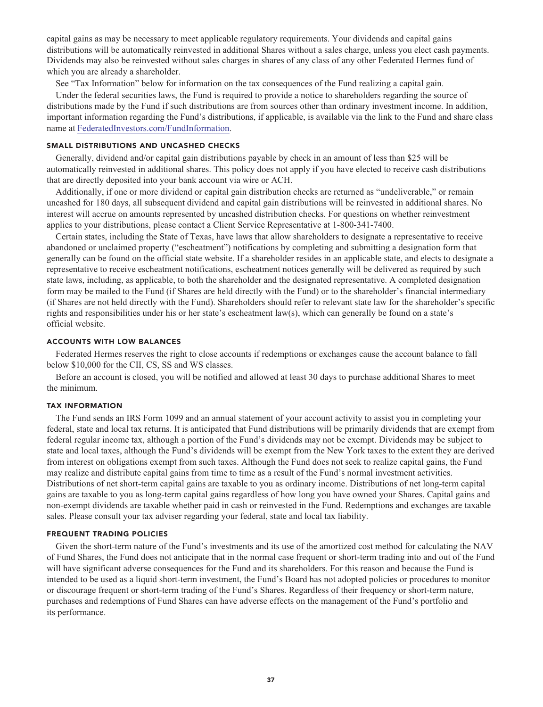**capital gains as may be necessary to meet applicable regulatory requirements. Your dividends and capital gains distributions will be automatically reinvested in additional Shares without a sales charge, unless you elect cash payments. Dividends may also be reinvested without sales charges in shares of any class of any other Federated Hermes fund of which you are already a shareholder.**

**See "Tax Information" below for information on the tax consequences of the Fund realizing a capital gain.**

**Under the federal securities laws, the Fund is required to provide a notice to shareholders regarding the source of distributions made by the Fund if such distributions are from sources other than ordinary investment income. In addition, important information regarding the Fund's distributions, if applicable, is available via the link to the Fund and share class name at [FederatedInvestors.com/FundInformation.](https://www.federatedinvestors.com/product-info/prospectuses-and-regulatory-reports.do)**

#### **SMALL DISTRIBUTIONS AND UNCASHED CHECKS**

**Generally, dividend and/or capital gain distributions payable by check in an amount of less than \$25 will be automatically reinvested in additional shares. This policy does not apply if you have elected to receive cash distributions that are directly deposited into your bank account via wire or ACH.**

**Additionally, if one or more dividend or capital gain distribution checks are returned as "undeliverable," or remain uncashed for 180 days, all subsequent dividend and capital gain distributions will be reinvested in additional shares. No interest will accrue on amounts represented by uncashed distribution checks. For questions on whether reinvestment applies to your distributions, please contact a Client Service Representative at 1-800-341-7400.**

**Certain states, including the State of Texas, have laws that allow shareholders to designate a representative to receive abandoned or unclaimed property ("escheatment") notifications by completing and submitting a designation form that generally can be found on the official state website. If a shareholder resides in an applicable state, and elects to designate a representative to receive escheatment notifications, escheatment notices generally will be delivered as required by such state laws, including, as applicable, to both the shareholder and the designated representative. A completed designation form may be mailed to the Fund (if Shares are held directly with the Fund) or to the shareholder's financial intermediary (if Shares are not held directly with the Fund). Shareholders should refer to relevant state law for the shareholder's specific rights and responsibilities under his or her state's escheatment law(s), which can generally be found on a state's official website.**

#### **ACCOUNTS WITH LOW BALANCES**

**Federated Hermes reserves the right to close accounts if redemptions or exchanges cause the account balance to fall below \$10,000 for the CII, CS, SS and WS classes.**

**Before an account is closed, you will be notified and allowed at least 30 days to purchase additional Shares to meet the minimum.**

#### **TAX INFORMATION**

**The Fund sends an IRS Form 1099 and an annual statement of your account activity to assist you in completing your federal, state and local tax returns. It is anticipated that Fund distributions will be primarily dividends that are exempt from federal regular income tax, although a portion of the Fund's dividends may not be exempt. Dividends may be subject to state and local taxes, although the Fund's dividends will be exempt from the New York taxes to the extent they are derived from interest on obligations exempt from such taxes. Although the Fund does not seek to realize capital gains, the Fund may realize and distribute capital gains from time to time as a result of the Fund's normal investment activities. Distributions of net short-term capital gains are taxable to you as ordinary income. Distributions of net long-term capital gains are taxable to you as long-term capital gains regardless of how long you have owned your Shares. Capital gains and non-exempt dividends are taxable whether paid in cash or reinvested in the Fund. Redemptions and exchanges are taxable sales. Please consult your tax adviser regarding your federal, state and local tax liability.**

#### **FREQUENT TRADING POLICIES**

**Given the short-term nature of the Fund's investments and its use of the amortized cost method for calculating the NAV of Fund Shares, the Fund does not anticipate that in the normal case frequent or short-term trading into and out of the Fund will have significant adverse consequences for the Fund and its shareholders. For this reason and because the Fund is intended to be used as a liquid short-term investment, the Fund's Board has not adopted policies or procedures to monitor or discourage frequent or short-term trading of the Fund's Shares. Regardless of their frequency or short-term nature, purchases and redemptions of Fund Shares can have adverse effects on the management of the Fund's portfolio and its performance.**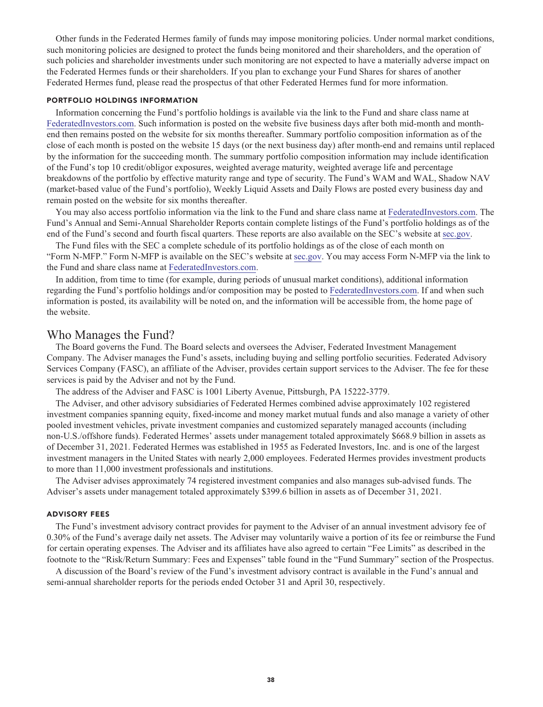**Other funds in the Federated Hermes family of funds may impose monitoring policies. Under normal market conditions, such monitoring policies are designed to protect the funds being monitored and their shareholders, and the operation of such policies and shareholder investments under such monitoring are not expected to have a materially adverse impact on the Federated Hermes funds or their shareholders. If you plan to exchange your Fund Shares for shares of another Federated Hermes fund, please read the prospectus of that other Federated Hermes fund for more information.**

#### **PORTFOLIO HOLDINGS INFORMATION**

**Information concerning the Fund's portfolio holdings is available via the link to the Fund and share class name at [FederatedInvestors.com.](https://www.federatedinvestors.com/home.do) Such information is posted on the website five business days after both mid-month and monthend then remains posted on the website for six months thereafter. Summary portfolio composition information as of the close of each month is posted on the website 15 days (or the next business day) after month-end and remains until replaced by the information for the succeeding month. The summary portfolio composition information may include identification of the Fund's top 10 credit/obligor exposures, weighted average maturity, weighted average life and percentage breakdowns of the portfolio by effective maturity range and type of security. The Fund's WAM and WAL, Shadow NAV (market-based value of the Fund's portfolio), Weekly Liquid Assets and Daily Flows are posted every business day and remain posted on the website for six months thereafter.**

**You may also access portfolio information via the link to the Fund and share class name at [FederatedInvestors.com.](https://www.federatedinvestors.com/home.do) The Fund's Annual and Semi-Annual Shareholder Reports contain complete listings of the Fund's portfolio holdings as of the end of the Fund's second and fourth fiscal quarters. These reports are also available on the SEC's website at [sec.gov.](https://www.sec.gov/)**

**The Fund files with the SEC a complete schedule of its portfolio holdings as of the close of each month on "Form N-MFP." Form N-MFP is available on the SEC's website at [sec.gov.](https://www.sec.gov/) You may access Form N-MFP via the link to the Fund and share class name at [FederatedInvestors.com.](https://www.federatedinvestors.com/home.do)**

**In addition, from time to time (for example, during periods of unusual market conditions), additional information regarding the Fund's portfolio holdings and/or composition may be posted to [FederatedInvestors.com.](https://www.federatedinvestors.com/home.do) If and when such information is posted, its availability will be noted on, and the information will be accessible from, the home page of the website.**

# **Who Manages the Fund?**

**The Board governs the Fund. The Board selects and oversees the Adviser, Federated Investment Management Company. The Adviser manages the Fund's assets, including buying and selling portfolio securities. Federated Advisory Services Company (FASC), an affiliate of the Adviser, provides certain support services to the Adviser. The fee for these services is paid by the Adviser and not by the Fund.**

**The address of the Adviser and FASC is 1001 Liberty Avenue, Pittsburgh, PA 15222-3779.**

**The Adviser, and other advisory subsidiaries of Federated Hermes combined advise approximately 102 registered investment companies spanning equity, fixed-income and money market mutual funds and also manage a variety of other pooled investment vehicles, private investment companies and customized separately managed accounts (including non-U.S./offshore funds). Federated Hermes' assets under management totaled approximately \$668.9 billion in assets as of December 31, 2021. Federated Hermes was established in 1955 as Federated Investors, Inc. and is one of the largest investment managers in the United States with nearly 2,000 employees. Federated Hermes provides investment products to more than 11,000 investment professionals and institutions.**

**The Adviser advises approximately 74 registered investment companies and also manages sub-advised funds. The Adviser's assets under management totaled approximately \$399.6 billion in assets as of December 31, 2021.**

#### **ADVISORY FEES**

**The Fund's investment advisory contract provides for payment to the Adviser of an annual investment advisory fee of 0.30% of the Fund's average daily net assets. The Adviser may voluntarily waive a portion of its fee or reimburse the Fund for certain operating expenses. The Adviser and its affiliates have also agreed to certain "Fee Limits" as described in the footnote to the "Risk/Return Summary: Fees and Expenses" table found in the "Fund Summary" section of the Prospectus.**

**A discussion of the Board's review of the Fund's investment advisory contract is available in the Fund's annual and semi-annual shareholder reports for the periods ended October 31 and April 30, respectively.**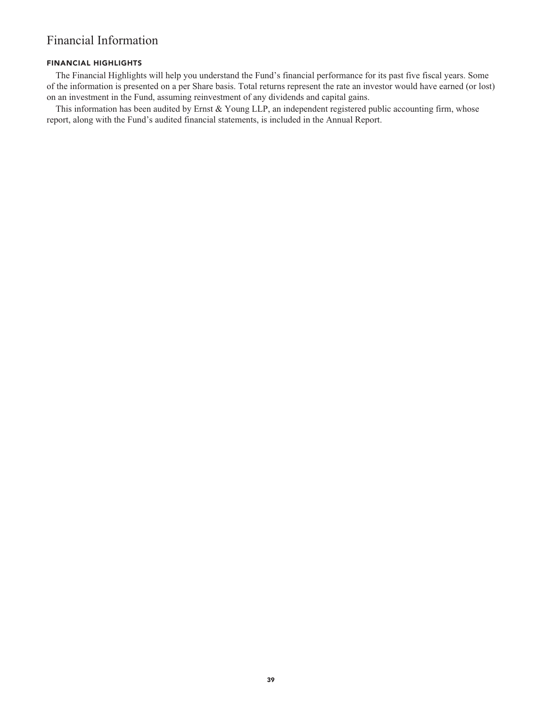# **Financial Information**

# **FINANCIAL HIGHLIGHTS**

**The Financial Highlights will help you understand the Fund's financial performance for its past five fiscal years. Some of the information is presented on a per Share basis. Total returns represent the rate an investor would have earned (or lost) on an investment in the Fund, assuming reinvestment of any dividends and capital gains.**

**This information has been audited by Ernst & Young LLP, an independent registered public accounting firm, whose report, along with the Fund's audited financial statements, is included in the Annual Report.**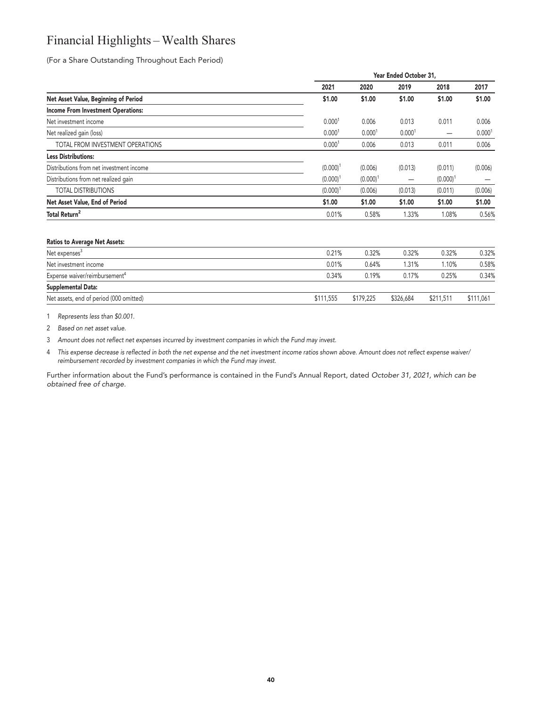# **Financial Highlights – Wealth Shares**

**(For a Share Outstanding Throughout Each Period)**

|                                           |                    | Year Ended October 31, |                    |             |                    |  |  |
|-------------------------------------------|--------------------|------------------------|--------------------|-------------|--------------------|--|--|
|                                           | 2021               | 2020                   | 2019               | 2018        | 2017               |  |  |
| Net Asset Value, Beginning of Period      | \$1.00             | \$1.00                 | \$1.00             | \$1.00      | \$1.00             |  |  |
| <b>Income From Investment Operations:</b> |                    |                        |                    |             |                    |  |  |
| Net investment income                     | 0.000 <sup>1</sup> | 0.006                  | 0.013              | 0.011       | 0.006              |  |  |
| Net realized gain (loss)                  | 0.000 <sup>1</sup> | 0.000 <sup>1</sup>     | 0.000 <sup>1</sup> |             | 0.000 <sup>1</sup> |  |  |
| TOTAL FROM INVESTMENT OPERATIONS          | 0.000 <sup>1</sup> | 0.006                  | 0.013              | 0.011       | 0.006              |  |  |
| <b>Less Distributions:</b>                |                    |                        |                    |             |                    |  |  |
| Distributions from net investment income  | $(0.000)^1$        | (0.006)                | (0.013)            | (0.011)     | (0.006)            |  |  |
| Distributions from net realized gain      | $(0.000)^1$        | $(0.000)^1$            | -                  | $(0.000)^1$ |                    |  |  |
| <b>TOTAL DISTRIBUTIONS</b>                | $(0.000)^1$        | (0.006)                | (0.013)            | (0.011)     | (0.006)            |  |  |
| Net Asset Value, End of Period            | \$1.00             | \$1.00                 | \$1.00             | \$1.00      | \$1.00             |  |  |
| Total Return <sup>2</sup>                 | 0.01%              | 0.58%                  | 1.33%              | 1.08%       | 0.56%              |  |  |
|                                           |                    |                        |                    |             |                    |  |  |

#### **Ratios to Average Net Assets:**

| Net expenses <sup>3</sup>                 | 0.21%     | 0.32%     | 0.32%     | 0.32%     | 0.32%     |
|-------------------------------------------|-----------|-----------|-----------|-----------|-----------|
| Net investment income                     | 0.01%     | 0.64%     | 1.31%     | l.10%     | 0.58%     |
| Expense waiver/reimbursement <sup>4</sup> | 0.34%     | 0.19%     | 0.17%     | 0.25%     | 0.34%     |
| Supplemental Data:                        |           |           |           |           |           |
| Net assets, end of period (000 omitted)   | \$111.555 | \$179.225 | \$326,684 | \$211,511 | \$111,061 |

**1 Represents less than \$0.001.**

**2 Based on net asset value.**

**3 Amount does not reflect net expenses incurred by investment companies in which the Fund may invest.**

**4 This expense decrease is reflected in both the net expense and the net investment income ratios shown above. Amount does not reflect expense waiver/ reimbursement recorded by investment companies in which the Fund may invest.**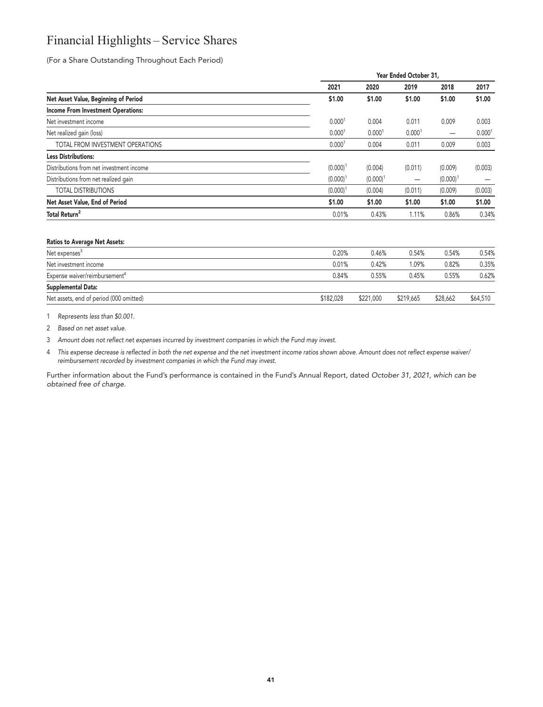# **Financial Highlights – Service Shares**

**(For a Share Outstanding Throughout Each Period)**

|                                           |                    | Year Ended October 31, |                    |             |                    |  |  |
|-------------------------------------------|--------------------|------------------------|--------------------|-------------|--------------------|--|--|
|                                           | 2021               | 2020                   | 2019               | 2018        | 2017               |  |  |
| Net Asset Value, Beginning of Period      | \$1.00             | \$1.00                 | \$1.00             | \$1.00      | \$1.00             |  |  |
| <b>Income From Investment Operations:</b> |                    |                        |                    |             |                    |  |  |
| Net investment income                     | 0.000 <sup>1</sup> | 0.004                  | 0.011              | 0.009       | 0.003              |  |  |
| Net realized gain (loss)                  | 0.000 <sup>1</sup> | 0.000 <sup>1</sup>     | 0.000 <sup>1</sup> |             | 0.000 <sup>1</sup> |  |  |
| TOTAL FROM INVESTMENT OPERATIONS          | 0.000 <sup>1</sup> | 0.004                  | 0.011              | 0.009       | 0.003              |  |  |
| <b>Less Distributions:</b>                |                    |                        |                    |             |                    |  |  |
| Distributions from net investment income  | $(0.000)^1$        | (0.004)                | (0.011)            | (0.009)     | (0.003)            |  |  |
| Distributions from net realized gain      | $(0.000)^1$        | (0.000)                | —                  | $(0.000)^1$ |                    |  |  |
| <b>TOTAL DISTRIBUTIONS</b>                | $(0.000)^1$        | (0.004)                | (0.011)            | (0.009)     | (0.003)            |  |  |
| Net Asset Value, End of Period            | \$1.00             | \$1.00                 | \$1.00             | \$1.00      | \$1.00             |  |  |
| Total Return <sup>2</sup>                 | 0.01%              | 0.43%                  | 1.11%              | 0.86%       | 0.34%              |  |  |
|                                           |                    |                        |                    |             |                    |  |  |

### **Ratios to Average Net Assets:**

| Net expenses <sup>3</sup>                 | 0.20%     | 0.46%     | 0.54%     | 0.54%    | 0.54%    |
|-------------------------------------------|-----------|-----------|-----------|----------|----------|
| Net investment income                     | 0.01%     | 0.42%     | 1.09%     | 0.82%    | 0.35%    |
| Expense waiver/reimbursement <sup>4</sup> | 0.84%     | 0.55%     | 0.45%     | 0.55%    | 0.62%    |
| Supplemental Data:                        |           |           |           |          |          |
| Net assets, end of period (000 omitted)   | \$182,028 | \$221,000 | \$219,665 | \$28,662 | \$64,510 |

**1 Represents less than \$0.001.**

**2 Based on net asset value.**

**3 Amount does not reflect net expenses incurred by investment companies in which the Fund may invest.**

**4 This expense decrease is reflected in both the net expense and the net investment income ratios shown above. Amount does not reflect expense waiver/ reimbursement recorded by investment companies in which the Fund may invest.**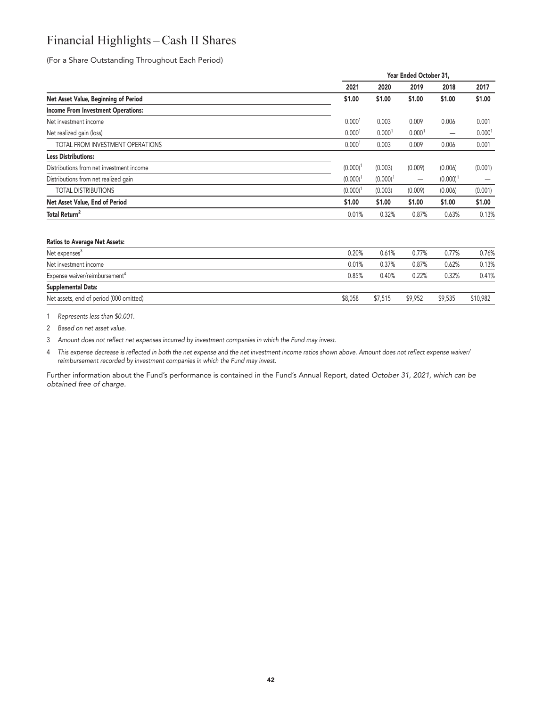# **Financial Highlights – Cash II Shares**

**(For a Share Outstanding Throughout Each Period)**

| Year Ended October 31, |             |                          |             |                    |  |
|------------------------|-------------|--------------------------|-------------|--------------------|--|
| 2021                   | 2020        | 2019                     | 2018        | 2017               |  |
| \$1.00                 | \$1.00      | \$1.00                   | \$1.00      | \$1.00             |  |
|                        |             |                          |             |                    |  |
| 0.000 <sup>1</sup>     | 0.003       | 0.009                    | 0.006       | 0.001              |  |
| 0.000 <sup>1</sup>     | 0.0001      | 0.000 <sup>1</sup>       |             | 0.000 <sup>1</sup> |  |
| 0.000 <sup>1</sup>     | 0.003       | 0.009                    | 0.006       | 0.001              |  |
|                        |             |                          |             |                    |  |
| $(0.000)^{1}$          | (0.003)     | (0.009)                  | (0.006)     | (0.001)            |  |
| $(0.000)^1$            | $(0.000)^1$ | $\overline{\phantom{0}}$ | $(0.000)^1$ |                    |  |
| $(0.000)^1$            | (0.003)     | (0.009)                  | (0.006)     | (0.001)            |  |
| \$1.00                 | \$1.00      | \$1.00                   | \$1.00      | \$1.00             |  |
| 0.01%                  | 0.32%       | 0.87%                    | 0.63%       | 0.13%              |  |
|                        |             |                          |             |                    |  |

#### **Ratios to Average Net Assets:**

| Net expenses <sup>3</sup>                 | 0.20%   | 0.61%   | $0.77\%$ | 0.77%   | 0.76%    |
|-------------------------------------------|---------|---------|----------|---------|----------|
| Net investment income                     | 0.01%   | 0.37%   | 0.87%    | 0.62%   | 0.13%    |
| Expense waiver/reimbursement <sup>4</sup> | 0.85%   | 0.40%   | 0.22%    | 0.32%   | 0.41%    |
| Supplemental Data:                        |         |         |          |         |          |
| Net assets, end of period (000 omitted)   | \$8,058 | \$7,515 | \$9.952  | \$9.535 | \$10.982 |

**1 Represents less than \$0.001.**

**2 Based on net asset value.**

**3 Amount does not reflect net expenses incurred by investment companies in which the Fund may invest.**

**4 This expense decrease is reflected in both the net expense and the net investment income ratios shown above. Amount does not reflect expense waiver/ reimbursement recorded by investment companies in which the Fund may invest.**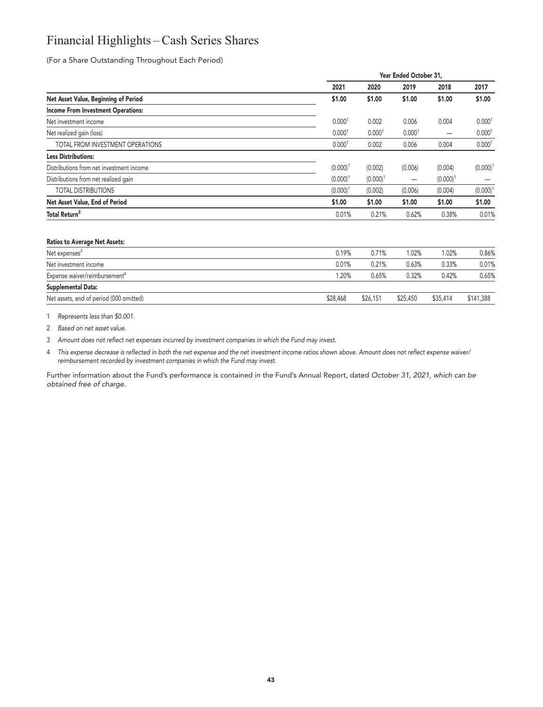# **Financial Highlights – Cash Series Shares**

**(For a Share Outstanding Throughout Each Period)**

| 2020<br>\$1.00<br>0.002 | 2019<br>\$1.00     | 2018<br>\$1.00 | 2017<br>\$1.00     |
|-------------------------|--------------------|----------------|--------------------|
|                         |                    |                |                    |
|                         |                    |                |                    |
|                         |                    |                |                    |
|                         | 0.006              | 0.004          | 0.000 <sup>1</sup> |
| 0.000 <sup>1</sup>      | 0.000 <sup>1</sup> |                | 0.000 <sup>1</sup> |
| 0.002                   | 0.006              | 0.004          | 0.000 <sup>1</sup> |
|                         |                    |                |                    |
| (0.002)                 | (0.006)            | (0.004)        | $(0.000)^1$        |
| $(0.000)^1$             | -                  | $(0.000)^1$    |                    |
| (0.002)                 | (0.006)            | (0.004)        | $(0.000)^1$        |
| \$1.00                  | \$1.00             | \$1.00         | \$1.00             |
| 0.21%                   | 0.62%              | 0.38%          | 0.01%              |
|                         |                    |                |                    |

#### **Ratios to Average Net Assets:**

| Net expenses <sup>3</sup>                 | 0.19%    | 0.71%    | 1.02%    | 1.02%    | 0.86%     |
|-------------------------------------------|----------|----------|----------|----------|-----------|
| Net investment income                     | 0.01%    | 0.21%    | 0.63%    | 0.33%    | 0.01%     |
| Expense waiver/reimbursement <sup>4</sup> | 1.20%    | 0.65%    | 0.32%    | 0.42%    | 0.65%     |
| Supplemental Data:                        |          |          |          |          |           |
| Net assets, end of period (000 omitted)   | \$28,468 | \$26,151 | \$25,450 | \$35,414 | \$141,388 |

**1 Represents less than \$0.001.**

**2 Based on net asset value.**

**3 Amount does not reflect net expenses incurred by investment companies in which the Fund may invest.**

**4 This expense decrease is reflected in both the net expense and the net investment income ratios shown above. Amount does not reflect expense waiver/ reimbursement recorded by investment companies in which the Fund may invest.**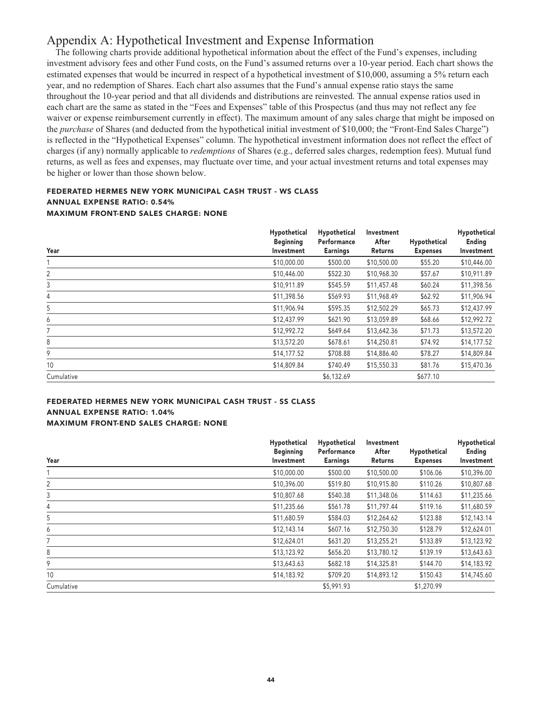# **Appendix A: Hypothetical Investment and Expense Information**

**The following charts provide additional hypothetical information about the effect of the Fund's expenses, including investment advisory fees and other Fund costs, on the Fund's assumed returns over a 10-year period. Each chart shows the estimated expenses that would be incurred in respect of a hypothetical investment of \$10,000, assuming a 5% return each year, and no redemption of Shares. Each chart also assumes that the Fund's annual expense ratio stays the same throughout the 10-year period and that all dividends and distributions are reinvested. The annual expense ratios used in each chart are the same as stated in the "Fees and Expenses" table of this Prospectus (and thus may not reflect any fee waiver or expense reimbursement currently in effect). The maximum amount of any sales charge that might be imposed on the** *purchase* **of Shares (and deducted from the hypothetical initial investment of \$10,000; the "Front-End Sales Charge") is reflected in the "Hypothetical Expenses" column. The hypothetical investment information does not reflect the effect of charges (if any) normally applicable to** *redemptions* **of Shares (e.g., deferred sales charges, redemption fees). Mutual fund returns, as well as fees and expenses, may fluctuate over time, and your actual investment returns and total expenses may be higher or lower than those shown below.**

## **FEDERATED HERMES NEW YORK MUNICIPAL CASH TRUST - WS CLASS ANNUAL EXPENSE RATIO: 0.54% MAXIMUM FRONT-END SALES CHARGE: NONE**

| Year       | Hypothetical<br><b>Beginning</b><br>Investment | Hypothetical<br>Performance<br><b>Earnings</b> | Investment<br>After<br>Returns | Hypothetical<br><b>Expenses</b> | Hypothetical<br>Ending<br>Investment |
|------------|------------------------------------------------|------------------------------------------------|--------------------------------|---------------------------------|--------------------------------------|
|            | \$10,000.00                                    | \$500.00                                       | \$10,500.00                    | \$55.20                         | \$10,446.00                          |
| 2          | \$10,446.00                                    | \$522.30                                       | \$10,968.30                    | \$57.67                         | \$10,911.89                          |
| 3          | \$10,911.89                                    | \$545.59                                       | \$11,457.48                    | \$60.24                         | \$11,398.56                          |
| 4          | \$11,398.56                                    | \$569.93                                       | \$11,968.49                    | \$62.92                         | \$11,906.94                          |
| 5          | \$11,906.94                                    | \$595.35                                       | \$12,502.29                    | \$65.73                         | \$12,437.99                          |
| 6          | \$12,437.99                                    | \$621.90                                       | \$13,059.89                    | \$68.66                         | \$12,992.72                          |
| 7          | \$12,992.72                                    | \$649.64                                       | \$13,642.36                    | \$71.73                         | \$13,572.20                          |
| 8          | \$13,572.20                                    | \$678.61                                       | \$14,250.81                    | \$74.92                         | \$14,177.52                          |
| 9          | \$14,177.52                                    | \$708.88                                       | \$14,886.40                    | \$78.27                         | \$14,809.84                          |
| 10         | \$14,809.84                                    | \$740.49                                       | \$15,550.33                    | \$81.76                         | \$15,470.36                          |
| Cumulative |                                                | \$6,132.69                                     |                                | \$677.10                        |                                      |

## **FEDERATED HERMES NEW YORK MUNICIPAL CASH TRUST - SS CLASS ANNUAL EXPENSE RATIO: 1.04% MAXIMUM FRONT-END SALES CHARGE: NONE**

| Year       | Hypothetical<br><b>Beginning</b><br>Investment | Hypothetical<br>Performance<br><b>Earnings</b> | Investment<br>After<br>Returns | Hypothetical<br><b>Expenses</b> | Hypothetical<br>Ending<br>Investment |
|------------|------------------------------------------------|------------------------------------------------|--------------------------------|---------------------------------|--------------------------------------|
|            | \$10,000.00                                    | \$500.00                                       | \$10,500.00                    | \$106.06                        | \$10,396.00                          |
| 2          | \$10,396.00                                    | \$519.80                                       | \$10,915.80                    | \$110.26                        | \$10,807.68                          |
| 3          | \$10,807.68                                    | \$540.38                                       | \$11,348.06                    | \$114.63                        | \$11,235.66                          |
| 4          | \$11,235.66                                    | \$561.78                                       | \$11,797.44                    | \$119.16                        | \$11,680.59                          |
| 5          | \$11,680.59                                    | \$584.03                                       | \$12,264.62                    | \$123.88                        | \$12,143.14                          |
| 6          | \$12,143.14                                    | \$607.16                                       | \$12,750.30                    | \$128.79                        | \$12,624.01                          |
|            | \$12,624.01                                    | \$631.20                                       | \$13,255.21                    | \$133.89                        | \$13,123.92                          |
| 8          | \$13,123.92                                    | \$656.20                                       | \$13,780.12                    | \$139.19                        | \$13,643.63                          |
| 9          | \$13,643.63                                    | \$682.18                                       | \$14,325.81                    | \$144.70                        | \$14,183.92                          |
| 10         | \$14,183.92                                    | \$709.20                                       | \$14,893.12                    | \$150.43                        | \$14,745.60                          |
| Cumulative |                                                | \$5,991.93                                     |                                | \$1,270.99                      |                                      |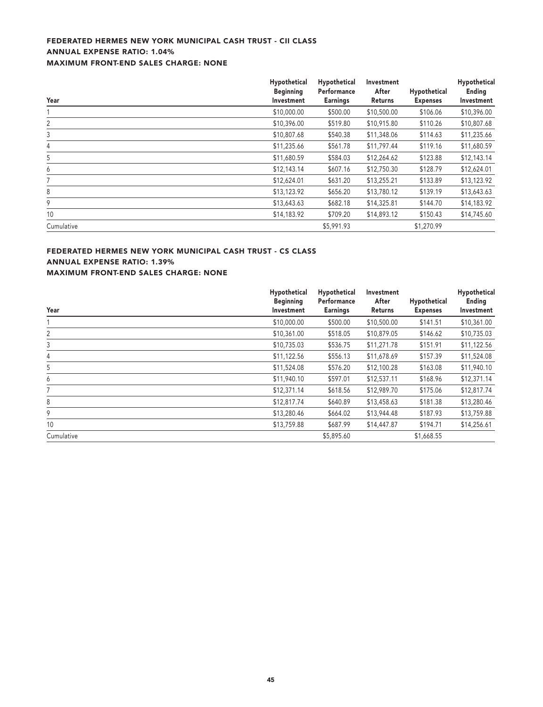# **FEDERATED HERMES NEW YORK MUNICIPAL CASH TRUST - CII CLASS ANNUAL EXPENSE RATIO: 1.04% MAXIMUM FRONT-END SALES CHARGE: NONE**

| Year       | Hypothetical<br><b>Beginning</b><br>Investment | Hypothetical<br>Performance<br><b>Earnings</b> | Investment<br>After<br>Returns | Hypothetical<br><b>Expenses</b> | Hypothetical<br>Ending<br>Investment |
|------------|------------------------------------------------|------------------------------------------------|--------------------------------|---------------------------------|--------------------------------------|
|            | \$10,000.00                                    | \$500.00                                       | \$10,500.00                    | \$106.06                        | \$10,396.00                          |
| 2          | \$10,396.00                                    | \$519.80                                       | \$10,915.80                    | \$110.26                        | \$10,807.68                          |
| 3          | \$10,807.68                                    | \$540.38                                       | \$11,348.06                    | \$114.63                        | \$11,235.66                          |
| 4          | \$11,235.66                                    | \$561.78                                       | \$11,797.44                    | \$119.16                        | \$11,680.59                          |
| 5          | \$11,680.59                                    | \$584.03                                       | \$12,264.62                    | \$123.88                        | \$12,143.14                          |
| 6          | \$12,143.14                                    | \$607.16                                       | \$12,750.30                    | \$128.79                        | \$12,624.01                          |
| 7          | \$12,624.01                                    | \$631.20                                       | \$13,255.21                    | \$133.89                        | \$13,123.92                          |
| 8          | \$13,123.92                                    | \$656.20                                       | \$13,780.12                    | \$139.19                        | \$13,643.63                          |
| 9          | \$13,643.63                                    | \$682.18                                       | \$14,325.81                    | \$144.70                        | \$14,183.92                          |
| 10         | \$14,183.92                                    | \$709.20                                       | \$14,893.12                    | \$150.43                        | \$14,745.60                          |
| Cumulative |                                                | \$5,991.93                                     |                                | \$1,270.99                      |                                      |

# **FEDERATED HERMES NEW YORK MUNICIPAL CASH TRUST - CS CLASS ANNUAL EXPENSE RATIO: 1.39%**

**MAXIMUM FRONT-END SALES CHARGE: NONE**

|            | Hypothetical                   | Hypothetical                   | Investment       |                                 | Hypothetical         |
|------------|--------------------------------|--------------------------------|------------------|---------------------------------|----------------------|
| Year       | <b>Beginning</b><br>Investment | Performance<br><b>Earnings</b> | After<br>Returns | Hypothetical<br><b>Expenses</b> | Ending<br>Investment |
|            | \$10,000.00                    | \$500.00                       | \$10,500.00      | \$141.51                        | \$10,361.00          |
| 2          | \$10,361.00                    | \$518.05                       | \$10,879.05      | \$146.62                        | \$10,735.03          |
| 3          | \$10,735.03                    | \$536.75                       | \$11,271.78      | \$151.91                        | \$11,122.56          |
| 4          | \$11,122.56                    | \$556.13                       | \$11,678.69      | \$157.39                        | \$11,524.08          |
| 5          | \$11,524.08                    | \$576.20                       | \$12,100.28      | \$163.08                        | \$11,940.10          |
| 6          | \$11,940.10                    | \$597.01                       | \$12,537.11      | \$168.96                        | \$12,371.14          |
|            | \$12,371.14                    | \$618.56                       | \$12,989.70      | \$175.06                        | \$12,817.74          |
| 8          | \$12,817.74                    | \$640.89                       | \$13,458.63      | \$181.38                        | \$13,280.46          |
| 9          | \$13,280.46                    | \$664.02                       | \$13,944.48      | \$187.93                        | \$13,759.88          |
| 10         | \$13,759.88                    | \$687.99                       | \$14,447.87      | \$194.71                        | \$14,256.61          |
| Cumulative |                                | \$5,895.60                     |                  | \$1,668.55                      |                      |